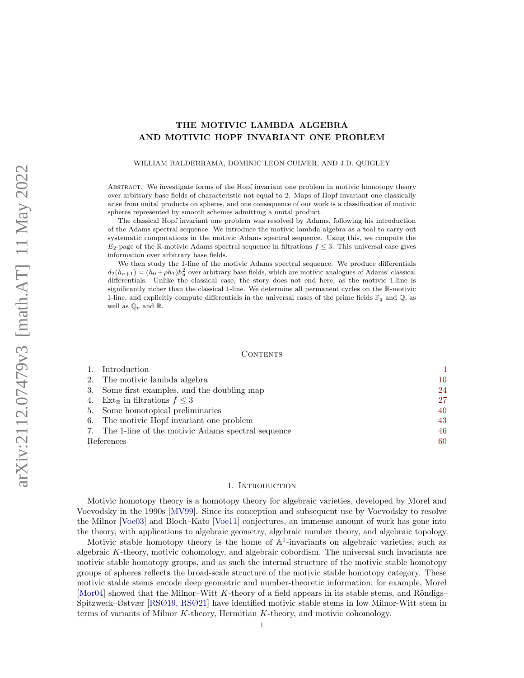# THE MOTIVIC LAMBDA ALGEBRA AND MOTIVIC HOPF INVARIANT ONE PROBLEM

WILLIAM BALDERRAMA, DOMINIC LEON CULVER, AND J.D. QUIGLEY

Abstract. We investigate forms of the Hopf invariant one problem in motivic homotopy theory over arbitrary base fields of characteristic not equal to 2. Maps of Hopf invariant one classically arise from unital products on spheres, and one consequence of our work is a classification of motivic spheres represented by smooth schemes admitting a unital product.

The classical Hopf invariant one problem was resolved by Adams, following his introduction of the Adams spectral sequence. We introduce the motivic lambda algebra as a tool to carry out systematic computations in the motivic Adams spectral sequence. Using this, we compute the  $E_2$ -page of the R-motivic Adams spectral sequence in filtrations  $f \leq 3$ . This universal case gives information over arbitrary base fields.

We then study the 1-line of the motivic Adams spectral sequence. We produce differentials  $d_2(h_{a+1}) = (h_0 + \rho h_1)h_a^2$  over arbitrary base fields, which are motivic analogues of Adams' classical differentials. Unlike the classical case, the story does not end here, as the motivic 1-line is significantly richer than the classical 1-line. We determine all permanent cycles on the R-motivic 1-line, and explicitly compute differentials in the universal cases of the prime fields  $\mathbb{F}_q$  and  $\mathbb{Q}$ , as well as  $\mathbb{Q}_p$  and  $\mathbb{R}.$ 

#### CONTENTS

| Introduction                                         |    |
|------------------------------------------------------|----|
| 2. The motivic lambda algebra                        | 10 |
| 3. Some first examples, and the doubling map         | 24 |
| 4. Ext <sub>R</sub> in filtrations $f \leq 3$        | 27 |
| 5. Some homotopical preliminaries                    | 40 |
| 6. The motivic Hopf invariant one problem            | 43 |
| 7. The 1-line of the motivic Adams spectral sequence | 46 |
| References                                           | 60 |

#### 1. INTRODUCTION

<span id="page-0-0"></span>Motivic homotopy theory is a homotopy theory for algebraic varieties, developed by Morel and Voevodsky in the 1990s [\[MV99\]](#page-61-0). Since its conception and subsequent use by Voevodsky to resolve the Milnor [\[Voe03\]](#page-62-0) and Bloch–Kato [\[Voe11\]](#page-62-1) conjectures, an immense amount of work has gone into the theory, with applications to algebraic geometry, algebraic number theory, and algebraic topology.

Motivic stable homotopy theory is the home of  $\mathbb{A}^1$ -invariants on algebraic varieties, such as algebraic  $K$ -theory, motivic cohomology, and algebraic cobordism. The universal such invariants are motivic stable homotopy groups, and as such the internal structure of the motivic stable homotopy groups of spheres reflects the broad-scale structure of the motivic stable homotopy category. These motivic stable stems encode deep geometric and number-theoretic information; for example, Morel [\[Mor04\]](#page-61-1) showed that the Milnor–Witt K-theory of a field appears in its stable stems, and Röndigs– Spitzweck–Østvær [\[RSØ19,](#page-61-2) [RSØ21\]](#page-61-3) have identified motivic stable stems in low Milnor-Witt stem in terms of variants of Milnor K-theory, Hermitian K-theory, and motivic cohomology.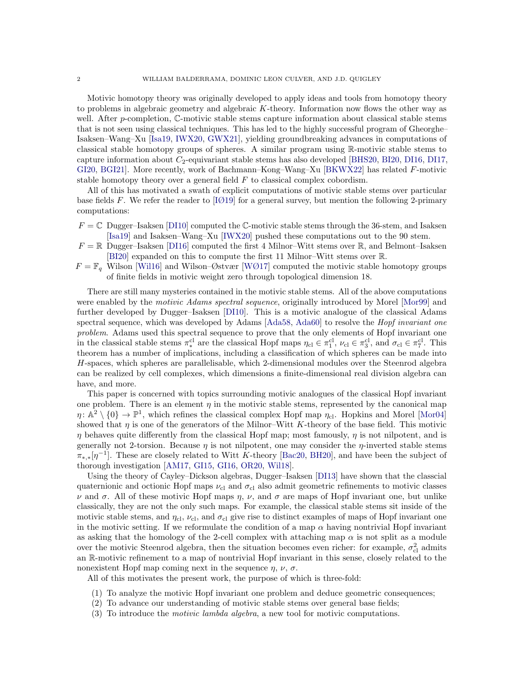Motivic homotopy theory was originally developed to apply ideas and tools from homotopy theory to problems in algebraic geometry and algebraic K-theory. Information now flows the other way as well. After  $p$ -completion,  $\mathbb{C}$ -motivic stable stems capture information about classical stable stems that is not seen using classical techniques. This has led to the highly successful program of Gheorghe– Isaksen–Wang–Xu [\[Isa19,](#page-61-4) [IWX20,](#page-61-5) [GWX21\]](#page-60-0), yielding groundbreaking advances in computations of classical stable homotopy groups of spheres. A similar program using R-motivic stable stems to capture information about  $C_2$ -equivariant stable stems has also developed [\[BHS20,](#page-60-1) [BI20,](#page-60-2) [DI16,](#page-60-3) [DI17,](#page-60-4) [GI20,](#page-60-5) [BGI21\]](#page-60-6). More recently, work of Bachmann–Kong–Wang–Xu [\[BKWX22\]](#page-60-7) has related F-motivic stable homotopy theory over a general field  $F$  to classical complex cobordism.

All of this has motivated a swath of explicit computations of motivic stable stems over particular base fields F. We refer the reader to [ $1019$ ] for a general survey, but mention the following 2-primary computations:

- $F = \mathbb{C}$  Dugger–Isaksen [\[DI10\]](#page-60-8) computed the C-motivic stable stems through the 36-stem, and Isaksen [\[Isa19\]](#page-61-4) and Isaksen–Wang–Xu [\[IWX20\]](#page-61-5) pushed these computations out to the 90 stem.
- $F = \mathbb{R}$  Dugger–Isaksen [\[DI16\]](#page-60-3) computed the first 4 Milnor–Witt stems over  $\mathbb{R}$ , and Belmont–Isaksen [\[BI20\]](#page-60-2) expanded on this to compute the first 11 Milnor–Witt stems over R.
- $F = \mathbb{F}_q$  Wilson [\[Wil16\]](#page-62-2) and Wilson–Østvær [\[WØ17\]](#page-62-3) computed the motivic stable homotopy groups of finite fields in motivic weight zero through topological dimension 18.

There are still many mysteries contained in the motivic stable stems. All of the above computations were enabled by the *motivic Adams spectral sequence*, originally introduced by Morel [\[Mor99\]](#page-61-7) and further developed by Dugger–Isaksen [\[DI10\]](#page-60-8). This is a motivic analogue of the classical Adams spectral sequence, which was developed by Adams [\[Ada58,](#page-59-1) [Ada60\]](#page-59-2) to resolve the *Hopf invariant one* problem. Adams used this spectral sequence to prove that the only elements of Hopf invariant one in the classical stable stems  $\pi^{\text{cl}}_*$  are the classical Hopf maps  $\eta_{\text{cl}} \in \pi_1^{\text{cl}}$ ,  $\nu_{\text{cl}} \in \pi_3^{\text{cl}}$ , and  $\sigma_{\text{cl}} \in \pi_7^{\text{cl}}$ . This theorem has a number of implications, including a classification of which spheres can be made into H-spaces, which spheres are parallelisable, which 2-dimensional modules over the Steenrod algebra can be realized by cell complexes, which dimensions a finite-dimensional real division algebra can have, and more.

This paper is concerned with topics surrounding motivic analogues of the classical Hopf invariant one problem. There is an element  $\eta$  in the motivic stable stems, represented by the canonical map  $\eta: \mathbb{A}^2 \setminus \{0\} \to \mathbb{P}^1$ , which refines the classical complex Hopf map  $\eta_{\text{cl}}$ . Hopkins and Morel [\[Mor04\]](#page-61-1) showed that  $\eta$  is one of the generators of the Milnor–Witt K-theory of the base field. This motivic  $\eta$  behaves quite differently from the classical Hopf map; most famously,  $\eta$  is not nilpotent, and is generally not 2-torsion. Because  $\eta$  is not nilpotent, one may consider the  $\eta$ -inverted stable stems  $\pi_{*,*}[\eta^{-1}]$ . These are closely related to Witt K-theory [\[Bac20,](#page-60-9) [BH20\]](#page-60-10), and have been the subject of thorough investigation [\[AM17,](#page-60-11) [GI15,](#page-60-12) [GI16,](#page-60-13) [OR20,](#page-61-8) [Wil18\]](#page-62-4).

Using the theory of Cayley–Dickson algebras, Dugger–Isaksen [\[DI13\]](#page-60-14) have shown that the classcial quaternionic and octionic Hopf maps  $\nu_{\rm cl}$  and  $\sigma_{\rm cl}$  also admit geometric refinements to motivic classes  $\nu$  and  $\sigma$ . All of these motivic Hopf maps  $\eta$ ,  $\nu$ , and  $\sigma$  are maps of Hopf invariant one, but unlike classically, they are not the only such maps. For example, the classical stable stems sit inside of the motivic stable stems, and  $\eta_{\rm cl}$ ,  $\nu_{\rm cl}$ , and  $\sigma_{\rm cl}$  give rise to distinct examples of maps of Hopf invariant one in the motivic setting. If we reformulate the condition of a map  $\alpha$  having nontrivial Hopf invariant as asking that the homology of the 2-cell complex with attaching map  $\alpha$  is not split as a module over the motivic Steenrod algebra, then the situation becomes even richer: for example,  $\sigma_{\text{cl}}^2$  admits an R-motivic refinement to a map of nontrivial Hopf invariant in this sense, closely related to the nonexistent Hopf map coming next in the sequence  $\eta$ ,  $\nu$ ,  $\sigma$ .

All of this motivates the present work, the purpose of which is three-fold:

- (1) To analyze the motivic Hopf invariant one problem and deduce geometric consequences;
- (2) To advance our understanding of motivic stable stems over general base fields;
- (3) To introduce the motivic lambda algebra, a new tool for motivic computations.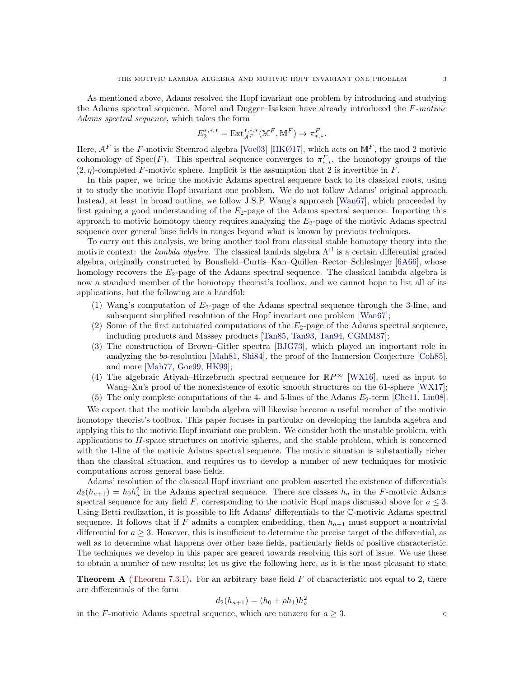As mentioned above, Adams resolved the Hopf invariant one problem by introducing and studying the Adams spectral sequence. Morel and Dugger–Isaksen have already introduced the F-motivic Adams spectral sequence, which takes the form

$$
E_2^{*,*,*} = \operatorname{Ext}\nolimits_{\mathcal{A}^F}^{*,*,*}(\mathbb{M}^F,\mathbb{M}^F) \Rightarrow \pi_{*,*}^F
$$

.

Here,  $A^F$  is the F-motivic Steenrod algebra [\[Voe03\]](#page-62-0) [\[HKØ17\]](#page-61-9), which acts on  $\mathbb{M}^F$ , the mod 2 motivic cohomology of Spec $(F)$ . This spectral sequence converges to  $\pi_{*,*}^F$ , the homotopy groups of the  $(2, \eta)$ -completed F-motivic sphere. Implicit is the assumption that 2 is invertible in F.

In this paper, we bring the motivic Adams spectral sequence back to its classical roots, using it to study the motivic Hopf invariant one problem. We do not follow Adams' original approach. Instead, at least in broad outline, we follow J.S.P. Wang's approach [\[Wan67\]](#page-62-5), which proceeded by first gaining a good understanding of the  $E_2$ -page of the Adams spectral sequence. Importing this approach to motivic homotopy theory requires analyzing the  $E_2$ -page of the motivic Adams spectral sequence over general base fields in ranges beyond what is known by previous techniques.

To carry out this analysis, we bring another tool from classical stable homotopy theory into the motivic context: the lambda algebra. The classical lambda algebra  $\Lambda^{cl}$  is a certain differential graded algebra, originally constructed by Bousfield–Curtis–Kan–Quillen–Rector–Schlesinger [\[6A66\]](#page-60-15), whose homology recovers the  $E_2$ -page of the Adams spectral sequence. The classical lambda algebra is now a standard member of the homotopy theorist's toolbox, and we cannot hope to list all of its applications, but the following are a handful:

- (1) Wang's computation of  $E_2$ -page of the Adams spectral sequence through the 3-line, and subsequent simplified resolution of the Hopf invariant one problem [\[Wan67\]](#page-62-5);
- (2) Some of the first automated computations of the  $E_2$ -page of the Adams spectral sequence, including products and Massey products [\[Tan85,](#page-61-10) [Tan93,](#page-61-11) [Tan94,](#page-62-6) [CGMM87\]](#page-60-16);
- (3) The construction of Brown–Gitler spectra [\[BJG73\]](#page-60-17), which played an important role in analyzing the bo-resolution [\[Mah81,](#page-61-12) [Shi84\]](#page-61-13), the proof of the Immersion Conjecture [\[Coh85\]](#page-60-18), and more [\[Mah77,](#page-61-14) [Goe99,](#page-60-19) [HK99\]](#page-60-20);
- (4) The algebraic Atiyah–Hirzebruch spectral sequence for  $\mathbb{R}P^{\infty}$  [\[WX16\]](#page-62-7), used as input to Wang–Xu's proof of the nonexistence of exotic smooth structures on the 61-sphere [\[WX17\]](#page-62-8);
- (5) The only complete computations of the 4- and 5-lines of the Adams  $E_2$ -term [\[Che11,](#page-60-21) [Lin08\]](#page-61-15).

We expect that the motivic lambda algebra will likewise become a useful member of the motivic homotopy theorist's toolbox. This paper focuses in particular on developing the lambda algebra and applying this to the motivic Hopf invariant one problem. We consider both the unstable problem, with applications to H-space structures on motivic spheres, and the stable problem, which is concerned with the 1-line of the motivic Adams spectral sequence. The motivic situation is substantially richer than the classical situation, and requires us to develop a number of new techniques for motivic computations across general base fields.

Adams' resolution of the classical Hopf invariant one problem asserted the existence of differentials  $d_2(h_{a+1}) = h_0 h_a^2$  in the Adams spectral sequence. There are classes  $h_a$  in the F-motivic Adams spectral sequence for any field F, corresponding to the motivic Hopf maps discussed above for  $a \leq 3$ . Using Betti realization, it is possible to lift Adams' differentials to the C-motivic Adams spectral sequence. It follows that if F admits a complex embedding, then  $h_{a+1}$  must support a nontrivial differential for  $a \geq 3$ . However, this is insufficient to determine the precise target of the differential, as well as to determine what happens over other base fields, particularly fields of positive characteristic. The techniques we develop in this paper are geared towards resolving this sort of issue. We use these to obtain a number of new results; let us give the following here, as it is the most pleasant to state.

<span id="page-2-0"></span>**Theorem A** [\(Theorem 7.3.1\)](#page-47-0). For an arbitrary base field  $F$  of characteristic not equal to 2, there are differentials of the form

$$
d_2(h_{a+1}) = (h_0 + \rho h_1)h_a^2
$$

in the F-motivic Adams spectral sequence, which are nonzero for  $a \geq 3$ .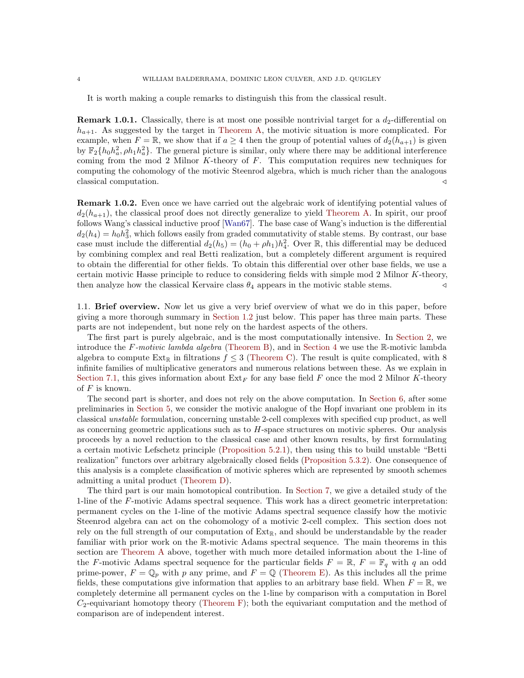It is worth making a couple remarks to distinguish this from the classical result.

**Remark 1.0.1.** Classically, there is at most one possible nontrivial target for a  $d_2$ -differential on  $h_{a+1}$ . As suggested by the target in [Theorem A,](#page-2-0) the motivic situation is more complicated. For example, when  $F = \mathbb{R}$ , we show that if  $a \geq 4$  then the group of potential values of  $d_2(h_{a+1})$  is given by  $\mathbb{F}_2\{h_0h_a^2, \rho h_1h_a^2\}$ . The general picture is similar, only where there may be additional interference coming from the mod 2 Milnor K-theory of  $F$ . This computation requires new techniques for computing the cohomology of the motivic Steenrod algebra, which is much richer than the analogous classical computation.  $\triangleleft$ 

Remark 1.0.2. Even once we have carried out the algebraic work of identifying potential values of  $d_2(h_{a+1})$ , the classical proof does not directly generalize to yield [Theorem A.](#page-2-0) In spirit, our proof follows Wang's classical inductive proof [\[Wan67\]](#page-62-5). The base case of Wang's induction is the differential  $d_2(h_4) = h_0 h_3^2$ , which follows easily from graded commutativity of stable stems. By contrast, our base case must include the differential  $d_2(h_5) = (h_0 + \rho h_1)h_4^2$ . Over R, this differential may be deduced by combining complex and real Betti realization, but a completely different argument is required to obtain the differential for other fields. To obtain this differential over other base fields, we use a certain motivic Hasse principle to reduce to considering fields with simple mod 2 Milnor K-theory, then analyze how the classical Kervaire class  $\theta_4$  appears in the motivic stable stems.

1.1. Brief overview. Now let us give a very brief overview of what we do in this paper, before giving a more thorough summary in [Section 1.2](#page-4-0) just below. This paper has three main parts. These parts are not independent, but none rely on the hardest aspects of the others.

The first part is purely algebraic, and is the most computationally intensive. In [Section 2,](#page-9-0) we introduce the F-motivic lambda algebra [\(Theorem B\)](#page-4-1), and in [Section 4](#page-26-0) we use the R-motivic lambda algebra to compute Ext<sub>R</sub> in filtrations  $f \leq 3$  [\(Theorem C\)](#page-4-2). The result is quite complicated, with 8 infinite families of multiplicative generators and numerous relations between these. As we explain in [Section 7.1,](#page-46-0) this gives information about  $\text{Ext}_F$  for any base field F once the mod 2 Milnor K-theory of  $F$  is known.

The second part is shorter, and does not rely on the above computation. In [Section 6,](#page-42-0) after some preliminaries in [Section 5,](#page-39-0) we consider the motivic analogue of the Hopf invariant one problem in its classical unstable formulation, concerning unstable 2-cell complexes with specified cup product, as well as concerning geometric applications such as to  $H$ -space structures on motivic spheres. Our analysis proceeds by a novel reduction to the classical case and other known results, by first formulating a certain motivic Lefschetz principle [\(Proposition 5.2.1\)](#page-40-0), then using this to build unstable "Betti realization" functors over arbitrary algebraically closed fields [\(Proposition 5.3.2\)](#page-41-0). One consequence of this analysis is a complete classification of motivic spheres which are represented by smooth schemes admitting a unital product [\(Theorem D\)](#page-5-0).

The third part is our main homotopical contribution. In [Section 7,](#page-45-0) we give a detailed study of the 1-line of the F-motivic Adams spectral sequence. This work has a direct geometric interpretation: permanent cycles on the 1-line of the motivic Adams spectral sequence classify how the motivic Steenrod algebra can act on the cohomology of a motivic 2-cell complex. This section does not rely on the full strength of our computation of  $Ext_{\mathbb{R}}$ , and should be understandable by the reader familiar with prior work on the R-motivic Adams spectral sequence. The main theorems in this section are [Theorem A](#page-2-0) above, together with much more detailed information about the 1-line of the F-motivic Adams spectral sequence for the particular fields  $F = \mathbb{R}$ ,  $F = \mathbb{F}_q$  with q an odd prime-power,  $F = \mathbb{Q}_p$  with p any prime, and  $F = \mathbb{Q}$  [\(Theorem E\)](#page-6-0). As this includes all the prime fields, these computations give information that applies to an arbitrary base field. When  $F = \mathbb{R}$ , we completely determine all permanent cycles on the 1-line by comparison with a computation in Borel  $C_2$ -equivariant homotopy theory [\(Theorem F\)](#page-7-0); both the equivariant computation and the method of comparison are of independent interest.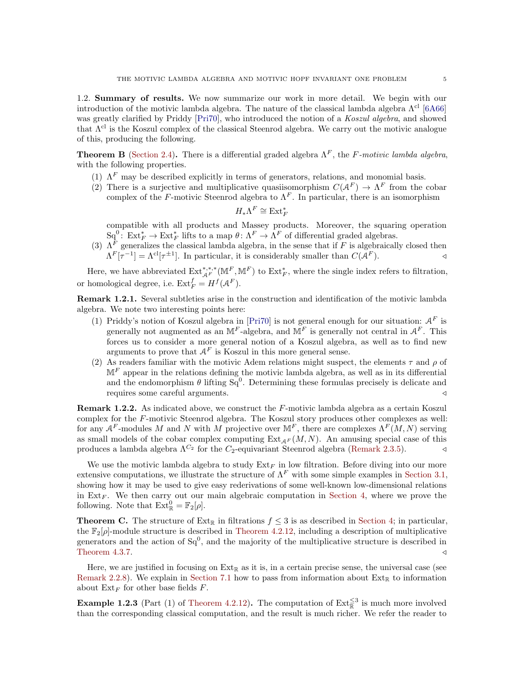<span id="page-4-0"></span>1.2. Summary of results. We now summarize our work in more detail. We begin with our introduction of the motivic lambda algebra. The nature of the classical lambda algebra  $\Lambda^{cl}$  [\[6A66\]](#page-60-15) was greatly clarified by Priddy [\[Pri70\]](#page-61-16), who introduced the notion of a Koszul algebra, and showed that  $\Lambda^{cl}$  is the Koszul complex of the classical Steenrod algebra. We carry out the motivic analogue of this, producing the following.

<span id="page-4-1"></span>**Theorem B** [\(Section 2.4\)](#page-22-0). There is a differential graded algebra  $\Lambda^F$ , the F-motivic lambda algebra, with the following properties.

- (1)  $\Lambda^F$  may be described explicitly in terms of generators, relations, and monomial basis.
- (2) There is a surjective and multiplicative quasiisomorphism  $C(A^F) \to \Lambda^F$  from the cobar complex of the F-motivic Steenrod algebra to  $\Lambda^F$ . In particular, there is an isomorphism

$$
H_*\Lambda^F\cong\operatorname{Ext}_F^*
$$

compatible with all products and Massey products. Moreover, the squaring operation  $Sq^0$ :  $Ext_F^* \to Ext_F^*$  lifts to a map  $\theta \colon \Lambda^F \to \Lambda^F$  of differential graded algebras.

(3)  $\Lambda^F$  generalizes the classical lambda algebra, in the sense that if F is algebraically closed then  $\Lambda^F[\tau^{-1}] = \Lambda^{\text{cl}}[\tau^{\pm 1}]$ . In particular, it is considerably smaller than  $C(\mathcal{A}^F)$ .

Here, we have abbreviated  $\text{Ext}^{*,*,*}_{\mathcal{A}^F}(\mathbb{M}^F,\mathbb{M}^F)$  to  $\text{Ext}^*_F$ , where the single index refers to filtration, or homological degree, i.e.  $\mathrm{Ext}_F^f = H^f(\mathcal{A}^F)$ .

Remark 1.2.1. Several subtleties arise in the construction and identification of the motivic lambda algebra. We note two interesting points here:

- (1) Priddy's notion of Koszul algebra in [\[Pri70\]](#page-61-16) is not general enough for our situation:  $A<sup>F</sup>$  is generally not augmented as an  $M^F$ -algebra, and  $M^F$  is generally not central in  $A^F$ . This forces us to consider a more general notion of a Koszul algebra, as well as to find new arguments to prove that  $A^F$  is Koszul in this more general sense.
- (2) As readers familiar with the motivic Adem relations might suspect, the elements  $\tau$  and  $\rho$  of  $\mathbb{M}^F$  appear in the relations defining the motivic lambda algebra, as well as in its differential and the endomorphism  $\theta$  lifting  $Sq^0$ . Determining these formulas precisely is delicate and requires some careful arguments.  $\triangleleft$

**Remark 1.2.2.** As indicated above, we construct the  $F$ -motivic lambda algebra as a certain Koszul complex for the F-motivic Steenrod algebra. The Koszul story produces other complexes as well: for any  $A^F$ -modules M and N with M projective over  $\mathbb{M}^F$ , there are complexes  $\Lambda^F(M, N)$  serving as small models of the cobar complex computing  $Ext_{AF}(M, N)$ . An amusing special case of this produces a lambda algebra  $\Lambda^{C_2}$  for the  $C_2$ -equivariant Steenrod algebra [\(Remark 2.3.5\)](#page-17-0).

We use the motivic lambda algebra to study  $Ext_F$  in low filtration. Before diving into our more extensive computations, we illustrate the structure of  $\Lambda^F$  with some simple examples in [Section 3.1,](#page-23-1) showing how it may be used to give easy rederivations of some well-known low-dimensional relations in  $Ext_F$ . We then carry out our main algebraic computation in [Section 4,](#page-26-0) where we prove the following. Note that  $\text{Ext}^0_{\mathbb{R}} = \mathbb{F}_2[\rho].$ 

<span id="page-4-2"></span>**Theorem C.** The structure of  $Ext_{\mathbb{R}}$  in filtrations  $f \leq 3$  is as described in [Section 4;](#page-26-0) in particular, the  $\mathbb{F}_2[\rho]$ -module structure is described in [Theorem 4.2.12,](#page-34-0) including a description of multiplicative generators and the action of  $Sq^{0}$ , and the majority of the multiplicative structure is described in [Theorem 4.3.7.](#page-39-1)  $\triangleleft$ 

Here, we are justified in focusing on  $Ext_{\mathbb{R}}$  as it is, in a certain precise sense, the universal case (see [Remark 2.2.8\)](#page-16-0). We explain in [Section 7.1](#page-46-0) how to pass from information about  $Ext_{\mathbb{R}}$  to information about  $\text{Ext}_F$  for other base fields F.

<span id="page-4-3"></span>**Example 1.2.3** (Part (1) of [Theorem 4.2.12\)](#page-34-0). The computation of  $\text{Ext}_{\mathbb{R}}^{\leq 3}$  is much more involved than the corresponding classical computation, and the result is much richer. We refer the reader to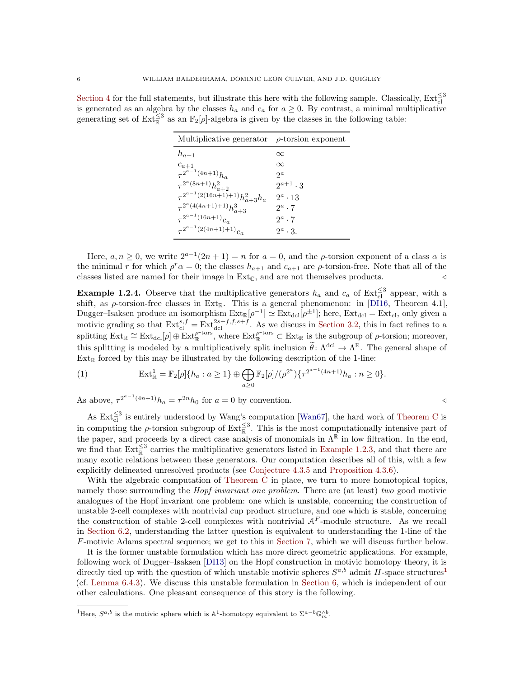[Section 4](#page-26-0) for the full statements, but illustrate this here with the following sample. Classically,  $\text{Ext}_{\text{cl}}^{\leq 3}$ is generated as an algebra by the classes  $h_a$  and  $c_a$  for  $a \geq 0$ . By contrast, a minimal multiplicative generating set of  $\text{Ext}_{\mathbb{R}}^{\leq 3}$  as an  $\mathbb{F}_2[\rho]$ -algebra is given by the classes in the following table:

| Multiplicative generator                   | $\rho$ -torsion exponent |
|--------------------------------------------|--------------------------|
| $h_{a+1}$                                  | $\infty$                 |
| $c_{a+1}$                                  | $\infty$                 |
| $\tau^{2^{a-1}(4n+1)}h_a$                  | $2^a$                    |
| $\tau^{2^a(8n+1)}h_{a+2}^2$                | $2^{a+1} \cdot 3$        |
| $\tau^{2^{a-1}(2(16n+1)+1)} h_{a+3}^2 h_a$ | $2^a \cdot 13$           |
| $\tau^{2^a(4(4n+1)+1)}h_{a+3}^3$           | $2^a \cdot 7$            |
| $\tau^{2^{a-1}(16n+1)}c_a$                 | $2^a \cdot 7$            |
| $\tau^{2^{a-1}(2(4n+1)+1)}c_a$             | $2^a \cdot 3$ .          |

Here,  $a, n \ge 0$ , we write  $2^{a-1}(2n+1) = n$  for  $a = 0$ , and the  $\rho$ -torsion exponent of a class  $\alpha$  is the minimal r for which  $\rho^r \alpha = 0$ ; the classes  $h_{a+1}$  and  $c_{a+1}$  are  $\rho$ -torsion-free. Note that all of the classes listed are named for their image in  $\text{Ext}_{\mathbb{C}},$  and are not themselves products.  $\lnot$ 

**Example 1.2.4.** Observe that the multiplicative generators  $h_a$  and  $c_a$  of Ext $\frac{<3}{c}$  appear, with a shift, as  $\rho$ -torsion-free classes in Ext<sub>R</sub>. This is a general phenomenon: in [\[DI16,](#page-60-3) Theorem 4.1], Dugger–Isaksen produce an isomorphism  $Ext_{\mathbb{R}}[\rho^{-1}] \simeq Ext_{\text{dcl}}[\rho^{\pm 1}]$ ; here,  $Ext_{\text{dcl}} = Ext_{\text{cl}}$ , only given a motivic grading so that  $\text{Ext}_{\text{cl}}^{s,f} = \text{Ext}_{\text{dcl}}^{2s+f,f,s+f}$ . As we discuss in [Section 3.2,](#page-25-0) this in fact refines to a splitting  $\operatorname{Ext}_{\mathbb{R}} \cong \operatorname{Ext}_{\text{dcl}}[\rho] \oplus \operatorname{Ext}_{\mathbb{R}}^{\rho\text{-tors}},$  where  $\operatorname{Ext}_{\mathbb{R}}^{\rho\text{-tors}} \subset \operatorname{Ext}_{\mathbb{R}}$  is the subgroup of  $\rho\text{-torsion}$ ; moreover, this splitting is modeled by a multiplicatively split inclusion  $\tilde{\theta} \colon \Lambda^{\text{dcl}} \to \Lambda^{\mathbb{R}}$ . The general shape of  $Ext_{\mathbb{R}}$  forced by this may be illustrated by the following description of the 1-line:

<span id="page-5-2"></span>(1) 
$$
\operatorname{Ext}^1_{\mathbb{R}} = \mathbb{F}_2[\rho]\{h_a : a \geq 1\} \oplus \bigoplus_{a \geq 0} \mathbb{F}_2[\rho]/(\rho^{2^a})\{\tau^{2^{a-1}(4n+1)}h_a : n \geq 0\}.
$$

As above,  $\tau^{2^{a-1}(4n+1)}h_a = \tau^{2n}h_0$  for  $a = 0$  by convention.

As  $\text{Ext}_{\text{cl}}^{\leq 3}$  is entirely understood by Wang's computation [\[Wan67\]](#page-62-5), the hard work of [Theorem C](#page-4-2) is in computing the  $\rho$ -torsion subgroup of  $\text{Ext}_{\mathbb{R}}^{\leq 3}$ . This is the most computationally intensive part of the paper, and proceeds by a direct case analysis of monomials in  $\Lambda^{\mathbb{R}}$  in low filtration. In the end, we find that  $\text{Ext}_{\mathbb{R}}^{\leq 3}$  carries the multiplicative generators listed in [Example 1.2.3,](#page-4-3) and that there are many exotic relations between these generators. Our computation describes all of this, with a few explicitly delineated unresolved products (see [Conjecture 4.3.5](#page-38-0) and [Proposition 4.3.6\)](#page-38-1).

With the algebraic computation of [Theorem C](#page-4-2) in place, we turn to more homotopical topics, namely those surrounding the *Hopf invariant one problem*. There are (at least) two good motivic analogues of the Hopf invariant one problem: one which is unstable, concerning the construction of unstable 2-cell complexes with nontrivial cup product structure, and one which is stable, concerning the construction of stable 2-cell complexes with nontrivial  $A<sup>F</sup>$ -module structure. As we recall in [Section 6.2,](#page-42-1) understanding the latter question is equivalent to understanding the 1-line of the F-motivic Adams spectral sequence; we get to this in [Section 7,](#page-45-0) which we will discuss further below.

It is the former unstable formulation which has more direct geometric applications. For example, following work of Dugger–Isaksen [\[DI13\]](#page-60-14) on the Hopf construction in motivic homotopy theory, it is directly tied up with the question of which unstable motivic spheres  $S^{a,b}$  admit H-space structures<sup>[1](#page-5-1)</sup> (cf. [Lemma 6.4.3\)](#page-44-0). We discuss this unstable formulation in [Section 6,](#page-42-0) which is independent of our other calculations. One pleasant consequence of this story is the following.

<span id="page-5-1"></span><span id="page-5-0"></span><sup>&</sup>lt;sup>1</sup>Here,  $S^{a,b}$  is the motivic sphere which is  $\mathbb{A}^1$ -homotopy equivalent to  $\Sigma^{a-b}\mathbb{G}_m^{\wedge b}$ .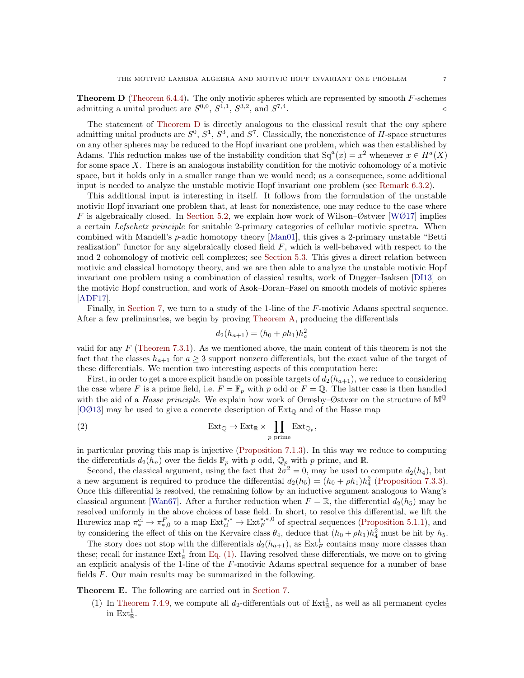**Theorem D** (Theorem  $6.4.4$ ). The only motivic spheres which are represented by smooth  $F$ -schemes admitting a unital product are  $S^{0,0}$ ,  $S^{1,1}$ ,  $S^{3,2}$ , and  $S^{7,4}$ . /

The statement of [Theorem D](#page-5-0) is directly analogous to the classical result that the ony sphere admitting unital products are  $S^0$ ,  $S^1$ ,  $S^3$ , and  $S^7$ . Classically, the nonexistence of H-space structures on any other spheres may be reduced to the Hopf invariant one problem, which was then established by Adams. This reduction makes use of the instability condition that  $Sq^{a}(x) = x^{2}$  whenever  $x \in H^{a}(X)$ for some space  $X$ . There is an analogous instability condition for the motivic cohomology of a motivic space, but it holds only in a smaller range than we would need; as a consequence, some additional input is needed to analyze the unstable motivic Hopf invariant one problem (see [Remark 6.3.2\)](#page-43-0).

This additional input is interesting in itself. It follows from the formulation of the unstable motivic Hopf invariant one problem that, at least for nonexistence, one may reduce to the case where F is algebraically closed. In [Section 5.2,](#page-40-1) we explain how work of Wilson–Østvær [\[WØ17\]](#page-62-3) implies a certain Lefschetz principle for suitable 2-primary categories of cellular motivic spectra. When combined with Mandell's p-adic homotopy theory [\[Man01\]](#page-61-17), this gives a 2-primary unstable "Betti realization" functor for any algebraically closed field  $F$ , which is well-behaved with respect to the mod 2 cohomology of motivic cell complexes; see [Section 5.3.](#page-40-2) This gives a direct relation between motivic and classical homotopy theory, and we are then able to analyze the unstable motivic Hopf invariant one problem using a combination of classical results, work of Dugger–Isaksen [\[DI13\]](#page-60-14) on the motivic Hopf construction, and work of Asok–Doran–Fasel on smooth models of motivic spheres [\[ADF17\]](#page-60-22).

Finally, in [Section 7,](#page-45-0) we turn to a study of the 1-line of the F-motivic Adams spectral sequence. After a few preliminaries, we begin by proving [Theorem A,](#page-2-0) producing the differentials

<span id="page-6-1"></span>
$$
d_2(h_{a+1}) = (h_0 + \rho h_1)h_a^2
$$

valid for any  $F$  [\(Theorem 7.3.1\)](#page-47-0). As we mentioned above, the main content of this theorem is not the fact that the classes  $h_{a+1}$  for  $a \geq 3$  support nonzero differentials, but the exact value of the target of these differentials. We mention two interesting aspects of this computation here:

First, in order to get a more explicit handle on possible targets of  $d_2(h_{a+1})$ , we reduce to considering the case where F is a prime field, i.e.  $F = \mathbb{F}_p$  with p odd or  $F = \mathbb{Q}$ . The latter case is then handled with the aid of a *Hasse principle*. We explain how work of Ormsby–Østvær on the structure of  $\mathbb{M}^{\mathbb{Q}}$ [\[OØ13\]](#page-61-18) may be used to give a concrete description of  $Ext_{\mathbb{Q}}$  and of the Hasse map

(2) 
$$
\operatorname{Ext}_{\mathbb{Q}} \to \operatorname{Ext}_{\mathbb{R}} \times \prod_{p \text{ prime}} \operatorname{Ext}_{\mathbb{Q}_p},
$$

in particular proving this map is injective [\(Proposition 7.1.3\)](#page-46-1). In this way we reduce to computing the differentials  $d_2(h_n)$  over the fields  $\mathbb{F}_p$  with p odd,  $\mathbb{Q}_p$  with p prime, and R.

Second, the classical argument, using the fact that  $2\sigma^2 = 0$ , may be used to compute  $d_2(h_4)$ , but a new argument is required to produce the differential  $d_2(h_5) = (h_0 + \rho h_1)h_4^2$  [\(Proposition 7.3.3\)](#page-48-0). Once this differential is resolved, the remaining follow by an inductive argument analogous to Wang's classical argument [\[Wan67\]](#page-62-5). After a further reduction when  $F = \mathbb{R}$ , the differential  $d_2(h_5)$  may be resolved uniformly in the above choices of base field. In short, to resolve this differential, we lift the Hurewicz map  $\pi_*^{cl} \to \pi_{*,0}^F$  to a map  $\text{Ext}_{cl}^{*,*} \to \text{Ext}_{F}^{*,*0}$  of spectral sequences [\(Proposition 5.1.1\)](#page-39-2), and by considering the effect of this on the Kervaire class  $\theta_4$ , deduce that  $(h_0 + \rho h_1)h_4^2$  must be hit by  $h_5$ .

The story does not stop with the differentials  $d_2(h_{a+1})$ , as  $\text{Ext}_F^1$  contains many more classes than these; recall for instance  $\text{Ext}^1_{\mathbb{R}}$  from [Eq. \(1\).](#page-5-2) Having resolved these differentials, we move on to giving an explicit analysis of the 1-line of the  $F$ -motivic Adams spectral sequence for a number of base fields  $F$ . Our main results may be summarized in the following.

<span id="page-6-0"></span>Theorem E. The following are carried out in [Section 7.](#page-45-0)

(1) In [Theorem 7.4.9,](#page-53-0) we compute all  $d_2$ -differentials out of  $Ext^1_{\mathbb{R}}$ , as well as all permanent cycles in  $\text{Ext}^1_{\mathbb{R}}$ .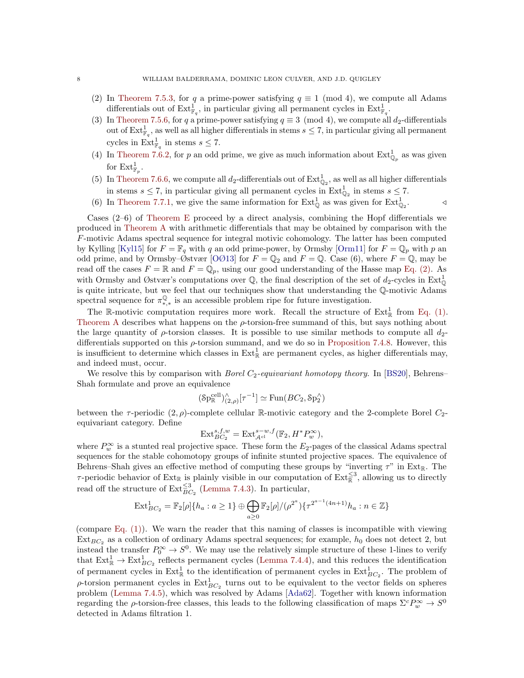- (2) In [Theorem 7.5.3,](#page-54-0) for q a prime-power satisfying  $q \equiv 1 \pmod{4}$ , we compute all Adams differentials out of  $\text{Ext}^1_{\mathbb{F}_q}$ , in particular giving all permanent cycles in  $\text{Ext}^1_{\mathbb{F}_q}$ .
- (3) In [Theorem 7.5.6,](#page-55-0) for q a prime-power satisfying  $q \equiv 3 \pmod{4}$ , we compute all  $d_2$ -differentials out of  $\mathrm{Ext}^1_{\mathbb{F}_q}$ , as well as all higher differentials in stems  $s \leq 7$ , in particular giving all permanent cycles in  $\text{Ext}_{\mathbb{F}_q}^1$  in stems  $s \leq 7$ .
- (4) In [Theorem 7.6.2,](#page-56-0) for p an odd prime, we give as much information about  $\text{Ext}^1_{\mathbb{Q}_p}$  as was given for  $\mathrm{Ext}^1_{\mathbb{F}_p}$ .
- (5) In [Theorem 7.6.6,](#page-57-0) we compute all  $d_2$ -differentials out of  $\text{Ext}^1_{\mathbb{Q}_2}$ , as well as all higher differentials in stems  $s \leq 7$ , in particular giving all permanent cycles in  $\text{Ext}^1_{\mathbb{Q}_2}$  in stems  $s \leq 7$ .
- (6) In [Theorem 7.7.1,](#page-58-0) we give the same information for  $\text{Ext}_{\mathbb{Q}}^1$  as was given for  $\text{Ext}_{\mathbb{Q}}^1$  $\triangleleft$

Cases (2–6) of [Theorem E](#page-6-0) proceed by a direct analysis, combining the Hopf differentials we produced in [Theorem A](#page-2-0) with arithmetic differentials that may be obtained by comparison with the F-motivic Adams spectral sequence for integral motivic cohomology. The latter has been computed by Kylling [\[Kyl15\]](#page-61-19) for  $F = \mathbb{F}_q$  with q an odd prime-power, by Ormsby [\[Orm11\]](#page-61-20) for  $F = \mathbb{Q}_p$  with p an odd prime, and by Ormsby–Østvær [\[OØ13\]](#page-61-18) for  $F = \mathbb{Q}_2$  and  $F = \mathbb{Q}$ . Case (6), where  $F = \mathbb{Q}$ , may be read off the cases  $F = \mathbb{R}$  and  $F = \mathbb{Q}_p$ , using our good understanding of the Hasse map [Eq. \(2\).](#page-6-1) As with Ormsby and Østvær's computations over  $\mathbb{Q}$ , the final description of the set of  $d_2$ -cycles in  $\text{Ext}^1_{\mathbb{Q}}$ is quite intricate, but we feel that our techniques show that understanding the Q-motivic Adams spectral sequence for  $\pi_{*,*}^{\mathbb{Q}}$  is an accessible problem ripe for future investigation.

The R-motivic computation requires more work. Recall the structure of  $Ext^1_{\mathbb{R}}$  from [Eq. \(1\).](#page-5-2) [Theorem A](#page-2-0) describes what happens on the  $\rho$ -torsion-free summand of this, but says nothing about the large quantity of  $\rho$ -torsion classes. It is possible to use similar methods to compute all  $d_{2}$ differentials supported on this  $\rho$ -torsion summand, and we do so in [Proposition 7.4.8.](#page-52-0) However, this is insufficient to determine which classes in  $Ext^1_{\mathbb{R}}$  are permanent cycles, as higher differentials may, and indeed must, occur.

We resolve this by comparison with *Borel*  $C_2$ -equivariant homotopy theory. In [\[BS20\]](#page-60-23), Behrens– Shah formulate and prove an equivalence

$$
(\mathrm{Sp}_{\mathbb{R}}^{\mathrm{cell}})_{(2,\rho)}^{\wedge}[\tau^{-1}] \simeq \mathrm{Fun}(BC_2,\mathrm{Sp}_2^{\wedge})
$$

between the  $\tau$ -periodic  $(2, \rho)$ -complete cellular R-motivic category and the 2-complete Borel  $C_2$ equivariant category. Define

$$
\operatorname{Ext}_{BC_2}^{s,f,w} = \operatorname{Ext}_{\mathcal{A}^{\mathrm{cl}}}^{s-w,f}(\mathbb{F}_2, H^*P_w^{\infty}),
$$

where  $P_w^{\infty}$  is a stunted real projective space. These form the  $E_2$ -pages of the classical Adams spectral sequences for the stable cohomotopy groups of infinite stunted projective spaces. The equivalence of Behrens–Shah gives an effective method of computing these groups by "inverting  $\tau$ " in Ext<sub>R</sub>. The  $\tau$ -periodic behavior of Ext<sub>R</sub> is plainly visible in our computation of Ext $\frac{\leq 3}{\mathbb{R}}$ , allowing us to directly read off the structure of  $\text{Ext}_{BC_2}^{\leq 3}$  [\(Lemma 7.4.3\)](#page-50-0). In particular,

$$
\text{Ext}_{BC_2}^1 = \mathbb{F}_2[\rho]\{h_a : a \ge 1\} \oplus \bigoplus_{a \ge 0} \mathbb{F}_2[\rho]/(\rho^{2^a})\{\tau^{2^{a-1}(4n+1)}h_a : n \in \mathbb{Z}\}\
$$

<span id="page-7-0"></span>(compare [Eq. \(1\)\)](#page-5-2). We warn the reader that this naming of classes is incompatible with viewing  $Ext_{BC_2}$  as a collection of ordinary Adams spectral sequences; for example,  $h_0$  does not detect 2, but instead the transfer  $P_0^{\infty} \to S^0$ . We may use the relatively simple structure of these 1-lines to verify that  $\text{Ext}_{\mathbb{R}}^1 \to \text{Ext}_{BC_2}^1$  reflects permanent cycles [\(Lemma 7.4.4\)](#page-50-1), and this reduces the identification of permanent cycles in  $\text{Ext}^1_{\mathbb{R}}$  to the identification of permanent cycles in  $\text{Ext}^1_{BC_2}$ . The problem of  $\rho$ -torsion permanent cycles in  $\text{Ext}_{BC_2}^1$  turns out to be equivalent to the vector fields on spheres problem [\(Lemma 7.4.5\)](#page-51-0), which was resolved by Adams [\[Ada62\]](#page-59-3). Together with known information regarding the  $\rho$ -torsion-free classes, this leads to the following classification of maps  $\Sigma^c P_w^{\infty} \to S^0$ detected in Adams filtration 1.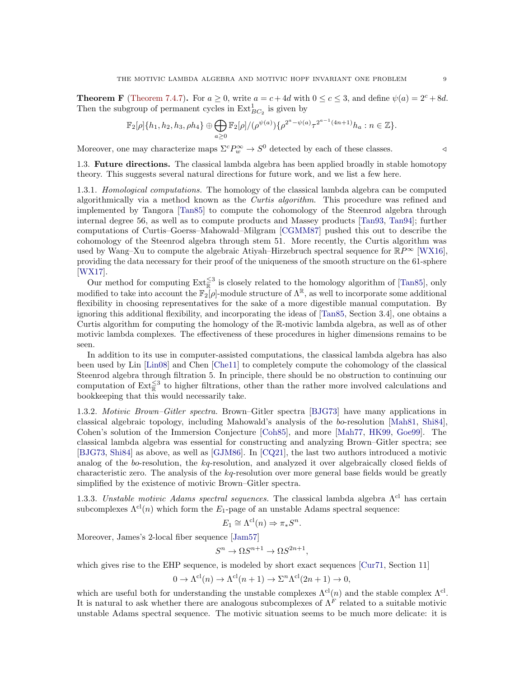**Theorem F** [\(Theorem 7.4.7\)](#page-52-1). For  $a \ge 0$ , write  $a = c + 4d$  with  $0 \le c \le 3$ , and define  $\psi(a) = 2^c + 8d$ . Then the subgroup of permanent cycles in  $\text{Ext}_{BC_2}^1$  is given by

$$
\mathbb{F}_2[\rho]\{h_1, h_2, h_3, \rho h_4\} \oplus \bigoplus_{a \geq 0} \mathbb{F}_2[\rho]/(\rho^{\psi(a)})\{\rho^{2^a - \psi(a)}\tau^{2^{a-1}(4n+1)}h_a : n \in \mathbb{Z}\}.
$$

Moreover, one may characterize maps  $\Sigma^c P_w^{\infty} \to S^0$  detected by each of these classes.

1.3. Future directions. The classical lambda algebra has been applied broadly in stable homotopy theory. This suggests several natural directions for future work, and we list a few here.

1.3.1. *Homological computations*. The homology of the classical lambda algebra can be computed algorithmically via a method known as the Curtis algorithm. This procedure was refined and implemented by Tangora [\[Tan85\]](#page-61-10) to compute the cohomology of the Steenrod algebra through internal degree 56, as well as to compute products and Massey products [\[Tan93,](#page-61-11) [Tan94\]](#page-62-6); further computations of Curtis–Goerss–Mahowald–Milgram [\[CGMM87\]](#page-60-16) pushed this out to describe the cohomology of the Steenrod algebra through stem 51. More recently, the Curtis algorithm was used by Wang–Xu to compute the algebraic Atiyah–Hirzebruch spectral sequence for  $\mathbb{R}P^{\infty}$  [\[WX16\]](#page-62-7). providing the data necessary for their proof of the uniqueness of the smooth structure on the 61-sphere [\[WX17\]](#page-62-8).

Our method for computing  $\text{Ext}_{\mathbb{R}}^{\leq 3}$  is closely related to the homology algorithm of [\[Tan85\]](#page-61-10), only modified to take into account the  $\mathbb{F}_2[\rho]$ -module structure of  $\Lambda^{\mathbb{R}}$ , as well to incorporate some additional flexibility in choosing representatives for the sake of a more digestible manual computation. By ignoring this additional flexibility, and incorporating the ideas of [\[Tan85,](#page-61-10) Section 3.4], one obtains a Curtis algorithm for computing the homology of the R-motivic lambda algebra, as well as of other motivic lambda complexes. The effectiveness of these procedures in higher dimensions remains to be seen.

In addition to its use in computer-assisted computations, the classical lambda algebra has also been used by Lin [\[Lin08\]](#page-61-15) and Chen [\[Che11\]](#page-60-21) to completely compute the cohomology of the classical Steenrod algebra through filtration 5. In principle, there should be no obstruction to continuing our computation of  $\text{Ext}_{\mathbb{R}}^{\leq 3}$  to higher filtrations, other than the rather more involved calculations and bookkeeping that this would necessarily take.

1.3.2. Motivic Brown–Gitler spectra. Brown–Gitler spectra [\[BJG73\]](#page-60-17) have many applications in classical algebraic topology, including Mahowald's analysis of the bo-resolution [\[Mah81,](#page-61-12) [Shi84\]](#page-61-13), Cohen's solution of the Immersion Conjecture [\[Coh85\]](#page-60-18), and more [\[Mah77,](#page-61-14) [HK99,](#page-60-20) [Goe99\]](#page-60-19). The classical lambda algebra was essential for constructing and analyzing Brown–Gitler spectra; see [\[BJG73,](#page-60-17) [Shi84\]](#page-61-13) as above, as well as [\[GJM86\]](#page-60-24). In [\[CQ21\]](#page-60-25), the last two authors introduced a motivic analog of the bo-resolution, the kq-resolution, and analyzed it over algebraically closed fields of characteristic zero. The analysis of the  $kq$ -resolution over more general base fields would be greatly simplified by the existence of motivic Brown–Gitler spectra.

1.3.3. Unstable motivic Adams spectral sequences. The classical lambda algebra  $\Lambda^{cl}$  has certain subcomplexes  $\Lambda^{cl}(n)$  which form the  $E_1$ -page of an unstable Adams spectral sequence:

$$
E_1 \cong \Lambda^{\mathrm{cl}}(n) \Rightarrow \pi_* S^n.
$$

Moreover, James's 2-local fiber sequence [\[Jam57\]](#page-61-21)

$$
S^n \to \Omega S^{n+1} \to \Omega S^{2n+1},
$$

which gives rise to the EHP sequence, is modeled by short exact sequences [\[Cur71,](#page-60-26) Section 11]

$$
0 \to \Lambda^{\mathrm{cl}}(n) \to \Lambda^{\mathrm{cl}}(n+1) \to \Sigma^n \Lambda^{\mathrm{cl}}(2n+1) \to 0,
$$

which are useful both for understanding the unstable complexes  $\Lambda^{cl}(n)$  and the stable complex  $\Lambda^{cl}$ . It is natural to ask whether there are analogous subcomplexes of  $\Lambda^F$  related to a suitable motivic unstable Adams spectral sequence. The motivic situation seems to be much more delicate: it is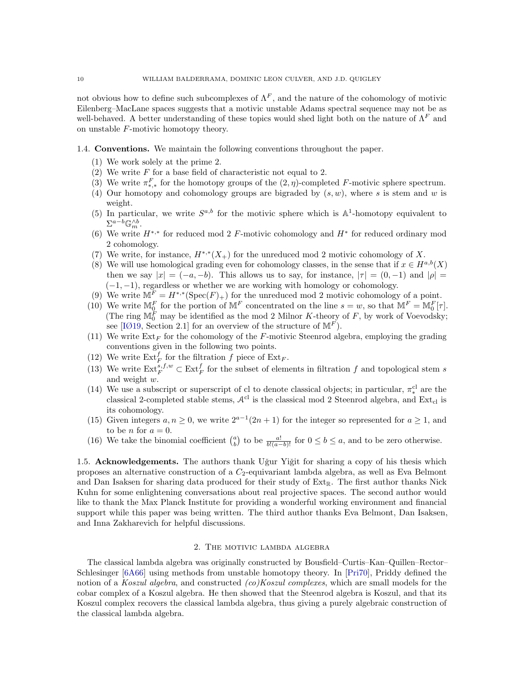not obvious how to define such subcomplexes of  $\Lambda^F$ , and the nature of the cohomology of motivic Eilenberg–MacLane spaces suggests that a motivic unstable Adams spectral sequence may not be as well-behaved. A better understanding of these topics would shed light both on the nature of  $\Lambda^F$  and on unstable F-motivic homotopy theory.

#### <span id="page-9-1"></span>1.4. Conventions. We maintain the following conventions throughout the paper.

- (1) We work solely at the prime 2.
- (2) We write  $F$  for a base field of characteristic not equal to 2.
- (3) We write  $\pi_{*,*}^F$  for the homotopy groups of the  $(2, \eta)$ -completed F-motivic sphere spectrum.
- (4) Our homotopy and cohomology groups are bigraded by  $(s, w)$ , where s is stem and w is weight.
- (5) In particular, we write  $S^{a,b}$  for the motivic sphere which is  $\mathbb{A}^1$ -homotopy equivalent to  $\Sigma^{a-b}\mathbb{G}_m^{\wedge b}.$
- (6) We write  $H^{*,*}$  for reduced mod 2 F-motivic cohomology and  $H^*$  for reduced ordinary mod 2 cohomology.
- (7) We write, for instance,  $H^{*,*}(X_+)$  for the unreduced mod 2 motivic cohomology of X.
- (8) We will use homological grading even for cohomology classes, in the sense that if  $x \in H^{a,b}(X)$ then we say  $|x| = (-a, -b)$ . This allows us to say, for instance,  $|\tau| = (0, -1)$  and  $|\rho| =$  $(-1, -1)$ , regardless or whether we are working with homology or cohomology.
- (9) We write  $M^F = H^{*,*}(\text{Spec}(F)_+)$  for the unreduced mod 2 motivic cohomology of a point.
- (10) We write  $\mathbb{M}_{0}^{F}$  for the portion of  $\mathbb{M}^{F}$  concentrated on the line  $s = w$ , so that  $\mathbb{M}^{F} = \mathbb{M}_{0}^{F}[\tau]$ . (The ring  $\mathbb{M}_0^F$  may be identified as the mod 2 Milnor K-theory of F, by work of Voevodsky; see [\[IØ19,](#page-61-6) Section 2.1] for an overview of the structure of  $\mathbb{M}^F$ ).
- (11) We write  $\text{Ext}_F$  for the cohomology of the F-motivic Steenrod algebra, employing the grading conventions given in the following two points.
- (12) We write  $\mathrm{Ext}^f_F$  for the filtration f piece of  $\mathrm{Ext}_F$ .
- (13) We write  $\text{Ext}^{s,f,w}_F \subset \text{Ext}^f_F$  for the subset of elements in filtration f and topological stem s and weight w.
- (14) We use a subscript or superscript of cl to denote classical objects; in particular,  $\pi_*^{\text{cl}}$  are the classical 2-completed stable stems,  $A^{cl}$  is the classical mod 2 Steenrod algebra, and Ext<sub>cl</sub> is its cohomology.
- (15) Given integers  $a, n \geq 0$ , we write  $2^{a-1}(2n+1)$  for the integer so represented for  $a \geq 1$ , and to be *n* for  $a = 0$ .
- (16) We take the binomial coefficient  $\binom{a}{b}$  to be  $\frac{a!}{b!(a-b)!}$  for  $0 \le b \le a$ , and to be zero otherwise.

1.5. Acknowledgements. The authors thank Uğur Yiğit for sharing a copy of his thesis which proposes an alternative construction of a  $C_2$ -equivariant lambda algebra, as well as Eva Belmont and Dan Isaksen for sharing data produced for their study of  $Ext_{\mathbb{R}}$ . The first author thanks Nick Kuhn for some enlightening conversations about real projective spaces. The second author would like to thank the Max Planck Institute for providing a wonderful working environment and financial support while this paper was being written. The third author thanks Eva Belmont, Dan Isaksen, and Inna Zakharevich for helpful discussions.

## 2. The motivic lambda algebra

<span id="page-9-0"></span>The classical lambda algebra was originally constructed by Bousfield–Curtis–Kan–Quillen–Rector– Schlesinger [\[6A66\]](#page-60-15) using methods from unstable homotopy theory. In [\[Pri70\]](#page-61-16), Priddy defined the notion of a Koszul algebra, and constructed (co)Koszul complexes, which are small models for the cobar complex of a Koszul algebra. He then showed that the Steenrod algebra is Koszul, and that its Koszul complex recovers the classical lambda algebra, thus giving a purely algebraic construction of the classical lambda algebra.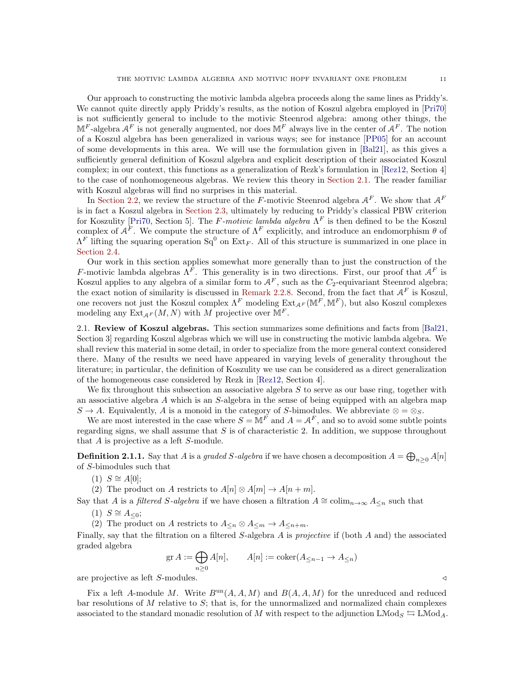Our approach to constructing the motivic lambda algebra proceeds along the same lines as Priddy's. We cannot quite directly apply Priddy's results, as the notion of Koszul algebra employed in [\[Pri70\]](#page-61-16) is not sufficiently general to include to the motivic Steenrod algebra: among other things, the  $\mathbb{M}^F$ -algebra  $\mathcal{A}^F$  is not generally augmented, nor does  $\mathbb{M}^F$  always live in the center of  $\mathcal{A}^F$ . The notion of a Koszul algebra has been generalized in various ways; see for instance [\[PP05\]](#page-61-22) for an account of some developments in this area. We will use the formulation given in [\[Bal21\]](#page-60-27), as this gives a sufficiently general definition of Koszul algebra and explicit description of their associated Koszul complex; in our context, this functions as a generalization of Rezk's formulation in [\[Rez12,](#page-61-23) Section 4] to the case of nonhomogeneous algebras. We review this theory in [Section 2.1.](#page-10-0) The reader familiar with Koszul algebras will find no surprises in this material.

In [Section 2.2,](#page-14-0) we review the structure of the F-motivic Steenrod algebra  $A^F$ . We show that  $A^F$ is in fact a Koszul algebra in [Section 2.3,](#page-16-1) ultimately by reducing to Priddy's classical PBW criterion for Koszulity [\[Pri70,](#page-61-16) Section 5]. The F-motivic lambda algebra  $\Lambda^F$  is then defined to be the Koszul complex of  $A^F$ . We compute the structure of  $\Lambda^F$  explicitly, and introduce an endomorphism  $\theta$  of  $\Lambda^F$  lifting the squaring operation  $Sq^0$  on  $Ext_F$ . All of this structure is summarized in one place in [Section 2.4.](#page-22-0)

Our work in this section applies somewhat more generally than to just the construction of the F-motivic lambda algebras  $\Lambda^F$ . This generality is in two directions. First, our proof that  $\mathcal{A}^F$  is Koszul applies to any algebra of a similar form to  $A<sup>F</sup>$ , such as the  $C_2$ -equivariant Steenrod algebra; the exact notion of similarity is discussed in [Remark 2.2.8.](#page-16-0) Second, from the fact that  $A<sup>F</sup>$  is Koszul, one recovers not just the Koszul complex  $\Lambda^F$  modeling  $Ext_{\mathcal{A}^F}(\mathbb{M}^F, \mathbb{M}^F)$ , but also Koszul complexes modeling any  $\text{Ext}_{AF}(M, N)$  with M projective over  $\mathbb{M}^F$ .

<span id="page-10-0"></span>2.1. Review of Koszul algebras. This section summarizes some definitions and facts from [\[Bal21,](#page-60-27) Section 3] regarding Koszul algebras which we will use in constructing the motivic lambda algebra. We shall review this material in some detail, in order to specialize from the more general context considered there. Many of the results we need have appeared in varying levels of generality throughout the literature; in particular, the definition of Koszulity we use can be considered as a direct generalization of the homogeneous case considered by Rezk in [\[Rez12,](#page-61-23) Section 4].

We fix throughout this subsection an associative algebra  $S$  to serve as our base ring, together with an associative algebra A which is an S-algebra in the sense of being equipped with an algebra map  $S \to A$ . Equivalently, A is a monoid in the category of S-bimodules. We abbreviate  $\otimes = \otimes_S$ .

We are most interested in the case where  $S = \mathbb{M}^F$  and  $A = \mathcal{A}^F$ , and so to avoid some subtle points regarding signs, we shall assume that  $S$  is of characteristic 2. In addition, we suppose throughout that A is projective as a left S-module.

**Definition 2.1.1.** Say that A is a graded S-algebra if we have chosen a decomposition  $A = \bigoplus_{n \geq 0} A[n]$ of S-bimodules such that

 $(1)$   $S \cong A[0];$ 

(2) The product on A restricts to  $A[n] \otimes A[m] \rightarrow A[n+m]$ .

Say that A is a filtered S-algebra if we have chosen a filtration  $A \cong \text{colim}_{n \to \infty} A_{\leq n}$  such that

 $(1)$  S ≅ A<sub><0</sub>;

(2) The product on A restricts to  $A_{\leq n} \otimes A_{\leq m} \to A_{\leq n+m}$ .

Finally, say that the filtration on a filtered  $S$ -algebra A is projective if (both A and) the associated graded algebra

> $\operatorname{gr} A := \bigoplus$  $n\geq 0$  $A[n], \qquad A[n] := \text{coker}(A_{\leq n-1} \to A_{\leq n})$

are projective as left S-modules.

Fix a left A-module M. Write  $B<sup>un</sup>(A, A, M)$  and  $B(A, A, M)$  for the unreduced and reduced bar resolutions of  $M$  relative to  $S$ ; that is, for the unnormalized and normalized chain complexes associated to the standard monadic resolution of M with respect to the adjunction  $\text{LMod}_{S} \leftrightarrows \text{LMod}_{A}$ .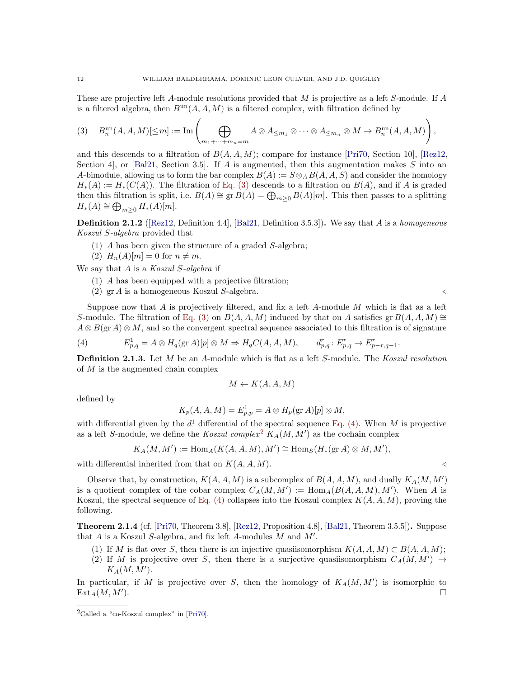These are projective left A-module resolutions provided that  $M$  is projective as a left S-module. If  $A$ is a filtered algebra, then  $B^{\text{un}}(A, A, M)$  is a filtered complex, with filtration defined by

<span id="page-11-0"></span>
$$
(3) \quad B_n^{\mathrm{un}}(A, A, M)[\leq m] := \mathrm{Im}\left(\bigoplus_{m_1 + \dots + m_n = m} A \otimes A_{\leq m_1} \otimes \dots \otimes A_{\leq m_n} \otimes M \to B_n^{\mathrm{un}}(A, A, M)\right),
$$

and this descends to a filtration of  $B(A, A, M)$ ; compare for instance [\[Pri70,](#page-61-16) Section 10], [\[Rez12,](#page-61-23) Section 4, or [\[Bal21,](#page-60-27) Section 3.5]. If A is augmented, then this augmentation makes S into an A-bimodule, allowing us to form the bar complex  $B(A) := S \otimes_A B(A, A, S)$  and consider the homology  $H_*(A) := H_*(C(A))$ . The filtration of [Eq. \(3\)](#page-11-0) descends to a filtration on  $B(A)$ , and if A is graded then this filtration is split, i.e.  $B(A) \cong \text{gr } B(A) = \bigoplus_{m \geq 0} B(A)[m]$ . This then passes to a splitting  $H_*(A) \cong \bigoplus_{m \geq 0} H_*(A)[m].$ 

**Definition 2.1.2** ([\[Rez12,](#page-61-23) Definition 4.4], [\[Bal21,](#page-60-27) Definition 3.5.3]). We say that A is a homogeneous Koszul S-algebra provided that

- (1) A has been given the structure of a graded S-algebra;
- (2)  $H_n(A)[m] = 0$  for  $n \neq m$ .

We say that  $A$  is a Koszul S-algebra if

- (1) A has been equipped with a projective filtration;
- (2) gr A is a homogeneous Koszul S-algebra. /

Suppose now that  $A$  is projectively filtered, and fix a left  $A$ -module  $M$  which is flat as a left S-module. The filtration of [Eq. \(3\)](#page-11-0) on  $B(A, A, M)$  induced by that on A satisfies gr  $B(A, A, M) \cong$  $A \otimes B(\text{gr }A) \otimes M$ , and so the convergent spectral sequence associated to this filtration is of signature

<span id="page-11-1"></span>(4) 
$$
E_{p,q}^1 = A \otimes H_q(\text{gr }A)[p] \otimes M \Rightarrow H_qC(A, A, M), \qquad d_{p,q}^r : E_{p,q}^r \to E_{p-r,q-1}^r
$$

<span id="page-11-3"></span>**Definition 2.1.3.** Let M be an A-module which is flat as a left S-module. The Koszul resolution of M is the augmented chain complex

$$
M \leftarrow K(A, A, M)
$$

defined by

$$
K_p(A, A, M) = E_{p,p}^1 = A \otimes H_p(\text{gr }A)[p] \otimes M,
$$

with differential given by the  $d^1$  differential of the spectral sequence [Eq. \(4\).](#page-11-1) When M is projective as a left S-module, we define the Koszul complex<sup>[2](#page-11-2)</sup>  $K_A(M, M')$  as the cochain complex

$$
K_A(M, M') := \text{Hom}_A(K(A, A, M), M') \cong \text{Hom}_S(H_*(\text{gr }A) \otimes M, M'),
$$

with differential inherited from that on  $K(A, A, M)$ .

Observe that, by construction,  $K(A, A, M)$  is a subcomplex of  $B(A, A, M)$ , and dually  $K_A(M, M')$ is a quotient complex of the cobar complex  $C_A(M, M') := \text{Hom}_A(B(A, A, M), M')$ . When A is Koszul, the spectral sequence of Eq.  $(4)$  collapses into the Koszul complex  $K(A, A, M)$ , proving the following.

<span id="page-11-4"></span>**Theorem 2.1.4** (cf. [\[Pri70,](#page-61-16) Theorem 3.8], [\[Rez12,](#page-61-23) Proposition 4.8], [\[Bal21,](#page-60-27) Theorem 3.5.5]). Suppose that  $A$  is a Koszul S-algebra, and fix left  $A$ -modules  $M$  and  $M'$ .

- (1) If M is flat over S, then there is an injective quasiisomorphism  $K(A, A, M) \subset B(A, A, M)$ ;
- (2) If M is projective over S, then there is a surjective quasiisomorphism  $C_A(M, M') \rightarrow$  $K_A(M,M').$

In particular, if M is projective over S, then the homology of  $K_A(M, M')$  is isomorphic to  $\text{Ext}_{A}(M, M').$ ).

$$
\mathrel{\triangleleft}
$$

.

<span id="page-11-2"></span> ${}^{2}$ Called a "co-Koszul complex" in [\[Pri70\]](#page-61-16).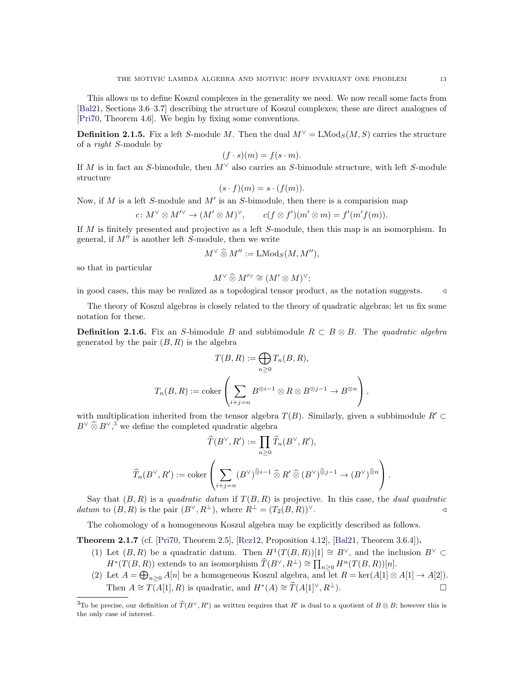This allows us to define Koszul complexes in the generality we need. We now recall some facts from [\[Bal21,](#page-60-27) Sections 3.6–3.7] describing the structure of Koszul complexes; these are direct analogues of [\[Pri70,](#page-61-16) Theorem 4.6]. We begin by fixing some conventions.

**Definition 2.1.5.** Fix a left S-module M. Then the dual  $M^{\vee} = L \text{Mod}_S(M, S)$  carries the structure of a right S-module by

$$
(f \cdot s)(m) = f(s \cdot m).
$$

If M is in fact an S-bimodule, then  $M^{\vee}$  also carries an S-bimodule structure, with left S-module structure

$$
(s \cdot f)(m) = s \cdot (f(m)).
$$

Now, if  $M$  is a left S-module and  $M'$  is an S-bimodule, then there is a comparision map

$$
c\colon M^{\vee}\otimes M^{\wedge\vee}\to (M^{\prime}\otimes M)^{\vee},\qquad c(f\otimes f^{\prime})(m^{\prime}\otimes m)=f^{\prime}(m^{\prime}f(m)).
$$

If M is finitely presented and projective as a left S-module, then this map is an isomorphism. In general, if  $M''$  is another left S-module, then we write

$$
M^{\vee} \widehat{\otimes} M'':=\operatorname{LMod}_S(M,M''),
$$

so that in particular

$$
M^\vee\mathbin{\widehat{\otimes}} M'^\vee\cong (M'\otimes M)^\vee;
$$

in good cases, this may be realized as a topological tensor product, as the notation suggests. /

The theory of Koszul algebras is closely related to the theory of quadratic algebras; let us fix some notation for these.

**Definition 2.1.6.** Fix an S-bimodule B and subbimodule  $R \subset B \otimes B$ . The quadratic algebra generated by the pair  $(B, R)$  is the algebra

$$
T(B, R) := \bigoplus_{n \ge 0} T_n(B, R),
$$
  

$$
T_n(B, R) := \text{coker}\left(\sum_{i+j=n} B^{\otimes i-1} \otimes R \otimes B^{\otimes j-1} \to B^{\otimes n}\right),
$$

with multiplication inherited from the tensor algebra  $T(B)$ . Similarly, given a subbimodule  $R' \subset$  $B^{\vee}$   $\widehat{\otimes}$   $B^{\vee}$ ,<sup>[3](#page-12-0)</sup> we define the completed quadratic algebra

$$
\widehat{T}(B^{\vee}, R') := \prod_{n \geq 0} \widehat{T}_n(B^{\vee}, R'),
$$
  

$$
\widehat{T}_n(B^{\vee}, R') := \operatorname{coker}\left(\sum_{i+j=n} (B^{\vee})^{\widehat{\otimes} i-1} \widehat{\otimes} R' \widehat{\otimes} (B^{\vee})^{\widehat{\otimes} j-1} \to (B^{\vee})^{\widehat{\otimes} n}\right).
$$

Say that  $(B, R)$  is a quadratic datum if  $T(B, R)$  is projective. In this case, the dual quadratic datum to  $(B, R)$  is the pair  $(B^{\vee}, R^{\perp})$ , where  $R^{\perp} = (T_2(B, R))^{\vee}$ .

The cohomology of a homogeneous Koszul algebra may be explicitly described as follows.

<span id="page-12-1"></span>**Theorem 2.1.7** (cf. [\[Pri70,](#page-61-16) Theorem 2.5], [\[Rez12,](#page-61-23) Proposition 4.12], [\[Bal21,](#page-60-27) Theorem 3.6.4]).

- (1) Let  $(B, R)$  be a quadratic datum. Then  $H^1(T(B, R))[1] \cong B^{\vee}$ , and the inclusion  $B^{\vee} \subset$  $H^*(T(B, R))$  extends to an isomorphism  $\widehat{T}(B^{\vee}, R^{\perp}) \cong \prod_{n \geq 0} H^n(T(B, R))[n].$
- (2) Let  $A = \bigoplus_{n \geq 0} A[n]$  be a homogeneous Koszul algebra, and let  $R = \text{ker}(A[1] \otimes A[1] \rightarrow A[2])$ . Then  $A \cong \overline{T(A[1], R)}$  is quadratic, and  $H^*(A) \cong \widehat{T}(A[1]^\vee, R^{\perp}).$

<span id="page-12-0"></span><sup>&</sup>lt;sup>3</sup>To be precise, our definition of  $\widehat{T}(B^{\vee}, R')$  as written requires that R' is dual to a quotient of  $B \otimes B$ ; however this is the only case of interest.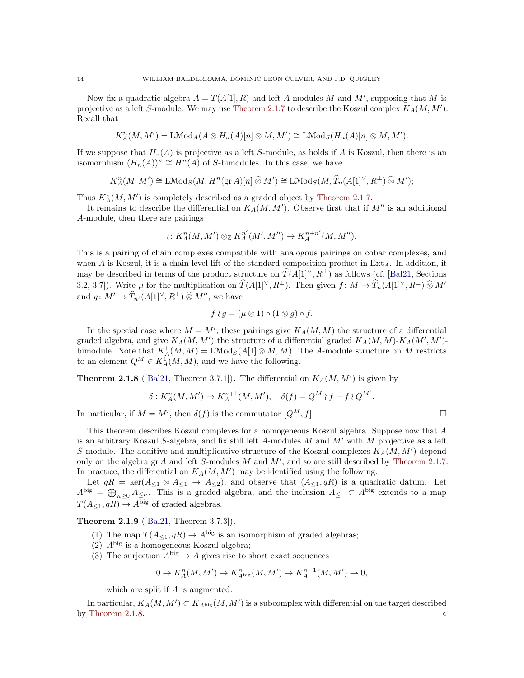Now fix a quadratic algebra  $A = T(A[1], R)$  and left A-modules M and M', supposing that M is projective as a left S-module. We may use [Theorem 2.1.7](#page-12-1) to describe the Koszul complex  $K_A(M, M')$ . Recall that

$$
K_A^n(M, M') = \text{LMod}_A(A \otimes H_n(A)[n] \otimes M, M') \cong \text{LMod}_S(H_n(A)[n] \otimes M, M').
$$

If we suppose that  $H_*(A)$  is projective as a left S-module, as holds if A is Koszul, then there is an isomorphism  $(H_n(A))^{\vee} \cong H^n(A)$  of S-bimodules. In this case, we have

$$
K_A^n(M, M') \cong \operatorname{LMod}_S(M, H^n(\operatorname{gr} A)[n] \widehat{\otimes} M') \cong \operatorname{LMod}_S(M, \widehat{T}_n(A[1]^{\vee}, R^{\perp}) \widehat{\otimes} M');
$$

Thus  $K_A^*(M, M')$  is completely described as a graded object by [Theorem 2.1.7.](#page-12-1)

It remains to describe the differential on  $K_A(M, M')$ . Observe first that if  $M''$  is an additional A-module, then there are pairings

$$
\wr: K_A^n(M, M') \otimes_{\mathbb{Z}} K_A^{n'}(M', M'') \to K_A^{n+n'}(M, M'').
$$

This is a pairing of chain complexes compatible with analogous pairings on cobar complexes, and when A is Koszul, it is a chain-level lift of the standard composition product in  $Ext_A$ . In addition, it may be described in terms of the product structure on  $\hat{T}(A[1]^\vee, R^{\perp})$  as follows (cf. [\[Bal21,](#page-60-27) Sections] 3.2, 3.7]). Write  $\mu$  for the multiplication on  $\widehat{T}(A[1]^\vee, R^{\perp})$ . Then given  $f: M \to \widehat{T}_n(A[1]^\vee, R^{\perp}) \widehat{\otimes} M'$ and  $g: M' \to \widehat{T}_{n'}(A[1]^\vee, R^{\perp}) \widehat{\otimes} M''$ , we have

$$
f \wr g = (\mu \otimes 1) \circ (1 \otimes g) \circ f.
$$

In the special case where  $M = M'$ , these pairings give  $K_A(M, M)$  the structure of a differential graded algebra, and give  $K_A(M, M')$  the structure of a differential graded  $K_A(M, M)$ - $K_A(M', M')$ bimodule. Note that  $K^1_A(M,M) = \text{LMod}_S(A[1] \otimes M,M)$ . The A-module structure on M restricts to an element  $Q^M \in K^1_A(M, M)$ , and we have the following.

<span id="page-13-0"></span>**Theorem 2.1.8** ([\[Bal21,](#page-60-27) Theorem 3.7.1]). The differential on  $K_A(M, M')$  is given by

$$
\delta: K_A^n(M, M') \to K_A^{n+1}(M, M'), \quad \delta(f) = Q^M \wr f - f \wr Q^{M'}.
$$

In particular, if  $M = M'$ , then  $\delta(f)$  is the commutator  $[Q^M, f]$ .

This theorem describes Koszul complexes for a homogeneous Koszul algebra. Suppose now that A is an arbitrary Koszul S-algebra, and fix still left A-modules M and  $M'$  with M projective as a left S-module. The additive and multiplicative structure of the Koszul complexes  $K_A(M, M')$  depend only on the algebra  $gr A$  and left S-modules  $M$  and  $M'$ , and so are still described by [Theorem 2.1.7.](#page-12-1) In practice, the differential on  $K_A(M, M')$  may be identified using the following.

Let  $qR = \text{ker}(A_{\leq 1} \otimes A_{\leq 1} \rightarrow A_{\leq 2})$ , and observe that  $(A_{\leq 1}, qR)$  is a quadratic datum. Let  $A^{\text{big}} = \bigoplus_{n\geq 0} A_{\leq n}$ . This is a graded algebra, and the inclusion  $A_{\leq 1} \subset A^{\text{big}}$  extends to a map  $T(A_{\leq 1}, qR) \rightarrow A^{\text{big}}$  of graded algebras.

<span id="page-13-1"></span>Theorem 2.1.9 ([\[Bal21,](#page-60-27) Theorem 3.7.3]).

- (1) The map  $T(A_{\leq 1}, qR) \to A^{\text{big}}$  is an isomorphism of graded algebras;
- (2)  $A<sup>big</sup>$  is a homogeneous Koszul algebra;
- (3) The surjection  $A^{big} \rightarrow A$  gives rise to short exact sequences

$$
0 \to K_A^n(M, M') \to K_{A^{\mathrm{big}}}^n(M, M') \to K_A^{n-1}(M, M') \to 0,
$$

which are split if A is augmented.

In particular,  $K_A(M, M') \subset K_{A^{big}}(M, M')$  is a subcomplex with differential on the target described by [Theorem 2.1.8.](#page-13-0)  $\triangleleft$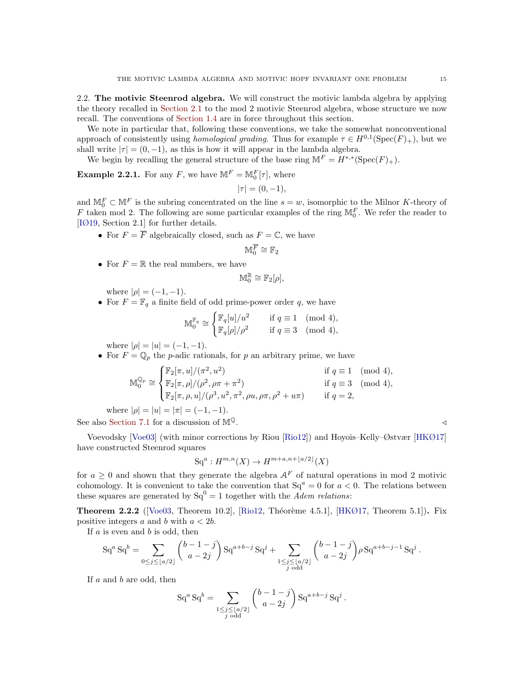<span id="page-14-0"></span>2.2. The motivic Steenrod algebra. We will construct the motivic lambda algebra by applying the theory recalled in [Section 2.1](#page-10-0) to the mod 2 motivic Steenrod algebra, whose structure we now recall. The conventions of [Section 1.4](#page-9-1) are in force throughout this section.

We note in particular that, following these conventions, we take the somewhat nonconventional approach of consistently using *homological grading*. Thus for example  $\tau \in H^{0,1}(\text{Spec}(F)_+)$ , but we shall write  $|\tau| = (0, -1)$ , as this is how it will appear in the lambda algebra.

We begin by recalling the general structure of the base ring  $\mathbb{M}^F = H^{*,*}(\text{Spec}(F)_+).$ 

<span id="page-14-2"></span>**Example 2.2.1.** For any F, we have  $\mathbb{M}^F = \mathbb{M}_0^F[\tau]$ , where

$$
|\tau|=(0,-1),
$$

and  $\mathbb{M}_0^F \subset \mathbb{M}^F$  is the subring concentrated on the line  $s = w$ , isomorphic to the Milnor K-theory of F taken mod 2. The following are some particular examples of the ring  $\mathbb{M}_0^F$ . We refer the reader to [\[IØ19,](#page-61-6) Section 2.1] for further details.

• For  $F = \overline{F}$  algebraically closed, such as  $F = \mathbb{C}$ , we have

$$
\mathbb{M}^{\overline{F}}_0\cong \mathbb{F}_2
$$

• For  $F = \mathbb{R}$  the real numbers, we have

$$
\mathbb{M}_0^{\mathbb{R}}\cong \mathbb{F}_2[\rho],
$$

where  $|\rho| = (-1, -1)$ .

• For  $F = \mathbb{F}_q$  a finite field of odd prime-power order q, we have

$$
\mathbb{M}_0^{\mathbb{F}_q} \cong \begin{cases} \mathbb{F}_q[u]/u^2 & \text{if } q \equiv 1 \pmod{4}, \\ \mathbb{F}_q[\rho]/\rho^2 & \text{if } q \equiv 3 \pmod{4}, \end{cases}
$$

where  $|\rho| = |u| = (-1, -1)$ .

• For  $F = \mathbb{Q}_p$  the *p*-adic rationals, for *p* an arbitrary prime, we have

$$
\mathbb{M}_0^{\mathbb{Q}_p} \cong \begin{cases} \mathbb{F}_2[\pi, u]/(\pi^2, u^2) & \text{if } q \equiv 1 \pmod{4}, \\ \mathbb{F}_2[\pi, \rho]/(\rho^2, \rho \pi + \pi^2) & \text{if } q \equiv 3 \pmod{4}, \\ \mathbb{F}_2[\pi, \rho, u]/(\rho^3, u^2, \pi^2, \rho u, \rho \pi, \rho^2 + u \pi) & \text{if } q = 2, \end{cases}
$$

where  $|\rho| = |u| = |\pi| = (-1, -1)$ .

See also [Section 7.1](#page-46-0) for a discussion of  $\mathbb{M}^{\mathbb{Q}}$ .

Voevodsky [\[Voe03\]](#page-62-0) (with minor corrections by Riou [\[Rio12\]](#page-61-24)) and Hoyois–Kelly–Østvær [\[HKØ17\]](#page-61-9) have constructed Steenrod squares

$$
\mathrm{Sq}^a: H^{m,n}(X) \to H^{m+a,n+\lfloor a/2 \rfloor}(X)
$$

for  $a \geq 0$  and shown that they generate the algebra  $A<sup>F</sup>$  of natural operations in mod 2 motivic cohomology. It is convenient to take the convention that  $Sq^a = 0$  for  $a < 0$ . The relations between these squares are generated by  $Sq^{0} = 1$  together with the *Adem relations*:

<span id="page-14-1"></span>**Theorem 2.2.2** ([\[Voe03,](#page-62-0) Theorem 10.2], [\[Rio12,](#page-61-24) Théorème 4.5.1], [\[HKØ17,](#page-61-9) Theorem 5.1]). Fix positive integers a and b with  $a < 2b$ .

If  $a$  is even and  $b$  is odd, then

$$
Sq^{a} Sq^{b} = \sum_{0 \leq j \leq \lfloor a/2 \rfloor} {b-1-j \choose a-2j} Sq^{a+b-j} Sq^{j} + \sum_{\substack{1 \leq j \leq \lfloor a/2 \rfloor \\ j \text{ odd}}} {b-1-j \choose a-2j} \rho Sq^{a+b-j-1} Sq^{j}.
$$

If  $a$  and  $b$  are odd, then

$$
Sq^{a} Sq^{b} = \sum_{\substack{1 \le j \le \lfloor a/2 \rfloor \\ j \text{ odd}}} {b-1-j \choose a-2j} Sq^{a+b-j} Sq^{j}.
$$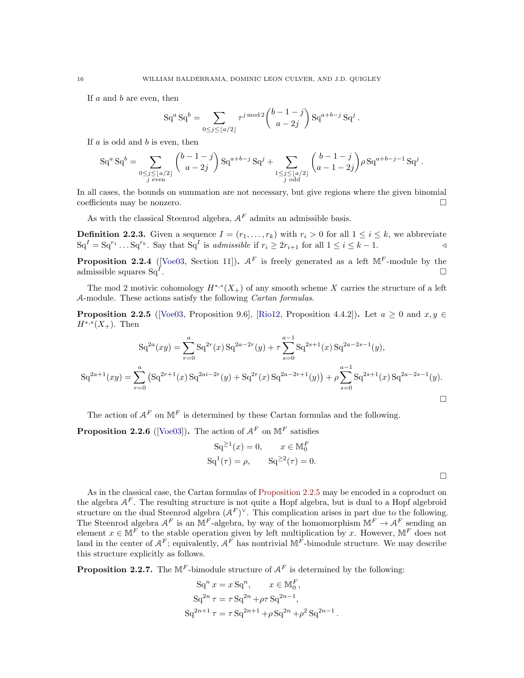If  $a$  and  $b$  are even, then

$$
Sq^{a} Sq^{b} = \sum_{0 \leq j \leq \lfloor a/2 \rfloor} \tau^{j \bmod 2} {b-1-j \choose a-2j} Sq^{a+b-j} Sq^{j}.
$$

If  $a$  is odd and  $b$  is even, then

$$
\mathrm{Sq}^a \, \mathrm{Sq}^b = \sum_{\substack{0 \le j \le \lfloor a/2 \rfloor \\ j \text{ even}}} \binom{b-1-j}{a-2j} \, \mathrm{Sq}^{a+b-j} \, \mathrm{Sq}^j + \sum_{\substack{1 \le j \le \lfloor a/2 \rfloor \\ j \text{ odd}}} \binom{b-1-j}{a-1-2j} \rho \, \mathrm{Sq}^{a+b-j-1} \, \mathrm{Sq}^j \, .
$$

In all cases, the bounds on summation are not necessary, but give regions where the given binomial coefficients may be nonzero.

As with the classical Steenrod algebra,  $A<sup>F</sup>$  admits an admissible basis.

**Definition 2.2.3.** Given a sequence  $I = (r_1, \ldots, r_k)$  with  $r_i > 0$  for all  $1 \leq i \leq k$ , we abbreviate  $\operatorname{Sq}^I = \operatorname{Sq}^{r_1} \dots \operatorname{Sq}^{r_k}$ . Say that  $\operatorname{Sq}^I$  is *admissible* if  $r_i \geq 2r_{i+1}$  for all  $1 \leq i \leq k-1$ .

**Proposition 2.2.4** ([\[Voe03,](#page-62-0) Section 11]).  $A^F$  is freely generated as a left  $M^F$ -module by the admissible squares  $Sq<sup>I</sup>$ . .

The mod 2 motivic cohomology  $H^{*,*}(X_+)$  of any smooth scheme X carries the structure of a left A-module. These actions satisfy the following Cartan formulas.

<span id="page-15-0"></span>**Proposition 2.2.5** ([\[Voe03,](#page-62-0) Proposition 9.6], [\[Rio12,](#page-61-24) Proposition 4.4.2]). Let  $a \ge 0$  and  $x, y \in$  $H^{*,*}(X_+)$ . Then

$$
Sq^{2a}(xy) = \sum_{r=0}^{a} Sq^{2r}(x) Sq^{2a-2r}(y) + \tau \sum_{s=0}^{a-1} Sq^{2s+1}(x) Sq^{2a-2s-1}(y),
$$
  

$$
Sq^{2a+1}(xy) = \sum_{r=0}^{a} (Sq^{2r+1}(x) Sq^{2ai-2r}(y) + Sq^{2r}(x) Sq^{2a-2r+1}(y)) + \rho \sum_{s=0}^{a-1} Sq^{2s+1}(x) Sq^{2a-2s-1}(y).
$$

The action of  $\mathcal{A}^F$  on  $\mathbb{M}^F$  is determined by these Cartan formulas and the following.

<span id="page-15-1"></span>**Proposition 2.2.6** ([\[Voe03\]](#page-62-0)). The action of  $A^F$  on  $M^F$  satisfies

$$
Sq^{\ge 1}(x) = 0,
$$
  $x \in M_0^F$   
\n $Sq^1(\tau) = \rho,$   $Sq^{\ge 2}(\tau) = 0.$ 

As in the classical case, the Cartan formulas of [Proposition 2.2.5](#page-15-0) may be encoded in a coproduct on the algebra  $A<sup>F</sup>$ . The resulting structure is not quite a Hopf algebra, but is dual to a Hopf algebroid structure on the dual Steenrod algebra  $(A^F)^\vee$ . This complication arises in part due to the following. The Steenrod algebra  $A^F$  is an M<sup>F</sup>-algebra, by way of the homomorphism  $\mathbb{M}^F \to A^F$  sending an element  $x \in \mathbb{M}^F$  to the stable operation given by left multiplication by x. However,  $\mathbb{M}^F$  does not land in the center of  $A^F$ ; equivalently,  $A^F$  has nontrivial  $M^F$ -bimodule structure. We may describe this structure explicitly as follows.

<span id="page-15-2"></span>**Proposition 2.2.7.** The  $M^F$ -bimodule structure of  $A^F$  is determined by the following:

$$
Sq^{n} x = x Sq^{n}, \qquad x \in M_{0}^{F},
$$
  
\n
$$
Sq^{2n} \tau = \tau Sq^{2n} + \rho \tau Sq^{2n-1},
$$
  
\n
$$
Sq^{2n+1} \tau = \tau Sq^{2n+1} + \rho Sq^{2n} + \rho^{2} Sq^{2n-1}.
$$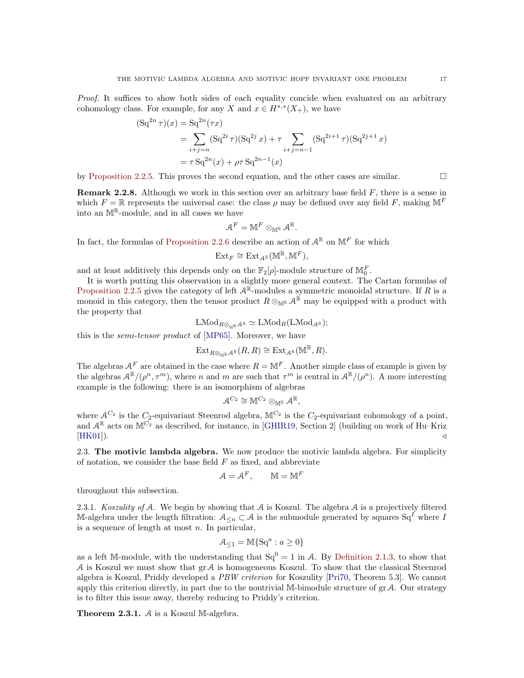Proof. It suffices to show both sides of each equality concide when evaluated on an arbitrary cohomology class. For example, for any X and  $x \in H^{*,*}(X_+)$ , we have

$$
(Sq^{2n} \tau)(x) = Sq^{2n}(\tau x)
$$
  
= 
$$
\sum_{i+j=n} (Sq^{2i} \tau)(Sq^{2j} x) + \tau \sum_{i+j=n-1} (Sq^{2i+1} \tau)(Sq^{2j+1} x)
$$
  
= 
$$
\tau Sq^{2n}(x) + \rho \tau Sq^{2n-1}(x)
$$

by [Proposition 2.2.5.](#page-15-0) This proves the second equation, and the other cases are similar.  $\Box$ 

<span id="page-16-0"></span>**Remark 2.2.8.** Although we work in this section over an arbitrary base field  $F$ , there is a sense in which  $F = \mathbb{R}$  represents the universal case: the class  $\rho$  may be defined over any field F, making  $\mathbb{M}^F$ into an  $M^{\mathbb{R}}$ -module, and in all cases we have

$$
\mathcal{A}^F=\mathbb{M}^F\otimes_{\mathbb{M}^{\mathbb{R}}}\mathcal{A}^{\mathbb{R}}.
$$

In fact, the formulas of [Proposition 2.2.6](#page-15-1) describe an action of  $\mathcal{A}^{\mathbb{R}}$  on  $\mathbb{M}^F$  for which

$$
\mathrm{Ext}_F \cong \mathrm{Ext}_{\mathcal{A}^\mathbb{R}}(\mathbb{M}^\mathbb{R}, \mathbb{M}^F),
$$

and at least additively this depends only on the  $\mathbb{F}_2[\rho]$ -module structure of  $\mathbb{M}_0^F$ .

It is worth putting this observation in a slightly more general context. The Cartan formulas of [Proposition 2.2.5](#page-15-0) gives the category of left  $A^{\mathbb{R}}$ -modules a symmetric monoidal structure. If R is a monoid in this category, then the tensor product  $R \otimes_{\mathbb{M}^{\mathbb{R}}} A^{\mathbb{R}}$  may be equipped with a product with the property that

$$
\operatorname{LMod}_{R\otimes_{\mathbb{M}^\mathbb{R}}\mathcal{A}^\mathbb{R}}\simeq \operatorname{LMod}_R(\operatorname{LMod}_{\mathcal{A}^\mathbb{R}});
$$

this is the semi-tensor product of [\[MP65\]](#page-61-25). Moreover, we have

$$
\operatorname{Ext}_{R\otimes_{\mathbb{M}^{\mathbb{R}}}\mathcal{A}^{\mathbb{R}}}(R,R)\cong \operatorname{Ext}_{\mathcal{A}^{\mathbb{R}}}(\mathbb{M}^{\mathbb{R}},R).
$$

The algebras  $A^F$  are obtained in the case where  $R = \mathbb{M}^F$ . Another simple class of example is given by the algebras  $\mathcal{A}^{\mathbb{R}}/(\rho^n, \tau^m)$ , where n and m are such that  $\tau^m$  is central in  $\mathcal{A}^{\mathbb{R}}/(\rho^n)$ . A more interesting example is the following: there is an isomorphism of algebras

$$
\mathcal{A}^{C_2} \cong \mathbb{M}^{C_2} \otimes_{\mathbb{M}^{\mathbb{R}}} \mathcal{A}^{\mathbb{R}},
$$

where  $\mathcal{A}^{C_2}$  is the  $C_2$ -equivariant Steenrod algebra,  $\mathbb{M}^{C_2}$  is the  $C_2$ -equivariant cohomology of a point, and  $\mathcal{A}^{\mathbb{R}}$  acts on  $\mathbb{M}^{C_2}$  as described, for instance, in [\[GHIR19,](#page-60-28) Section 2] (building on work of Hu–Kriz  $(HKO1$ ).

<span id="page-16-1"></span>2.3. The motivic lambda algebra. We now produce the motivic lambda algebra. For simplicity of notation, we consider the base field  $F$  as fixed, and abbreviate

$$
\mathcal{A} = \mathcal{A}^F, \qquad \mathbb{M} = \mathbb{M}^F
$$

throughout this subsection.

2.3.1. Koszulity of A. We begin by showing that  $A$  is Koszul. The algebra  $A$  is a projectively filtered M-algebra under the length filtration:  $A_{\leq n} \subset A$  is the submodule generated by squares  $Sq^I$  where I is a sequence of length at most  $n$ . In particular,

$$
\mathcal{A}_{\leq 1} = \mathbb{M}\{\mathbf{Sq}^a : a \geq 0\}
$$

as a left M-module, with the understanding that  $Sq^{0} = 1$  in A. By [Definition 2.1.3,](#page-11-3) to show that  $A$  is Koszul we must show that  $\operatorname{gr} A$  is homogeneous Koszul. To show that the classical Steenrod algebra is Koszul, Priddy developed a PBW criterion for Koszulity [\[Pri70,](#page-61-16) Theorem 5.3]. We cannot apply this criterion directly, in part due to the nontrivial M-bimodule structure of  $gr \mathcal{A}$ . Our strategy is to filter this issue away, thereby reducing to Priddy's criterion.

<span id="page-16-2"></span>**Theorem 2.3.1.**  $A$  is a Koszul M-algebra.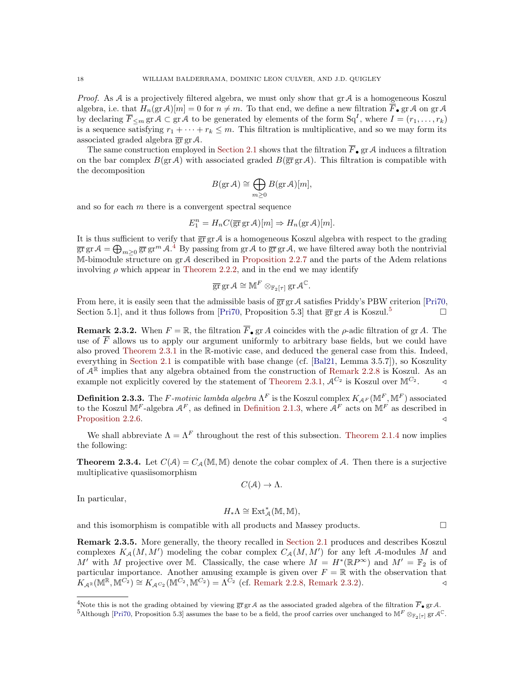*Proof.* As  $A$  is a projectively filtered algebra, we must only show that  $gr A$  is a homogeneous Koszul algebra, i.e. that  $H_n(\text{gr}\,\mathcal{A})[m] = 0$  for  $n \neq m$ . To that end, we define a new filtration  $\overline{F}_{\bullet}$  gr A on gr A by declaring  $\overline{F}_{\leq m}$  gr $\mathcal{A} \subset \text{gr}\,\mathcal{A}$  to be generated by elements of the form  $\text{Sq}^I$ , where  $I = (r_1, \ldots, r_k)$ is a sequence satisfying  $r_1 + \cdots + r_k \leq m$ . This filtration is multiplicative, and so we may form its associated graded algebra  $\overline{gr}$  gr A.

The same construction employed in [Section 2.1](#page-10-0) shows that the filtration  $\overline{F}_{\bullet}$  gr A induces a filtration on the bar complex  $B(\text{gr }A)$  with associated graded  $B(\overline{\text{gr}} \text{ gr }A)$ . This filtration is compatible with the decomposition

$$
B(\operatorname{gr} \mathcal{A}) \cong \bigoplus_{m \geq 0} B(\operatorname{gr} \mathcal{A})[m],
$$

and so for each  $m$  there is a convergent spectral sequence

$$
E_1^n = H_n C(\overline{\text{gr}} \,\text{gr}\,\mathcal{A})[m] \Rightarrow H_n(\text{gr}\,\mathcal{A})[m].
$$

It is thus sufficient to verify that  $\overline{gr}$  gr A is a homogeneous Koszul algebra with respect to the grading  $\overline{\text{gr}}\,\text{gr}\,\mathcal{A}=\bigoplus_{m\geq 0}\overline{\text{gr}}\,\text{gr}^m\,\mathcal{A}.^4$  $\overline{\text{gr}}\,\text{gr}\,\mathcal{A}=\bigoplus_{m\geq 0}\overline{\text{gr}}\,\text{gr}^m\,\mathcal{A}.^4$  By passing from  $\text{gr}\,\mathcal{A}$  to  $\overline{\text{gr}}\,\text{gr}\,\mathcal{A}$ , we have filtered away both the nontrivial M-bimodule structure on  $gr \mathcal{A}$  described in [Proposition 2.2.7](#page-15-2) and the parts of the Adem relations involving  $\rho$  which appear in [Theorem 2.2.2,](#page-14-1) and in the end we may identify

$$
\overline{\mathrm{gr}}\,\mathrm{gr}\,\mathcal{A}\cong \mathbb{M}^F\otimes_{\mathbb{F}_2[\tau]}\mathrm{gr}\,\mathcal{A}^{\mathbb{C}}.
$$

From here, it is easily seen that the admissible basis of  $\overline{gr}$  gr A satisfies Priddy's PBW criterion [\[Pri70,](#page-61-16) Section 5.1, and it thus follows from [\[Pri70,](#page-61-16) Proposition [5](#page-17-2).3] that  $\overline{gr}$  gr A is Koszul.<sup>5</sup>

<span id="page-17-3"></span>**Remark 2.3.2.** When  $F = \mathbb{R}$ , the filtration  $\overline{F}_{\bullet}$  gr A coincides with the  $\rho$ -adic filtration of gr A. The use of  $\overline{F}$  allows us to apply our argument uniformly to arbitrary base fields, but we could have also proved [Theorem 2.3.1](#page-16-2) in the R-motivic case, and deduced the general case from this. Indeed, everything in [Section 2.1](#page-10-0) is compatible with base change (cf. [\[Bal21,](#page-60-27) Lemma 3.5.7]), so Koszulity of  $A^{\mathbb{R}}$  implies that any algebra obtained from the construction of [Remark 2.2.8](#page-16-0) is Koszul. As an example not explicitly covered by the statement of [Theorem 2.3.1,](#page-16-2)  $A^{C_2}$  is Koszul over  $\mathbb{M}^{C_2}$ .  $\triangleleft$ 

**Definition 2.3.3.** The F-motivic lambda algebra  $\Lambda^F$  is the Koszul complex  $K_{\mathcal{A}^F}(\mathbb{M}^F,\mathbb{M}^F)$  associated to the Koszul  $\mathbb{M}^F$ -algebra  $\mathcal{A}^F$ , as defined in [Definition 2.1.3,](#page-11-3) where  $\mathcal{A}^F$  acts on  $\mathbb{M}^F$  as described in [Proposition 2.2.6.](#page-15-1)  $\triangleleft$ 

We shall abbreviate  $\Lambda = \Lambda^F$  throughout the rest of this subsection. [Theorem 2.1.4](#page-11-4) now implies the following:

**Theorem 2.3.4.** Let  $C(A) = C_A(\mathbb{M}, \mathbb{M})$  denote the cobar complex of A. Then there is a surjective multiplicative quasiisomorphism

$$
C(\mathcal{A}) \to \Lambda.
$$

In particular,

$$
H_*\Lambda\cong\operatorname{Ext}\nolimits_{\mathcal A}^*(\mathbb M,\mathbb M),
$$

and this isomorphism is compatible with all products and Massey products.  $\Box$ 

<span id="page-17-0"></span>Remark 2.3.5. More generally, the theory recalled in [Section 2.1](#page-10-0) produces and describes Koszul complexes  $K_A(M, M')$  modeling the cobar complex  $C_A(M, M')$  for any left A-modules M and M' with M projective over M. Classically, the case where  $M = H^*(\mathbb{R}P^{\infty})$  and  $M' = \mathbb{F}_2$  is of particular importance. Another amusing example is given over  $F = \mathbb{R}$  with the observation that  $K_{\mathcal{A}^{\mathbb{R}}}(\mathbb{M}^{\mathbb{R}}, \mathbb{M}^{C_2}) \cong K_{\mathcal{A}^{C_2}}(\mathbb{M}^{C_2}, \mathbb{M}^{C_2}) = \Lambda^{\overline{C_2}}$  (cf. [Remark 2.2.8,](#page-16-0) [Remark 2.3.2\)](#page-17-3).

<span id="page-17-1"></span><sup>&</sup>lt;sup>4</sup>Note this is not the grading obtained by viewing  $\overline{gr}$  gr A as the associated graded algebra of the filtration  $\overline{F}_{\bullet}$  gr A.

<span id="page-17-2"></span><sup>&</sup>lt;sup>5</sup>Although [\[Pri70,](#page-61-16) Proposition 5.3] assumes the base to be a field, the proof carries over unchanged to  $\mathbb{M}^F \otimes_{\mathbb{F}_2[\tau]} \mathrm{gr} \mathcal{A}^{\mathbb{C}}$ .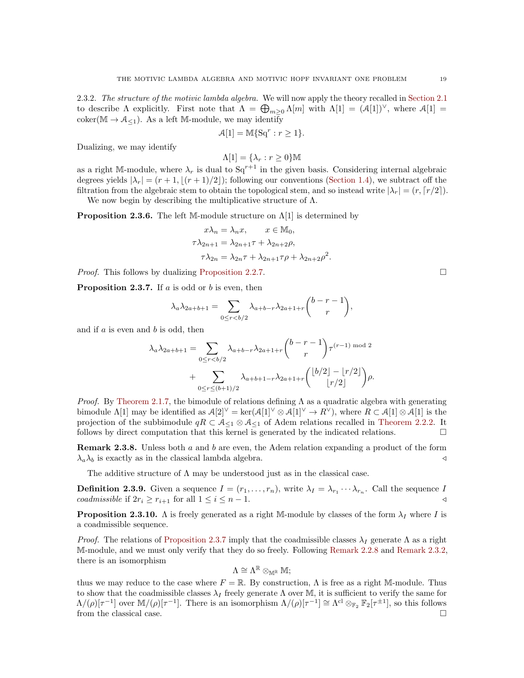2.3.2. The structure of the motivic lambda algebra. We will now apply the theory recalled in [Section 2.1](#page-10-0) to describe  $\Lambda$  explicitly. First note that  $\Lambda = \bigoplus_{m\geq 0} \Lambda[m]$  with  $\Lambda[1] = (\mathcal{A}[1])^{\vee}$ , where  $\mathcal{A}[1] =$ coker( $\mathbb{M} \to \mathcal{A}_{\leq 1}$ ). As a left  $\mathbb{M}\text{-module}$ , we may identify

$$
\mathcal{A}[1] = \mathbb{M}\{\mathrm{Sq}^r : r \ge 1\}.
$$

Dualizing, we may identify

$$
\Lambda[1] = \{\lambda_r : r \ge 0\} \mathbb{M}
$$

as a right M-module, where  $\lambda_r$  is dual to  $Sq^{r+1}$  in the given basis. Considering internal algebraic degrees yields  $|\lambda_r| = (r + 1, (r + 1)/2)$ ; following our conventions [\(Section 1.4\)](#page-9-1), we subtract off the filtration from the algebraic stem to obtain the topological stem, and so instead write  $|\lambda_r| = (r, \lceil r/2 \rceil)$ .

We now begin by describing the multiplicative structure of  $\Lambda$ .

<span id="page-18-1"></span>**Proposition 2.3.6.** The left M-module structure on  $\Lambda[1]$  is determined by

$$
x\lambda_n = \lambda_n x, \qquad x \in \mathbb{M}_0,
$$
  
\n
$$
\tau \lambda_{2n+1} = \lambda_{2n+1} \tau + \lambda_{2n+2} \rho,
$$
  
\n
$$
\tau \lambda_{2n} = \lambda_{2n} \tau + \lambda_{2n+1} \tau \rho + \lambda_{2n+2} \rho^2.
$$

*Proof.* This follows by dualizing [Proposition 2.2.7.](#page-15-2)

<span id="page-18-0"></span>**Proposition 2.3.7.** If  $a$  is odd or  $b$  is even, then

$$
\lambda_a \lambda_{2a+b+1} = \sum_{0 \le r < b/2} \lambda_{a+b-r} \lambda_{2a+1+r} \binom{b-r-1}{r},
$$

and if  $a$  is even and  $b$  is odd, then

$$
\lambda_a \lambda_{2a+b+1} = \sum_{0 \le r < b/2} \lambda_{a+b-r} \lambda_{2a+1+r} \binom{b-r-1}{r} \tau^{(r-1) \mod 2} + \sum_{0 \le r \le (b+1)/2} \lambda_{a+b+1-r} \lambda_{2a+1+r} \binom{\lfloor b/2 \rfloor - \lfloor r/2 \rfloor}{\lfloor r/2 \rfloor} \rho.
$$

*Proof.* By [Theorem 2.1.7,](#page-12-1) the bimodule of relations defining  $\Lambda$  as a quadratic algebra with generating bimodule  $\Lambda[1]$  may be identified as  $\mathcal{A}[2]^{\vee} = \ker(\mathcal{A}[1]^{\vee} \otimes \mathcal{A}[1]^{\vee} \to R^{\vee}),$  where  $R \subset \mathcal{A}[1] \otimes \mathcal{A}[1]$  is the projection of the subbimodule  $qR \subset A_{\leq 1} \otimes A_{\leq 1}$  of Adem relations recalled in [Theorem 2.2.2.](#page-14-1) It follows by direct computation that this kernel is generated by the indicated relations.  $\Box$ 

**Remark 2.3.8.** Unless both a and b are even, the Adem relation expanding a product of the form  $\lambda_a \lambda_b$  is exactly as in the classical lambda algebra.

The additive structure of  $\Lambda$  may be understood just as in the classical case.

<span id="page-18-2"></span>**Definition 2.3.9.** Given a sequence  $I = (r_1, \ldots, r_n)$ , write  $\lambda_I = \lambda_{r_1} \cdots \lambda_{r_n}$ . Call the sequence I coadmissible if  $2r_i \geq r_{i+1}$  for all  $1 \leq i \leq n-1$ .

**Proposition 2.3.10.** Λ is freely generated as a right M-module by classes of the form  $\lambda_I$  where I is a coadmissible sequence.

*Proof.* The relations of [Proposition 2.3.7](#page-18-0) imply that the coadmissible classes  $\lambda_I$  generate  $\Lambda$  as a right M-module, and we must only verify that they do so freely. Following [Remark 2.2.8](#page-16-0) and [Remark 2.3.2,](#page-17-3) there is an isomorphism

$$
\Lambda \cong \Lambda^{\mathbb{R}} \otimes_{\mathbb{M}^{\mathbb{R}}} \mathbb{M};
$$

thus we may reduce to the case where  $F = \mathbb{R}$ . By construction,  $\Lambda$  is free as a right M-module. Thus to show that the coadmissible classes  $\lambda_I$  freely generate  $\Lambda$  over M, it is sufficient to verify the same for  $\Lambda/(\rho)[\tau^{-1}]$  over  $\mathbb{M}/(\rho)[\tau^{-1}]$ . There is an isomorphism  $\Lambda/(\rho)[\tau^{-1}] \cong \Lambda^{\text{cl}} \otimes_{\mathbb{F}_2} \mathbb{F}_2[\tau^{\pm 1}]$ , so this follows from the classical case.  $\hfill \square$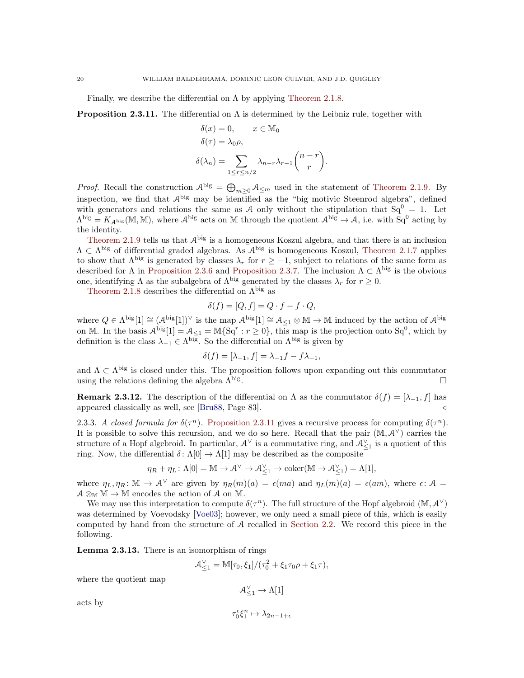Finally, we describe the differential on  $\Lambda$  by applying [Theorem 2.1.8.](#page-13-0)

<span id="page-19-0"></span>**Proposition 2.3.11.** The differential on  $\Lambda$  is determined by the Leibniz rule, together with

$$
\delta(x) = 0, \qquad x \in \mathbb{M}_0
$$

$$
\delta(\tau) = \lambda_0 \rho,
$$

$$
\delta(\lambda_n) = \sum_{1 \le r \le n/2} \lambda_{n-r} \lambda_{r-1} {n-r \choose r}
$$

.

*Proof.* Recall the construction  $\mathcal{A}^{big} = \bigoplus_{m\geq 0} \mathcal{A}_{\leq m}$  used in the statement of [Theorem 2.1.9.](#page-13-1) By inspection, we find that  $A^{big}$  may be identified as the "big motivic Steenrod algebra", defined with generators and relations the same as A only without the stipulation that  $Sq^{0} = 1$ . Let  $\Lambda^{\text{big}} = K_{\mathcal{A}^{\text{big}}}(\mathbb{M}, \mathbb{M})$ , where  $\mathcal{A}^{\text{big}}$  acts on  $\mathbb M$  through the quotient  $\mathcal{A}^{\text{big}} \to \mathcal{A}$ , i.e. with  $\text{Sq}^0$  acting by the identity.

[Theorem 2.1.9](#page-13-1) tells us that  $\mathcal{A}^{big}$  is a homogeneous Koszul algebra, and that there is an inclusion  $\Lambda \subset \Lambda^{\text{big}}$  of differential graded algebras. As  $\mathcal{A}^{\text{big}}$  is homogeneous Koszul, [Theorem 2.1.7](#page-12-1) applies to show that  $\Lambda^{big}$  is generated by classes  $\lambda_r$  for  $r \ge -1$ , subject to relations of the same form as described for  $\Lambda$  in [Proposition 2.3.6](#page-18-1) and [Proposition 2.3.7.](#page-18-0) The inclusion  $\Lambda \subset \Lambda^{big}$  is the obvious one, identifying Λ as the subalgebra of  $\Lambda^{\text{big}}$  generated by the classes  $\lambda_r$  for  $r \geq 0$ .

[Theorem 2.1.8](#page-13-0) describes the differential on  $\Lambda^{\text{big}}$  as

$$
\delta(f) = [Q, f] = Q \cdot f - f \cdot Q,
$$

where  $Q \in \Lambda^{\text{big}}[1] \cong (A^{\text{big}}[1])^{\vee}$  is the map  $A^{\text{big}}[1] \cong A_{\leq 1} \otimes M \to M$  induced by the action of  $A^{\text{big}}$ on M. In the basis  $\mathcal{A}^{big}[1] = \mathcal{A}_{\leq 1} = \mathbb{M} \{ \mathrm{Sq}^r : r \geq 0 \}$ , this map is the projection onto  $\mathrm{Sq}^0$ , which by definition is the class  $\lambda_{-1} \in \Lambda^{\text{big}}$ . So the differential on  $\Lambda^{\text{big}}$  is given by

$$
\delta(f) = [\lambda_{-1}, f] = \lambda_{-1}f - f\lambda_{-1},
$$

and  $\Lambda \subset \Lambda^{\text{big}}$  is closed under this. The proposition follows upon expanding out this commutator using the relations defining the algebra  $\Lambda^{\text{big}}$ . . В последните последните последните последните последните последните последните последните последните последн<br>В последните последните последните последните последните последните последните последните последните последнит

**Remark 2.3.12.** The description of the differential on  $\Lambda$  as the commutator  $\delta(f) = [\lambda_{-1}, f]$  has appeared classically as well, see [\[Bru88,](#page-60-29) Page 83].

2.3.3. A closed formula for  $\delta(\tau^n)$ . [Proposition 2.3.11](#page-19-0) gives a recursive process for computing  $\delta(\tau^n)$ . It is possible to solve this recursion, and we do so here. Recall that the pair  $(\mathbb{M}, \mathcal{A}^{\vee})$  carries the structure of a Hopf algebroid. In particular,  $A^{\vee}$  is a commutative ring, and  $A_{\leq 1}^{\vee}$  is a quotient of this ring. Now, the differential  $\delta: \Lambda[0] \to \Lambda[1]$  may be described as the composite

$$
\eta_R + \eta_L : \Lambda[0] = \mathbb{M} \to \mathcal{A}^{\vee} \to \mathcal{A}^{\vee}_{\leq 1} \to \mathrm{coker}(\mathbb{M} \to \mathcal{A}^{\vee}_{\leq 1}) = \Lambda[1],
$$

where  $\eta_L, \eta_R \colon \mathbb{M} \to \mathcal{A}^{\vee}$  are given by  $\eta_R(m)(a) = \epsilon(ma)$  and  $\eta_L(m)(a) = \epsilon(am)$ , where  $\epsilon \colon \mathcal{A} =$  $A \otimes_M M \to M$  encodes the action of A on M.

We may use this interpretation to compute  $\delta(\tau^n)$ . The full structure of the Hopf algebroid  $(\mathbb{M}, \mathcal{A}^{\vee})$ was determined by Voevodsky [\[Voe03\]](#page-62-0); however, we only need a small piece of this, which is easily computed by hand from the structure of A recalled in [Section 2.2.](#page-14-0) We record this piece in the following.

<span id="page-19-1"></span>Lemma 2.3.13. There is an isomorphism of rings

$$
\mathcal{A}_{\leq 1}^{\vee} = \mathbb{M}[\tau_0, \xi_1]/(\tau_0^2 + \xi_1 \tau_0 \rho + \xi_1 \tau),
$$

where the quotient map

$$
\mathcal{A}_{\leq 1}^{\vee} \to \Lambda[1]
$$
  

$$
\tau_0^{\epsilon} \xi_1^n \mapsto \lambda_{2n-1+\epsilon}
$$

acts by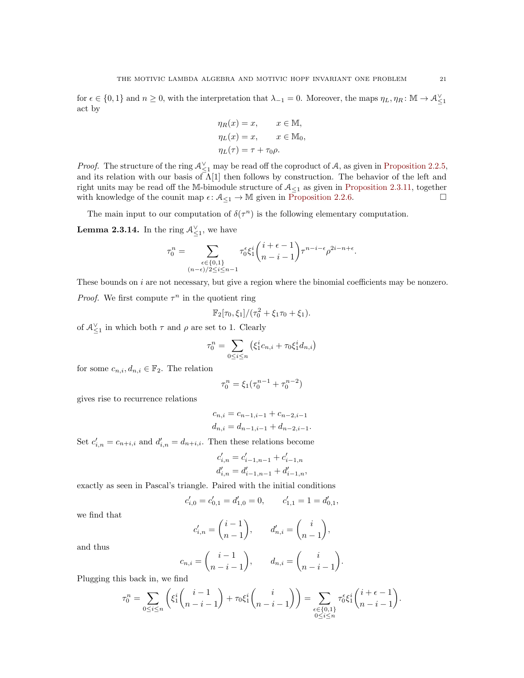for  $\epsilon \in \{0,1\}$  and  $n \geq 0$ , with the interpretation that  $\lambda_{-1} = 0$ . Moreover, the maps  $\eta_L, \eta_R : \mathbb{M} \to \mathcal{A}_{\leq 1}^{\vee}$ act by

$$
\eta_R(x) = x, \qquad x \in \mathbb{M},
$$
  
\n
$$
\eta_L(x) = x, \qquad x \in \mathbb{M}_0,
$$
  
\n
$$
\eta_L(\tau) = \tau + \tau_0 \rho.
$$

*Proof.* The structure of the ring  $\mathcal{A}_{\leq 1}^{\vee}$  may be read off the coproduct of A, as given in [Proposition 2.2.5,](#page-15-0) and its relation with our basis of  $\Lambda[1]$  then follows by construction. The behavior of the left and right units may be read off the M-bimodule structure of  $A_{\leq 1}$  as given in [Proposition 2.3.11,](#page-19-0) together with knowledge of the counit map  $\epsilon \colon \mathcal{A}_{\leq 1} \to \mathbb{M}$  given in [Proposition 2.2.6.](#page-15-1)

The main input to our computation of  $\delta(\tau^n)$  is the following elementary computation.

<span id="page-20-0"></span>**Lemma 2.3.14.** In the ring  $\mathcal{A}_{\leq 1}^{\vee}$ , we have

$$
\tau^n_0=\sum_{\substack{\epsilon\in\{0,1\}\\(n-\epsilon)/2\leq i\leq n-1}}\tau^\epsilon_0\xi^i_1\binom{i+\epsilon-1}{n-i-1}\tau^{n-i-\epsilon}\rho^{2i-n+\epsilon}.
$$

These bounds on  $i$  are not necessary, but give a region where the binomial coefficients may be nonzero.

*Proof.* We first compute  $\tau^n$  in the quotient ring

$$
\mathbb{F}_2[\tau_0,\xi_1]/(\tau_0^2+\xi_1\tau_0+\xi_1).
$$

of  $\mathcal{A}_{\leq 1}^{\vee}$  in which both  $\tau$  and  $\rho$  are set to 1. Clearly

$$
\tau_0^n = \sum_{0 \le i \le n} (\xi_1^i c_{n,i} + \tau_0 \xi_1^i d_{n,i})
$$

for some  $c_{n,i}, d_{n,i} \in \mathbb{F}_2$ . The relation

$$
\tau_0^n = \xi_1(\tau_0^{n-1} + \tau_0^{n-2})
$$

gives rise to recurrence relations

$$
c_{n,i} = c_{n-1,i-1} + c_{n-2,i-1}
$$
  

$$
d_{n,i} = d_{n-1,i-1} + d_{n-2,i-1}.
$$

Set  $c'_{i,n} = c_{n+i,i}$  and  $d'_{i,n} = d_{n+i,i}$ . Then these relations become

$$
\begin{aligned} c'_{i,n} &= c'_{i-1,n-1} + c'_{i-1,n} \\ d'_{i,n} &= d'_{i-1,n-1} + d'_{i-1,n}, \end{aligned}
$$

exactly as seen in Pascal's triangle. Paired with the initial conditions

$$
c'_{i,0}=c'_{0,1}=d'_{1,0}=0,\qquad c'_{1,1}=1=d'_{0,1},
$$

we find that

$$
c'_{i,n} = \binom{i-1}{n-1}, \qquad d'_{n,i} = \binom{i}{n-1},
$$

and thus

$$
c_{n,i} = \binom{i-1}{n-i-1}, \qquad d_{n,i} = \binom{i}{n-i-1}.
$$

Plugging this back in, we find

$$
\tau_0^n = \sum_{0 \le i \le n} \left( \xi_1^i \binom{i-1}{n-i-1} + \tau_0 \xi_1^i \binom{i}{n-i-1} \right) = \sum_{\substack{\epsilon \in \{0,1\} \\ 0 \le i \le n}} \tau_0^{\epsilon} \xi_1^i \binom{i+\epsilon-1}{n-i-1}.
$$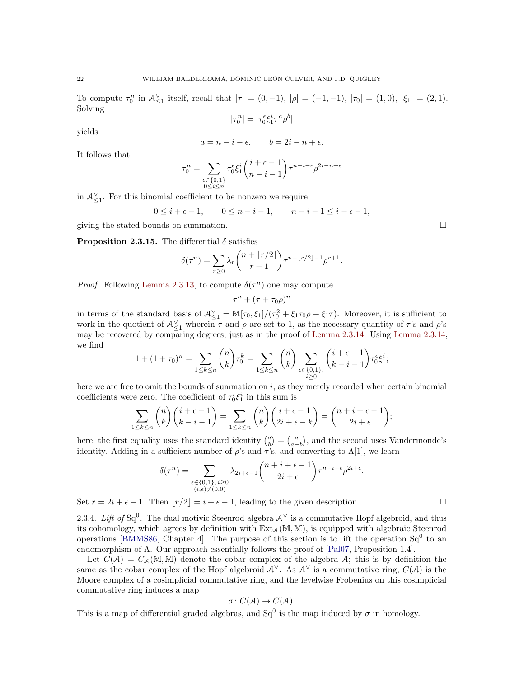To compute  $\tau_0^n$  in  $\mathcal{A}_{\leq 1}^{\vee}$  itself, recall that  $|\tau| = (0, -1)$ ,  $|\rho| = (-1, -1)$ ,  $|\tau_0| = (1, 0)$ ,  $|\xi_1| = (2, 1)$ . Solving

$$
|\tau_0^n|=|\tau_0^\epsilon \xi_1^i \tau^a \rho^b|
$$

yields

$$
a = n - i - \epsilon, \qquad b = 2i - n + \epsilon.
$$

It follows that

$$
\tau_0^n = \sum_{\substack{\epsilon \in \{0,1\} \\ 0 \le i \le n}} \tau_0^{\epsilon} \xi_1^i {i+\epsilon-1 \choose n-i-1} \tau^{n-i-\epsilon} \rho^{2i-n+\epsilon}
$$

in  $\mathcal{A}_{\leq 1}^{\vee}$ . For this binomial coefficient to be nonzero we require

$$
0 \leq i + \epsilon - 1, \qquad 0 \leq n - i - 1, \qquad n - i - 1 \leq i + \epsilon - 1,
$$

giving the stated bounds on summation.

**Proposition 2.3.15.** The differential  $\delta$  satisfies

$$
\delta(\tau^n) = \sum_{r\geq 0} \lambda_r {n + \lfloor r/2 \rfloor \choose r+1} \tau^{n-\lfloor r/2 \rfloor - 1} \rho^{r+1}.
$$

*Proof.* Following [Lemma 2.3.13,](#page-19-1) to compute  $\delta(\tau^n)$  one may compute

$$
\tau^n + (\tau + \tau_0 \rho)^n
$$

in terms of the standard basis of  $\mathcal{A}_{\leq 1}^{\vee} = \mathbb{M}[\tau_0, \xi_1]/(\tau_0^2 + \xi_1 \tau_0 \rho + \xi_1 \tau)$ . Moreover, it is sufficient to work in the quotient of  $\mathcal{A}_{\leq 1}^{\vee}$  wherein  $\tau$  and  $\rho$  are set to 1, as the necessary quantity of  $\tau$ 's and  $\rho$ 's may be recovered by comparing degrees, just as in the proof of [Lemma 2.3.14.](#page-20-0) Using [Lemma 2.3.14,](#page-20-0) we find

$$
1 + (1 + \tau_0)^n = \sum_{1 \le k \le n} \binom{n}{k} \tau_0^k = \sum_{1 \le k \le n} \binom{n}{k} \sum_{\substack{\epsilon \in \{0, 1\}, \\ i \ge 0}} \binom{i + \epsilon - 1}{k - i - 1} \tau_0^{\epsilon} \xi_1^i;
$$

here we are free to omit the bounds of summation on  $i$ , as they merely recorded when certain binomial coefficients were zero. The coefficient of  $\tau_0^{\epsilon} \xi_1^i$  in this sum is

$$
\sum_{1 \leq k \leq n} \binom{n}{k} \binom{i+\epsilon-1}{k-i-1} = \sum_{1 \leq k \leq n} \binom{n}{k} \binom{i+\epsilon-1}{2i+\epsilon-k} = \binom{n+i+\epsilon-1}{2i+\epsilon};
$$

here, the first equality uses the standard identity  $\binom{a}{b} = \binom{a}{a-b}$ , and the second uses Vandermonde's identity. Adding in a sufficient number of  $\rho$ 's and  $\tau$ 's, and converting to  $\Lambda[1]$ , we learn

$$
\delta(\tau^n) = \sum_{\substack{\epsilon \in \{0,1\}, i \ge 0 \\ (i,\epsilon) \neq (0,0)}} \lambda_{2i+\epsilon-1} {n+i+\epsilon-1 \choose 2i+\epsilon} \tau^{n-i-\epsilon} \rho^{2i+\epsilon}.
$$

Set  $r = 2i + \epsilon - 1$ . Then  $|r/2| = i + \epsilon - 1$ , leading to the given description.

2.3.4. Lift of Sq<sup>0</sup>. The dual motivic Steenrod algebra  $A^{\vee}$  is a commutative Hopf algebroid, and thus its cohomology, which agrees by definition with  $Ext_{\mathcal{A}}(\mathbb{M}, \mathbb{M})$ , is equipped with algebraic Steenrod operations [\[BMMS86,](#page-60-30) Chapter 4]. The purpose of this section is to lift the operation  $Sq^{0}$  to an endomorphism of Λ. Our approach essentially follows the proof of [\[Pal07,](#page-61-27) Proposition 1.4].

Let  $C(\mathcal{A}) = C_{\mathcal{A}}(\mathbb{M}, \mathbb{M})$  denote the cobar complex of the algebra  $\mathcal{A}$ ; this is by definition the same as the cobar complex of the Hopf algebroid  $\mathcal{A}^{\vee}$ . As  $\mathcal{A}^{\vee}$  is a commutative ring,  $C(\mathcal{A})$  is the Moore complex of a cosimplicial commutative ring, and the levelwise Frobenius on this cosimplicial commutative ring induces a map

$$
\sigma\colon C(\mathcal{A})\to C(\mathcal{A}).
$$

<span id="page-21-0"></span>This is a map of differential graded algebras, and  $Sq^0$  is the map induced by  $\sigma$  in homology.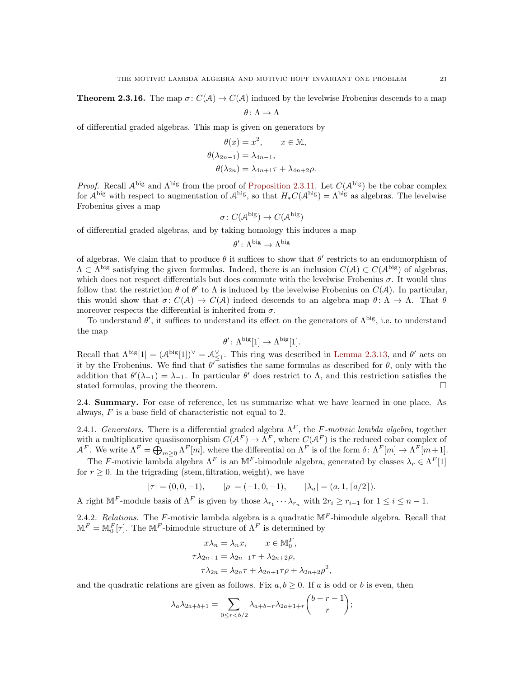**Theorem 2.3.16.** The map  $\sigma: C(\mathcal{A}) \to C(\mathcal{A})$  induced by the levelwise Frobenius descends to a map

$$
\theta\colon \Lambda\to \Lambda
$$

of differential graded algebras. This map is given on generators by

$$
\theta(x) = x^2, \qquad x \in \mathbb{M},
$$

$$
\theta(\lambda_{2n-1}) = \lambda_{4n-1},
$$

$$
\theta(\lambda_{2n}) = \lambda_{4n+1}\tau + \lambda_{4n+2}\rho.
$$

*Proof.* Recall  $A^{big}$  and  $\Lambda^{big}$  from the proof of [Proposition 2.3.11.](#page-19-0) Let  $C(A^{big})$  be the cobar complex for  $\mathcal{A}^{big}$  with respect to augmentation of  $\mathcal{A}^{big}$ , so that  $H_*C(\mathcal{A}^{big}) = \Lambda^{big}$  as algebras. The levelwise Frobenius gives a map

$$
\sigma \colon C(\mathcal{A}^{\text{big}}) \to C(\mathcal{A}^{\text{big}})
$$

of differential graded algebras, and by taking homology this induces a map

$$
\theta'\colon \Lambda^{\mathrm{big}}\to \Lambda^{\mathrm{big}}
$$

of algebras. We claim that to produce  $\theta$  it suffices to show that  $\theta'$  restricts to an endomorphism of  $\Lambda \subset \Lambda^{\text{big}}$  satisfying the given formulas. Indeed, there is an inclusion  $C(\mathcal{A}) \subset C(\mathcal{A}^{\text{big}})$  of algebras, which does not respect differentials but does commute with the levelwise Frobenius  $\sigma$ . It would thus follow that the restriction  $\theta$  of  $\theta'$  to  $\Lambda$  is induced by the levelwise Frobenius on  $C(\mathcal{A})$ . In particular, this would show that  $\sigma: C(\mathcal{A}) \to C(\mathcal{A})$  indeed descends to an algebra map  $\theta: \Lambda \to \Lambda$ . That  $\theta$ moreover respects the differential is inherited from  $\sigma$ .

To understand  $\theta'$ , it suffices to understand its effect on the generators of  $\Lambda^{big}$ , i.e. to understand the map

$$
\theta' \colon \Lambda^{\text{big}}[1] \to \Lambda^{\text{big}}[1].
$$

Recall that  $\Lambda^{big}[1] = (\mathcal{A}^{big}[1])^{\vee} = \mathcal{A}_{\leq 1}^{\vee}$ . This ring was described in [Lemma 2.3.13,](#page-19-1) and  $\theta'$  acts on it by the Frobenius. We find that  $\theta$ <sup>T</sup> satisfies the same formulas as described for  $\theta$ , only with the addition that  $\theta'(\lambda_{-1}) = \lambda_{-1}$ . In particular  $\theta'$  does restrict to  $\Lambda$ , and this restriction satisfies the stated formulas, proving the theorem.

<span id="page-22-0"></span>2.4. Summary. For ease of reference, let us summarize what we have learned in one place. As always, F is a base field of characteristic not equal to 2.

2.4.1. Generators. There is a differential graded algebra  $\Lambda^F$ , the F-motivic lambda algebra, together with a multiplicative quasiisomorphism  $C(A^F) \to \Lambda^F$ , where  $C(A^F)$  is the reduced cobar complex of  $\mathcal{A}^F$ . We write  $\Lambda^F = \bigoplus_{m \geq 0} \Lambda^F[m]$ , where the differential on  $\Lambda^F$  is of the form  $\delta \colon \Lambda^F[m] \to \Lambda^F[m+1]$ .

The F-motivic lambda algebra  $\Lambda^F$  is an M<sup>F</sup>-bimodule algebra, generated by classes  $\lambda_r \in \Lambda^F[1]$ for  $r > 0$ . In the trigrading (stem, filtration, weight), we have

$$
|\tau| = (0, 0, -1), \qquad |\rho| = (-1, 0, -1), \qquad |\lambda_a| = (a, 1, \lceil a/2 \rceil).
$$

A right  $\mathbb{M}^F$ -module basis of  $\Lambda^F$  is given by those  $\lambda_{r_1} \cdots \lambda_{r_n}$  with  $2r_i \geq r_{i+1}$  for  $1 \leq i \leq n-1$ .

2.4.2. Relations. The F-motivic lambda algebra is a quadratic  $M^F$ -bimodule algebra. Recall that  $\mathbb{M}^F = \mathbb{M}_0^F[\tau]$ . The  $\mathbb{M}^F$ -bimodule structure of  $\Lambda^F$  is determined by

$$
x\lambda_n = \lambda_n x, \qquad x \in \mathbb{M}_0^F,
$$
  
\n
$$
\tau \lambda_{2n+1} = \lambda_{2n+1} \tau + \lambda_{2n+2} \rho,
$$
  
\n
$$
\tau \lambda_{2n} = \lambda_{2n} \tau + \lambda_{2n+1} \tau \rho + \lambda_{2n+2} \rho
$$

and the quadratic relations are given as follows. Fix  $a, b \geq 0$ . If a is odd or b is even, then

$$
\lambda_a \lambda_{2a+b+1} = \sum_{0 \le r < b/2} \lambda_{a+b-r} \lambda_{2a+1+r} \binom{b-r-1}{r};
$$

2 ,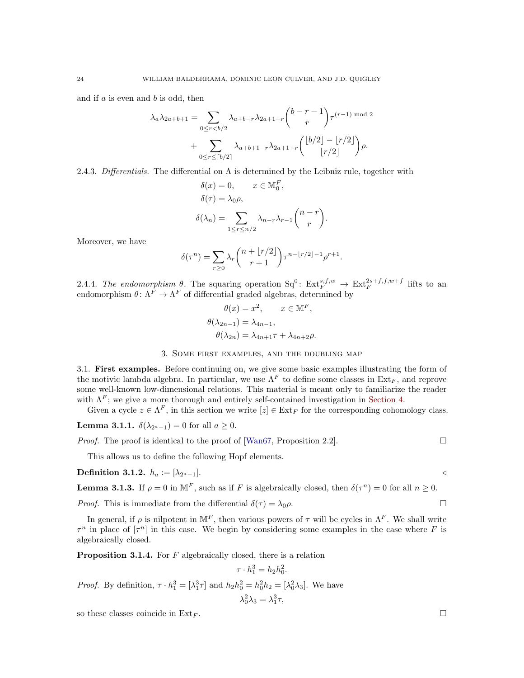and if  $a$  is even and  $b$  is odd, then

$$
\lambda_a \lambda_{2a+b+1} = \sum_{0 \le r < b/2} \lambda_{a+b-r} \lambda_{2a+1+r} \binom{b-r-1}{r} \tau^{(r-1) \mod 2} + \sum_{0 \le r \le \lceil b/2 \rceil} \lambda_{a+b+1-r} \lambda_{2a+1+r} \binom{\lfloor b/2 \rfloor - \lfloor r/2 \rfloor}{\lfloor r/2 \rfloor} \rho.
$$

2.4.3. Differentials. The differential on  $\Lambda$  is determined by the Leibniz rule, together with

$$
\delta(x) = 0, \qquad x \in \mathbb{M}_0^F,
$$
  
\n
$$
\delta(\tau) = \lambda_0 \rho,
$$
  
\n
$$
\delta(\lambda_n) = \sum_{1 \le r \le n/2} \lambda_{n-r} \lambda_{r-1} {n-r \choose r}
$$

.

Moreover, we have

$$
\delta(\tau^n) = \sum_{r \ge 0} \lambda_r \binom{n + \lfloor r/2 \rfloor}{r+1} \tau^{n - \lfloor r/2 \rfloor - 1} \rho^{r+1}.
$$

2.4.4. The endomorphism  $\theta$ . The squaring operation  $Sq^0$ :  $Ext_F^{s,f,w} \to Ext_F^{2s+f,f,w+f}$  lifts to an endomorphism  $\theta \colon \Lambda^F \to \Lambda^F$  of differential graded algebras, determined by

$$
\theta(x) = x^2, \qquad x \in \mathbb{M}^F,
$$
  

$$
\theta(\lambda_{2n-1}) = \lambda_{4n-1},
$$
  

$$
\theta(\lambda_{2n}) = \lambda_{4n+1}\tau + \lambda_{4n+2}\rho.
$$

### 3. Some first examples, and the doubling map

<span id="page-23-1"></span><span id="page-23-0"></span>3.1. First examples. Before continuing on, we give some basic examples illustrating the form of the motivic lambda algebra. In particular, we use  $\Lambda^F$  to define some classes in  $Ext_F$ , and reprove some well-known low-dimensional relations. This material is meant only to familiarize the reader with  $\Lambda^F$ ; we give a more thorough and entirely self-contained investigation in [Section 4.](#page-26-0)

Given a cycle  $z \in \Lambda^F$ , in this section we write  $[z] \in \mathrm{Ext}_F$  for the corresponding cohomology class.

**Lemma 3.1.1.**  $\delta(\lambda_{2^a-1})=0$  for all  $a\geq 0$ .

*Proof.* The proof is identical to the proof of [\[Wan67,](#page-62-5) Proposition 2.2].

This allows us to define the following Hopf elements.

**Definition 3.1.2.** 
$$
h_a := [\lambda_{2^a-1}].
$$

**Lemma 3.1.3.** If  $\rho = 0$  in  $\mathbb{M}^F$ , such as if F is algebraically closed, then  $\delta(\tau^n) = 0$  for all  $n \geq 0$ .

*Proof.* This is immediate from the differential  $\delta(\tau) = \lambda_0 \rho$ .

In general, if  $\rho$  is nilpotent in M<sup>F</sup>, then various powers of  $\tau$  will be cycles in  $\Lambda^F$ . We shall write  $\tau^n$  in place of  $[\tau^n]$  in this case. We begin by considering some examples in the case where F is algebraically closed.

<span id="page-23-2"></span>**Proposition 3.1.4.** For  $F$  algebraically closed, there is a relation

$$
\tau \cdot h_1^3 = h_2 h_0^2.
$$

*Proof.* By definition,  $\tau \cdot h_1^3 = [\lambda_1^3 \tau]$  and  $h_2 h_0^2 = h_0^2 h_2 = [\lambda_0^2 \lambda_3]$ . We have

$$
\lambda_0^2 \lambda_3 = \lambda_1^3 \tau,
$$

so these classes coincide in  $\text{Ext}_F$ .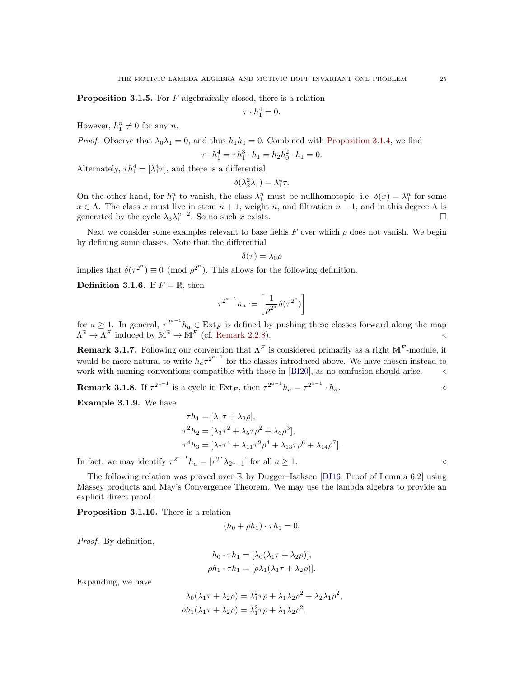**Proposition 3.1.5.** For  $F$  algebraically closed, there is a relation

 $\tau \cdot h_1^4 = 0.$ 

However,  $h_1^n \neq 0$  for any *n*.

*Proof.* Observe that 
$$
\lambda_0 \lambda_1 = 0
$$
, and thus  $h_1 h_0 = 0$ . Combined with Proposition 3.1.4, we find

$$
\tau \cdot h_1^4 = \tau h_1^3 \cdot h_1 = h_2 h_0^2 \cdot h_1 = 0.
$$

Alternately,  $\tau h_1^4 = [\lambda_1^4 \tau]$ , and there is a differential

$$
\delta(\lambda_2^2 \lambda_1) = \lambda_1^4 \tau.
$$

On the other hand, for  $h_1^n$  to vanish, the class  $\lambda_1^n$  must be nullhomotopic, i.e.  $\delta(x) = \lambda_1^n$  for some  $x \in \Lambda$ . The class x must live in stem  $n + 1$ , weight n, and filtration  $n - 1$ , and in this degree  $\Lambda$  is generated by the cycle  $\lambda_3 \lambda_1^{n-2}$ . So no such x exists.  $\Box$ 

Next we consider some examples relevant to base fields F over which  $\rho$  does not vanish. We begin by defining some classes. Note that the differential

$$
\delta(\tau)=\lambda_0\rho
$$

implies that  $\delta(\tau^{2^n}) \equiv 0 \pmod{\rho^{2^n}}$ . This allows for the following definition.

**Definition 3.1.6.** If  $F = \mathbb{R}$ , then

$$
\tau^{2^{a-1}}h_a:=\left[\frac{1}{\rho^{2^a}}\delta(\tau^{2^a})\right]
$$

for  $a \geq 1$ . In general,  $\tau^{2^{a-1}} h_a \in \text{Ext}_F$  is defined by pushing these classes forward along the map  $\Lambda^{\mathbb{R}} \to \Lambda^{F}$  induced by  $\mathbb{M}^{\mathbb{R}} \to \mathbb{M}^{F}$  (cf. [Remark 2.2.8\)](#page-16-0).

**Remark 3.1.7.** Following our convention that  $\Lambda^F$  is considered primarily as a right  $\mathbb{M}^F$ -module, it would be more natural to write  $h_a \tau^{2^{a-1}}$  for the classes introduced above. We have chosen instead to work with naming conventions compatible with those in  $[BI20]$ , as no confusion should arise.  $\triangleleft$ 

**Remark 3.1.8.** If  $\tau^{2^{a-1}}$  is a cycle in Ext<sub>F</sub>, then  $\tau^{2^{a-1}} h_a = \tau^{2^{a-1}} \cdot h_a$ .

Example 3.1.9. We have

$$
\tau h_1 = [\lambda_1 \tau + \lambda_2 \rho],
$$
  
\n
$$
\tau^2 h_2 = [\lambda_3 \tau^2 + \lambda_5 \tau \rho^2 + \lambda_6 \rho^3],
$$
  
\n
$$
\tau^4 h_3 = [\lambda_7 \tau^4 + \lambda_{11} \tau^2 \rho^4 + \lambda_{13} \tau \rho^6 + \lambda_{14} \rho^7].
$$

In fact, we may identify  $\tau^{2^{a-1}} h_a = [\tau^{2^a} \lambda_{2^a-1}]$  for all  $a \ge 1$ .

The following relation was proved over  $\mathbb R$  by Dugger–Isaksen [\[DI16,](#page-60-3) Proof of Lemma 6.2] using Massey products and May's Convergence Theorem. We may use the lambda algebra to provide an explicit direct proof.

Proposition 3.1.10. There is a relation

$$
(h_0 + \rho h_1) \cdot \tau h_1 = 0.
$$

Proof. By definition,

$$
h_0 \cdot \tau h_1 = [\lambda_0(\lambda_1 \tau + \lambda_2 \rho)],
$$
  

$$
\rho h_1 \cdot \tau h_1 = [\rho \lambda_1(\lambda_1 \tau + \lambda_2 \rho)].
$$

Expanding, we have

$$
\lambda_0(\lambda_1 \tau + \lambda_2 \rho) = \lambda_1^2 \tau \rho + \lambda_1 \lambda_2 \rho^2 + \lambda_2 \lambda_1 \rho^2,
$$
  
\n
$$
\rho h_1(\lambda_1 \tau + \lambda_2 \rho) = \lambda_1^2 \tau \rho + \lambda_1 \lambda_2 \rho^2.
$$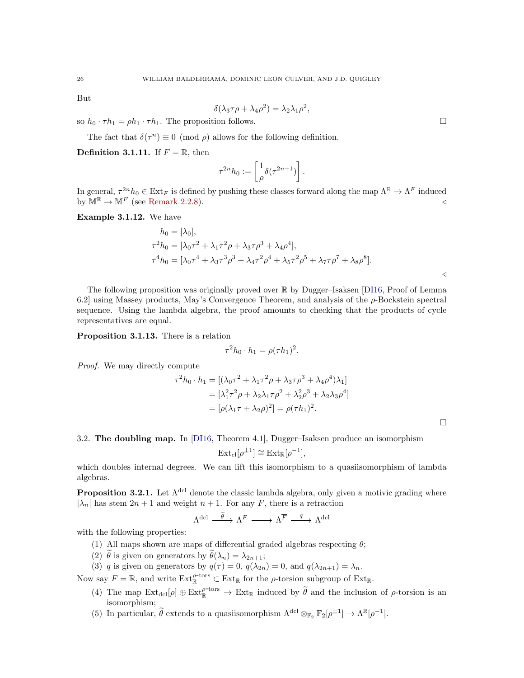But

$$
\delta(\lambda_3 \tau \rho + \lambda_4 \rho^2) = \lambda_2 \lambda_1 \rho^2,
$$

so  $h_0 \cdot \tau h_1 = \rho h_1 \cdot \tau h_1$ . The proposition follows.

The fact that  $\delta(\tau^n) \equiv 0 \pmod{\rho}$  allows for the following definition.

**Definition 3.1.11.** If  $F = \mathbb{R}$ , then

$$
\tau^{2n}h_0 := \left[\frac{1}{\rho}\delta(\tau^{2n+1})\right].
$$

In general,  $\tau^{2n}h_0 \in \text{Ext}_F$  is defined by pushing these classes forward along the map  $\Lambda^{\mathbb{R}} \to \Lambda^F$  induced by  $\mathbb{M}^{\mathbb{R}} \to \mathbb{M}^{F}$  (see [Remark 2.2.8\)](#page-16-0).

Example 3.1.12. We have

$$
h_0 = [\lambda_0],
$$
  
\n
$$
\tau^2 h_0 = [\lambda_0 \tau^2 + \lambda_1 \tau^2 \rho + \lambda_3 \tau \rho^3 + \lambda_4 \rho^4],
$$
  
\n
$$
\tau^4 h_0 = [\lambda_0 \tau^4 + \lambda_3 \tau^3 \rho^3 + \lambda_4 \tau^2 \rho^4 + \lambda_5 \tau^2 \rho^5 + \lambda_7 \tau \rho^7 + \lambda_8 \rho^8].
$$

The following proposition was originally proved over R by Dugger–Isaksen [\[DI16,](#page-60-3) Proof of Lemma 6.2] using Massey products, May's Convergence Theorem, and analysis of the  $\rho$ -Bockstein spectral sequence. Using the lambda algebra, the proof amounts to checking that the products of cycle representatives are equal.

Proposition 3.1.13. There is a relation

$$
\tau^2 h_0 \cdot h_1 = \rho(\tau h_1)^2.
$$

Proof. We may directly compute

$$
\tau^2 h_0 \cdot h_1 = [(\lambda_0 \tau^2 + \lambda_1 \tau^2 \rho + \lambda_3 \tau \rho^3 + \lambda_4 \rho^4) \lambda_1]
$$
  
=  $[\lambda_1^2 \tau^2 \rho + \lambda_2 \lambda_1 \tau \rho^2 + \lambda_2^2 \rho^3 + \lambda_2 \lambda_3 \rho^4]$   
=  $[\rho(\lambda_1 \tau + \lambda_2 \rho)^2] = \rho(\tau h_1)^2$ .

 $\Box$ 

 $\triangleleft$ 

<span id="page-25-0"></span>3.2. The doubling map. In [\[DI16,](#page-60-3) Theorem 4.1], Dugger–Isaksen produce an isomorphism

$$
Ext_{\text{cl}}[\rho^{\pm 1}] \cong Ext_{\mathbb{R}}[\rho^{-1}],
$$

which doubles internal degrees. We can lift this isomorphism to a quasiisomorphism of lambda algebras.

<span id="page-25-1"></span>**Proposition 3.2.1.** Let  $\Lambda^{\text{dcl}}$  denote the classic lambda algebra, only given a motivic grading where  $|\lambda_n|$  has stem  $2n + 1$  and weight  $n + 1$ . For any F, there is a retraction

$$
\Lambda^{\mathrm{dcl}} \stackrel{\widetilde{\theta}}{\xrightarrow{\hspace*{1cm}}} \Lambda^F \longrightarrow \Lambda^{\overline{F}} \stackrel{q}{\xrightarrow{\hspace*{1cm}}} \Lambda^{\mathrm{dcl}}
$$

with the following properties:

- (1) All maps shown are maps of differential graded algebras respecting  $\theta$ ;
- (2)  $\tilde{\theta}$  is given on generators by  $\tilde{\theta}(\lambda_n) = \lambda_{2n+1}$ ;
- (3) q is given on generators by  $q(\tau) = 0$ ,  $q(\lambda_{2n}) = 0$ , and  $q(\lambda_{2n+1}) = \lambda_n$ .

Now say  $F = \mathbb{R}$ , and write  $\text{Ext}_{\mathbb{R}}^{\rho\text{-tors}} \subset \text{Ext}_{\mathbb{R}}$  for the  $\rho\text{-torsion subgroup of } \text{Ext}_{\mathbb{R}}$ .

- (4) The map  $\text{Ext}_{\text{dcl}}[\rho] \oplus \text{Ext}_{\mathbb{R}}^{\rho\text{-tors}} \to \text{Ext}_{\mathbb{R}}$  induced by  $\widetilde{\theta}$  and the inclusion of  $\rho\text{-torsion}$  is an isomorphism;
- (5) In particular,  $\tilde{\theta}$  extends to a quasiisomorphism  $\Lambda^{\text{dcl}} \otimes_{\mathbb{F}_2} \mathbb{F}_2[\rho^{\pm 1}] \to \Lambda^{\mathbb{R}}[\rho^{-1}]$ .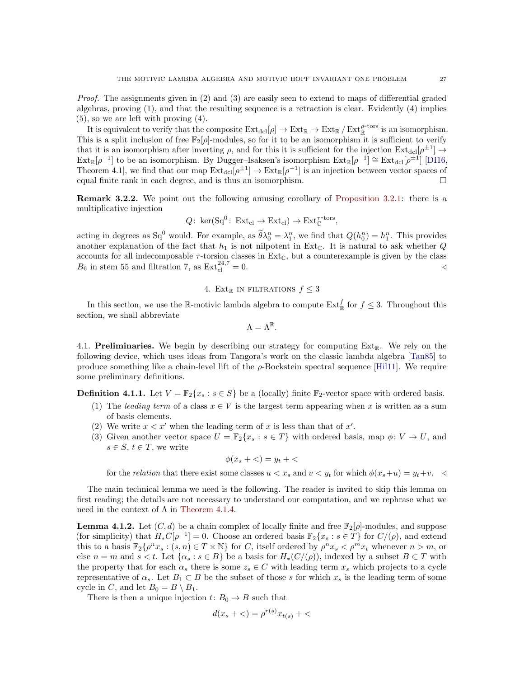Proof. The assignments given in (2) and (3) are easily seen to extend to maps of differential graded algebras, proving (1), and that the resulting sequence is a retraction is clear. Evidently (4) implies (5), so we are left with proving (4).

It is equivalent to verify that the composite  $\text{Ext}_{\text{dcl}}[\rho] \to \text{Ext}_{\mathbb{R}} \to \text{Ext}_{\mathbb{R}}/ \text{Ext}_{\mathbb{R}}^{\rho\text{-tors}}$  is an isomorphism. This is a split inclusion of free  $\mathbb{F}_2[\rho]$ -modules, so for it to be an isomorphism it is sufficient to verify that it is an isomorphism after inverting  $\rho$ , and for this it is sufficient for the injection  $\text{Ext}_{\text{dcl}}[\rho^{\pm 1}] \rightarrow$  $\text{Ext}_{\mathbb{R}}[\rho^{-1}]$  to be an isomorphism. By Dugger-Isaksen's isomorphism  $\text{Ext}_{\mathbb{R}}[\rho^{-1}] \cong \text{Ext}_{\text{dcl}}[\rho^{\pm 1}]$  [\[DI16,](#page-60-3) Theorem 4.1, we find that our map  $\text{Ext}_{\text{dcl}}[\rho^{\pm 1}] \to \text{Ext}_{\mathbb{R}}[\rho^{-1}]$  is an injection between vector spaces of equal finite rank in each degree, and is thus an isomorphism.

Remark 3.2.2. We point out the following amusing corollary of [Proposition 3.2.1:](#page-25-1) there is a multiplicative injection

$$
Q: \text{ ker}(Sq^0: \text{Ext}_{\text{cl}} \to \text{Ext}_{\text{cl}}) \to \text{Ext}_{\mathbb{C}}^{\tau\text{-tors}},
$$

acting in degrees as  $Sq^0$  would. For example, as  $\widetilde{\theta}\lambda_0^n = \lambda_1^n$ , we find that  $Q(h_0^n) = h_1^n$ . This provides another explanation of the fact that  $h_1$  is not nilpotent in Ext<sub>C</sub>. It is natural to ask whether Q accounts for all indecomposable  $\tau$ -torsion classes in Ext<sub>C</sub>, but a counterexample is given by the class  $B_6$  in stem 55 and filtration 7, as  $\text{Ext}_{\text{cl}}^{24,7} = 0.$ 

## 4. Ext<sub>R</sub> IN FILTRATIONS  $f \leq 3$

<span id="page-26-0"></span>In this section, we use the R-motivic lambda algebra to compute  $\text{Ext}^f_{\mathbb{R}}$  for  $f \leq 3$ . Throughout this section, we shall abbreviate

$$
\Lambda=\Lambda^{\mathbb{R}}.
$$

<span id="page-26-2"></span>4.1. **Preliminaries.** We begin by describing our strategy for computing  $Ext_{\mathbb{R}}$ . We rely on the following device, which uses ideas from Tangora's work on the classic lambda algebra [\[Tan85\]](#page-61-10) to produce something like a chain-level lift of the  $\rho$ -Bockstein spectral sequence [\[Hil11\]](#page-60-31). We require some preliminary definitions.

**Definition 4.1.1.** Let  $V = \mathbb{F}_2\{x_s : s \in S\}$  be a (locally) finite  $\mathbb{F}_2$ -vector space with ordered basis.

- (1) The leading term of a class  $x \in V$  is the largest term appearing when x is written as a sum of basis elements.
- (2) We write  $x < x'$  when the leading term of x is less than that of  $x'$ .
- (3) Given another vector space  $U = \mathbb{F}_2\{x_s : s \in T\}$  with ordered basis, map  $\phi: V \to U$ , and  $s \in S, t \in T$ , we write

$$
\phi(x_s + \langle) = y_t + \langle
$$

for the relation that there exist some classes  $u < x_s$  and  $v < y_t$  for which  $\phi(x_s+u) = y_t+v$ .

The main technical lemma we need is the following. The reader is invited to skip this lemma on first reading; the details are not necessary to understand our computation, and we rephrase what we need in the context of  $\Lambda$  in [Theorem 4.1.4.](#page-28-0)

<span id="page-26-1"></span>**Lemma 4.1.2.** Let  $(C, d)$  be a chain complex of locally finite and free  $\mathbb{F}_2[\rho]$ -modules, and suppose (for simplicity) that  $H_*C[\rho^{-1}]=0$ . Choose an ordered basis  $\mathbb{F}_2\{x_s : s \in T\}$  for  $C/(\rho)$ , and extend this to a basis  $\mathbb{F}_2\{\rho^n x_s : (s,n) \in T \times \mathbb{N}\}\$  for C, itself ordered by  $\rho^n x_s < \rho^m x_t$  whenever  $n > m$ , or else  $n = m$  and  $s < t$ . Let  $\{\alpha_s : s \in B\}$  be a basis for  $H_*(C/(\rho))$ , indexed by a subset  $B \subset T$  with the property that for each  $\alpha_s$  there is some  $z_s \in C$  with leading term  $x_s$  which projects to a cycle representative of  $\alpha_s$ . Let  $B_1 \subset B$  be the subset of those s for which  $x_s$  is the leading term of some cycle in C, and let  $B_0 = B \setminus B_1$ .

There is then a unique injection  $t: B_0 \to B$  such that

$$
d(x_s + \langle ) = \rho^{r(s)} x_{t(s)} + \langle
$$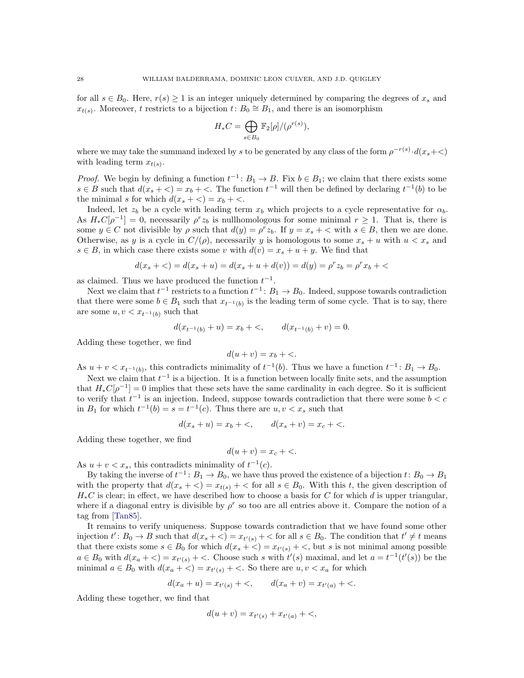for all  $s \in B_0$ . Here,  $r(s) \geq 1$  is an integer uniquely determined by comparing the degrees of  $x_s$  and  $x_{t(s)}$ . Moreover, t restricts to a bijection  $t: B_0 \cong B_1$ , and there is an isomorphism

$$
H_*C = \bigoplus_{s \in B_0} \mathbb{F}_2[\rho]/(\rho^{r(s)}),
$$

where we may take the summand indexed by s to be generated by any class of the form  $\rho^{-r(s)} \cdot d(x_s + \langle \cdot \rangle)$ with leading term  $x_{t(s)}$ .

*Proof.* We begin by defining a function  $t^{-1}$ :  $B_1 \to B$ . Fix  $b \in B_1$ ; we claim that there exists some  $s \in B$  such that  $d(x_s + \leq) = x_b + \leq$ . The function  $t^{-1}$  will then be defined by declaring  $t^{-1}(b)$  to be the minimal s for which  $d(x_s + \langle) = x_b + \langle \rangle$ .

Indeed, let  $z_b$  be a cycle with leading term  $x_b$  which projects to a cycle representative for  $\alpha_b$ . As  $H_*C[\rho^{-1}] = 0$ , necessarily  $\rho^r z_b$  is nullhomologous for some minimal  $r \geq 1$ . That is, there is some  $y \in C$  not divisible by  $\rho$  such that  $d(y) = \rho^r z_b$ . If  $y = x_s + \langle$  with  $s \in B$ , then we are done. Otherwise, as y is a cycle in  $C/(\rho)$ , necessarily y is homologous to some  $x_s + u$  with  $u < x_s$  and  $s \in B$ , in which case there exists some v with  $d(v) = x_s + u + y$ . We find that

$$
d(xs + <) = d(xs + u) = d(xs + u + d(v)) = d(y) = \rhor zb = \rhor xb + <
$$

as claimed. Thus we have produced the function  $t^{-1}$ .

Next we claim that  $t^{-1}$  restricts to a function  $t^{-1}$ :  $B_1 \to B_0$ . Indeed, suppose towards contradiction that there were some  $b \in B_1$  such that  $x_{t^{-1}(b)}$  is the leading term of some cycle. That is to say, there are some  $u, v < x_{t^{-1}(b)}$  such that

$$
d(x_{t^{-1}(b)} + u) = x_b + \langle, \qquad d(x_{t^{-1}(b)} + v) = 0.
$$

Adding these together, we find

$$
d(u + v) = x_b + \langle \cdot, \cdot \rangle
$$

As  $u + v < x_{t^{-1}(b)}$ , this contradicts minimality of  $t^{-1}(b)$ . Thus we have a function  $t^{-1} \colon B_1 \to B_0$ .

Next we claim that  $t^{-1}$  is a bijection. It is a function between locally finite sets, and the assumption that  $H_*C[\rho^{-1}] = 0$  implies that these sets have the same cardinality in each degree. So it is sufficient to verify that  $t^{-1}$  is an injection. Indeed, suppose towards contradiction that there were some  $b < c$ in  $B_1$  for which  $t^{-1}(b) = s = t^{-1}(c)$ . Thus there are  $u, v < x_s$  such that

$$
d(x_s + u) = x_b + \langle, \, u(x_s + v) = x_c + \langle. \, u(x_s + v) \rangle
$$

Adding these together, we find

$$
d(u + v) = x_c + \langle \cdot, \cdot \rangle
$$

As  $u + v < x_s$ , this contradicts minimality of  $t^{-1}(c)$ .

By taking the inverse of  $t^{-1}$ :  $B_1 \to B_0$ , we have thus proved the existence of a bijection  $t: B_0 \to B_1$ with the property that  $d(x_s + \langle)=x_{t(s)}| + \langle$  for all  $s \in B_0$ . With this t, the given description of  $H_*C$  is clear; in effect, we have described how to choose a basis for C for which d is upper triangular, where if a diagonal entry is divisible by  $\rho^r$  so too are all entries above it. Compare the notion of a tag from [\[Tan85\]](#page-61-10).

It remains to verify uniqueness. Suppose towards contradiction that we have found some other injection  $t' : B_0 \to B$  such that  $d(x_s + \langle ) = x_{t'(s)} + \langle$  for all  $s \in B_0$ . The condition that  $t' \neq t$  means that there exists some  $s \in B_0$  for which  $d(x_s + \langle)= x_{t'(s)} + \langle$ , but s is not minimal among possible  $a \in B_0$  with  $d(x_a + \leq x_{t'(s)} + \leq x_{t'(s)})$  choose such s with  $t'(s)$  maximal, and let  $a = t^{-1}(t'(s))$  be the minimal  $a \in B_0$  with  $d(x_a + \leq) = x_{t'(s)} + \leq$ . So there are  $u, v \leq x_a$  for which

$$
d(x_a + u) = x_{t'(s)} + \langle, \, u(x_a + v) = x_{t'(a)} + \langle, \, u(x_a + v) \rangle
$$

Adding these together, we find that

$$
d(u + v) = x_{t'(s)} + x_{t'(a)} + \langle
$$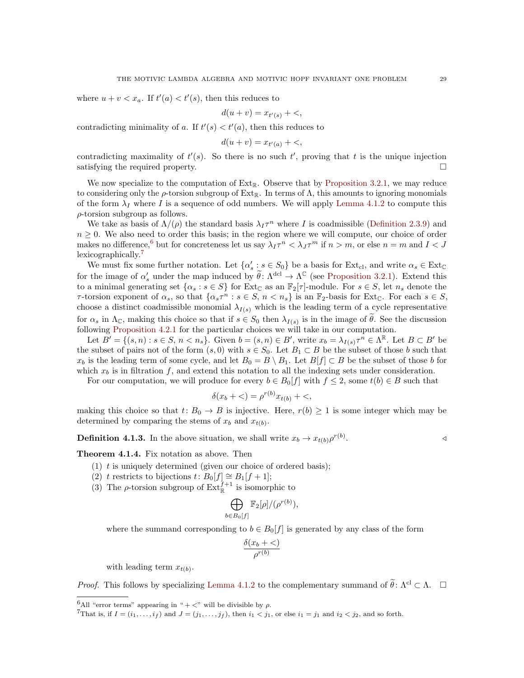where  $u + v < x_a$ . If  $t'(a) < t'(s)$ , then this reduces to

$$
d(u + v) = x_{t'(s)} + \langle
$$

contradicting minimality of a. If  $t'(s) < t'(a)$ , then this reduces to

$$
d(u+v) = x_{t'(a)} + \langle \cdot, \cdot \rangle
$$

contradicting maximality of  $t'(s)$ . So there is no such  $t'$ , proving that t is the unique injection satisfying the required property.

We now specialize to the computation of  $Ext_{\mathbb{R}}$ . Observe that by [Proposition 3.2.1,](#page-25-1) we may reduce to considering only the  $\rho$ -torsion subgroup of Ext<sub>R</sub>. In terms of  $\Lambda$ , this amounts to ignoring monomials of the form  $\lambda_I$  where I is a sequence of odd numbers. We will apply [Lemma 4.1.2](#page-26-1) to compute this  $\rho$ -torsion subgroup as follows.

We take as basis of  $\Lambda/(\rho)$  the standard basis  $\lambda_I \tau^n$  where I is coadmissible [\(Definition 2.3.9\)](#page-18-2) and  $n \geq 0$ . We also need to order this basis; in the region where we will compute, our choice of order makes no difference,<sup>[6](#page-28-1)</sup> but for concreteness let us say  $\lambda_I \tau^n < \lambda_J \tau^m$  if  $n > m$ , or else  $n = m$  and  $I < J$ lexicographically.<sup>[7](#page-28-2)</sup>

We must fix some further notation. Let  $\{\alpha_s : s \in S_0\}$  be a basis for  $\text{Ext}_{\text{cl}}$ , and write  $\alpha_s \in \text{Ext}_{\mathbb{C}}$ for the image of  $\alpha_s'$  under the map induced by  $\widetilde{\theta}$ :  $\Lambda^{\text{dcl}} \to \Lambda^{\mathbb{C}}$  (see [Proposition 3.2.1\)](#page-25-1). Extend this to a minimal generating set  $\{\alpha_s : s \in S\}$  for  $\text{Ext}_{\mathbb{C}}$  as an  $\mathbb{F}_2[\tau]$ -module. For  $s \in S$ , let  $n_s$  denote the  $\tau$ -torsion exponent of  $\alpha_s$ , so that  $\{\alpha_s\tau^n : s \in S, n < n_s\}$  is an  $\mathbb{F}_2$ -basis for Ext<sub>C</sub>. For each  $s \in S$ , choose a distinct coadmissible monomial  $\lambda_{I(s)}$  which is the leading term of a cycle representative for  $\alpha_s$  in  $\Lambda_c$ , making this choice so that if  $s \in S_0$  then  $\lambda_{I(s)}$  is in the image of  $\theta$ . See the discussion following [Proposition 4.2.1](#page-29-0) for the particular choices we will take in our computation.

Let  $\widetilde{B'} = \{ (s, n) : s \in S, n < n_s \}.$  Given  $b = (s, n) \in B'$ , write  $x_b = \lambda_{I(s)} \tau^{\hat{n}} \in \Lambda^{\mathbb{R}}$ . Let  $B \subset B'$  be the subset of pairs not of the form  $(s, 0)$  with  $s \in S_0$ . Let  $B_1 \subset B$  be the subset of those b such that  $x_b$  is the leading term of some cycle, and let  $B_0 = B \setminus B_1$ . Let  $B[f] \subset B$  be the subset of those b for which  $x_b$  is in filtration f, and extend this notation to all the indexing sets under consideration.

For our computation, we will produce for every  $b \in B_0[f]$  with  $f \leq 2$ , some  $t(b) \in B$  such that

$$
\delta(x_b + \langle ) = \rho^{r(b)} x_{t(b)} + \langle ,
$$

making this choice so that  $t: B_0 \to B$  is injective. Here,  $r(b) \geq 1$  is some integer which may be determined by comparing the stems of  $x_b$  and  $x_{t(b)}$ .

<span id="page-28-3"></span>**Definition 4.1.3.** In the above situation, we shall write  $x_b \to x_{t(b)} \rho^{r(b)}$ 

.  $\triangleleft$ 

(1)  $t$  is uniquely determined (given our choice of ordered basis);

(2) t restricts to bijections t:  $B_0[f] \cong B_1[f+1];$ 

<span id="page-28-0"></span>Theorem 4.1.4. Fix notation as above. Then

(3) The  $\rho$ -torsion subgroup of  $\text{Ext}^{f+1}_{\mathbb{R}}$  is isomorphic to

$$
\bigoplus_{b \in B_0[f]} \mathbb{F}_2[\rho]/(\rho^{r(b)}),
$$

where the summand corresponding to  $b \in B_0[f]$  is generated by any class of the form

$$
\frac{\delta(x_b + \lt)}{\rho^{r(b)}}
$$

with leading term  $x_{t(b)}$ .

*Proof.* This follows by specializing [Lemma 4.1.2](#page-26-1) to the complementary summand of  $\tilde{\theta}$ :  $\Lambda$ <sup>cl</sup> ⊂  $\Lambda$ .  $\Box$ 

<span id="page-28-1"></span><sup>&</sup>lt;sup>6</sup>All "error terms" appearing in " $+$  <" will be divisible by  $\rho$ .

<span id="page-28-2"></span> ${}^{7}$ That is, if  $I = (i_1, \ldots, i_f)$  and  $J = (j_1, \ldots, j_f)$ , then  $i_1 < j_1$ , or else  $i_1 = j_1$  and  $i_2 < j_2$ , and so forth.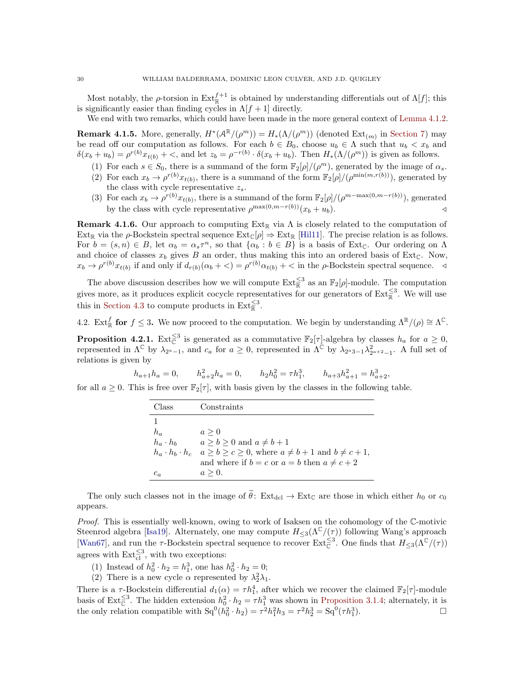Most notably, the  $\rho$ -torsion in  $\text{Ext}^{f+1}_{\mathbb{R}}$  is obtained by understanding differentials out of  $\Lambda[f]$ ; this is significantly easier than finding cycles in  $\Lambda[f+1]$  directly.

We end with two remarks, which could have been made in the more general context of [Lemma 4.1.2.](#page-26-1)

<span id="page-29-2"></span>**Remark 4.1.5.** More, generally,  $H^*(\mathcal{A}^{\mathbb{R}}/(\rho^m)) = H_*(\Lambda/(\rho^m))$  (denoted  $\text{Ext}_{(m)}$  in [Section 7\)](#page-45-0) may be read off our computation as follows. For each  $b \in B_0$ , choose  $u_b \in \Lambda$  such that  $u_b < x_b$  and  $\delta(x_b + u_b) = \rho^{r(b)} x_{t(b)} + \langle$ , and let  $z_b = \rho^{-r(b)} \cdot \delta(x_b + u_b)$ . Then  $H_*(\Lambda/(\rho^m))$  is given as follows.

- (1) For each  $s \in S_0$ , there is a summand of the form  $\mathbb{F}_2[\rho]/(\rho^m)$ , generated by the image of  $\alpha_s$ .
- (2) For each  $x_b \to \rho^{r(b)} x_{t(b)}$ , there is a summand of the form  $\mathbb{F}_2[\rho]/(\rho^{\min(m,r(b))})$ , generated by the class with cycle representative  $z_s$ .
- (3) For each  $x_b \to \rho^{r(b)} x_{t(b)}$ , there is a summand of the form  $\mathbb{F}_2[\rho]/(\rho^{m-\max(0,m-r(b))})$ , generated by the class with cycle representative  $\rho^{\max(0,m-r(b))}(x_b + u_b)$ .

<span id="page-29-1"></span>**Remark 4.1.6.** Our approach to computing  $Ext_R$  via  $\Lambda$  is closely related to the computation of Ext<sub>R</sub> via the  $\rho$ -Bockstein spectral sequence Ext<sub>C</sub> $[\rho] \Rightarrow$  Ext<sub>R</sub> [\[Hil11\]](#page-60-31). The precise relation is as follows. For  $b = (s, n) \in B$ , let  $\alpha_b = \alpha_s \tau^n$ , so that  $\{\alpha_b : b \in B\}$  is a basis of Ext<sub>C</sub>. Our ordering on  $\Lambda$ and choice of classes  $x_b$  gives B an order, thus making this into an ordered basis of Ext<sub>C</sub>. Now,  $x_b \to \rho^{r(b)} x_{t(b)}$  if and only if  $d_{r(b)}(\alpha_b + \langle ) = \rho^{r(b)} \alpha_{t(b)} + \langle$  in the  $\rho$ -Bockstein spectral sequence.  $\triangleleft$ 

The above discussion describes how we will compute  $\text{Ext}_{\mathbb{R}}^{\leq 3}$  as an  $\mathbb{F}_2[\rho]$ -module. The computation gives more, as it produces explicit cocycle representatives for our generators of  $\text{Ext}_{\mathbb{R}}^{\leq 3}$ . We will use this in [Section 4.3](#page-36-0) to compute products in  $\text{Ext}_{\mathbb{R}}^{\leq 3}$ .

4.2. Ext<sup>f</sup><sub>R</sub> for  $f \leq 3$ . We now proceed to the computation. We begin by understanding  $\Lambda^{\mathbb{R}}/(\rho) \cong \Lambda^{\mathbb{C}}$ .

<span id="page-29-0"></span>**Proposition 4.2.1.** Ext $\zeta^3$  is generated as a commutative  $\mathbb{F}_2[\tau]$ -algebra by classes  $h_a$  for  $a \geq 0$ , represented in  $\Lambda^{\mathbb{C}}$  by  $\lambda_{2^a-1}$ , and  $c_a$  for  $a \geq 0$ , represented in  $\Lambda^{\mathbb{C}}$  by  $\lambda_{2^a-3}$ ,  $\lambda_{2^a+2}^2$ . A full set of relations is given by

 $h_{a+1}h_a = 0,$   $h_{a+2}^2h_a = 0,$   $h_2h_0^2 = \tau h_1^3,$   $h_{a+3}h_{a+1}^2 = h_{a+2}^3,$ 

for all  $a \geq 0$ . This is free over  $\mathbb{F}_2[\tau]$ , with basis given by the classes in the following table.

| Class           | Constraints                                                                               |
|-----------------|-------------------------------------------------------------------------------------------|
|                 |                                                                                           |
| $h_a$           | $a \geq 0$                                                                                |
| $h_a \cdot h_b$ | $a \ge b \ge 0$ and $a \ne b+1$                                                           |
|                 | $h_a \cdot h_b \cdot h_c \quad a \ge b \ge c \ge 0$ , where $a \ne b+1$ and $b \ne c+1$ , |
|                 | and where if $b = c$ or $a = b$ then $a \neq c + 2$                                       |
| $c_a$           | $a \geq 0$ .                                                                              |

The only such classes not in the image of  $\hat{\theta}$ : Ext<sub>dcl</sub>  $\rightarrow$  Ext<sub>C</sub> are those in which either  $h_0$  or  $c_0$ appears.

Proof. This is essentially well-known, owing to work of Isaksen on the cohomology of the C-motivic Steenrod algebra [\[Isa19\]](#page-61-4). Alternately, one may compute  $H_{\leq 3}(\Lambda^{\mathbb{C}}/(\tau))$  following Wang's approach [\[Wan67\]](#page-62-5), and run the  $\tau$ -Bockstein spectral sequence to recover  $\text{Ext}_{\mathbb{C}}^{\leq 3}$ . One finds that  $H_{\leq 3}(\Lambda^{\mathbb{C}}/(\tau))$ agrees with  $\text{Ext}_{\text{cl}}^{\leq 3}$ , with two exceptions:

- (1) Instead of  $h_0^2 \cdot h_2 = h_1^3$ , one has  $h_0^2 \cdot h_2 = 0$ ;
- (2) There is a new cycle  $\alpha$  represented by  $\lambda_2^2 \lambda_1$ .

There is a  $\tau$ -Bockstein differential  $d_1(\alpha) = \tau h_1^4$ , after which we recover the claimed  $\mathbb{F}_2[\tau]$ -module basis of  $\text{Ext}_{\mathbb{C}}^{\leq 3}$ . The hidden extension  $h_0^2 \cdot h_2 = \tau h_1^3$  was shown in [Proposition 3.1.4;](#page-23-2) alternately, it is the only relation compatible with  $Sq^{0}(h_{0}^{2} \cdot h_{2}) = \tau^{2}h_{1}^{2}h_{3} = \tau^{2}h_{2}^{3} = Sq^{0}(\tau h_{1}^{3})$ .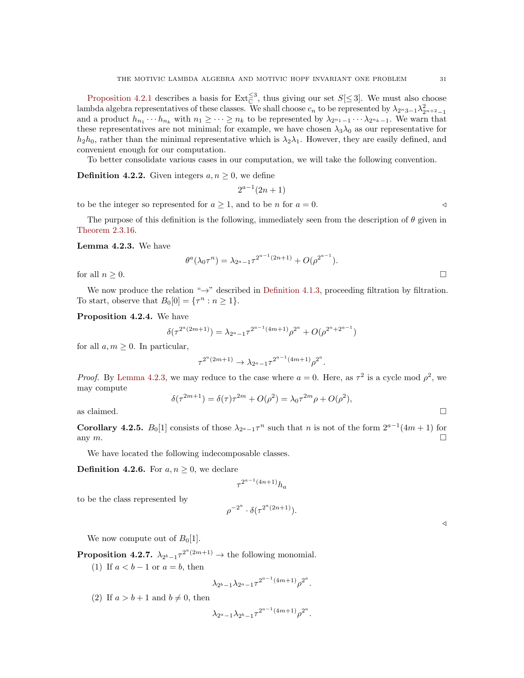[Proposition 4.2.1](#page-29-0) describes a basis for  $\text{Ext}_{\mathbb{C}}^{\leq 3}$ , thus giving our set  $S[\leq 3]$ . We must also choose lambda algebra representatives of these classes. We shall choose  $c_n$  to be represented by  $\lambda_{2^n3-1}\lambda_{2^{n+2}-1}^2$ and a product  $h_{n_1}\cdots h_{n_k}$  with  $n_1\geq\cdots\geq n_k$  to be represented by  $\lambda_{2^{n_1}-1}\cdots\lambda_{2^{n_k}-1}$ . We warn that these representatives are not minimal; for example, we have chosen  $\lambda_3\lambda_0$  as our representative for  $h_2h_0$ , rather than the minimal representative which is  $\lambda_2\lambda_1$ . However, they are easily defined, and convenient enough for our computation.

To better consolidate various cases in our computation, we will take the following convention.

**Definition 4.2.2.** Given integers  $a, n \geq 0$ , we define

$$
2^{a-1}(2n+1)
$$

to be the integer so represented for  $a \ge 1$ , and to be n for  $a = 0$ .

The purpose of this definition is the following, immediately seen from the description of  $\theta$  given in [Theorem 2.3.16.](#page-21-0)

<span id="page-30-0"></span>Lemma 4.2.3. We have

$$
\theta^a(\lambda_0 \tau^n) = \lambda_{2^a - 1} \tau^{2^{a-1}(2n+1)} + O(\rho^{2^{a-1}}).
$$
  
for all  $n \ge 0$ .

We now produce the relation " $\rightarrow$ " described in [Definition 4.1.3,](#page-28-3) proceeding filtration by filtration. To start, observe that  $B_0[0] = {\tau^n : n \ge 1}.$ 

Proposition 4.2.4. We have

$$
\delta(\tau^{2^a(2m+1)}) = \lambda_{2^a-1} \tau^{2^{a-1}(4m+1)} \rho^{2^a} + O(\rho^{2^a+2^{a-1}})
$$

for all  $a, m \geq 0$ . In particular,

$$
\tau^{2^a(2m+1)} \to \lambda_{2^a-1} \tau^{2^{a-1}(4m+1)} \rho^{2^a}.
$$

*Proof.* By [Lemma 4.2.3,](#page-30-0) we may reduce to the case where  $a = 0$ . Here, as  $\tau^2$  is a cycle mod  $\rho^2$ , we may compute

$$
\delta(\tau^{2m+1}) = \delta(\tau)\tau^{2m} + O(\rho^2) = \lambda_0\tau^{2m}\rho + O(\rho^2),
$$
 as claimed.

**Corollary 4.2.5.**  $B_0[1]$  consists of those  $\lambda_{2^a-1}\tau^n$  such that *n* is not of the form  $2^{a-1}(4m+1)$  for any  $m$ .

We have located the following indecomposable classes.

<span id="page-30-2"></span>**Definition 4.2.6.** For  $a, n \geq 0$ , we declare

$$
\tau^{2^{a-1}(4n+1)}h_a
$$

to be the class represented by

$$
\rho^{-2^a} \cdot \delta(\tau^{2^a(2n+1)}).
$$

We now compute out of  $B_0[1]$ .

<span id="page-30-1"></span>**Proposition 4.2.7.**  $\lambda_{2^b-1} \tau^{2^a(2m+1)} \to$  the following monomial.

(1) If  $a < b - 1$  or  $a = b$ , then

$$
\lambda_{2^b-1}\lambda_{2^a-1}\tau^{2^{a-1}(4m+1)}\rho^{2^a}.
$$

(2) If  $a > b + 1$  and  $b \neq 0$ , then

$$
\lambda_{2^a-1}\lambda_{2^b-1}\tau^{2^{a-1}(4m+1)}\rho^{2^a}.
$$

 $\triangleleft$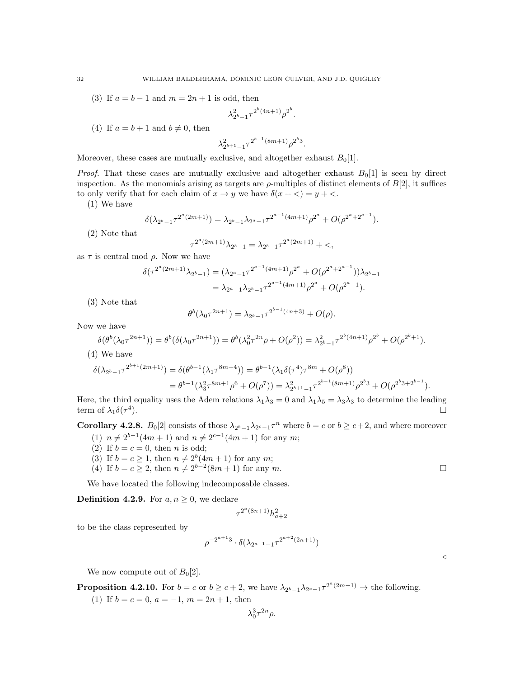(3) If  $a = b - 1$  and  $m = 2n + 1$  is odd, then

$$
\lambda_{2^b-1}^2 \tau^{2^b(4n+1)} {\rho^2}^b.
$$

(4) If  $a = b + 1$  and  $b \neq 0$ , then

$$
\lambda_{2^{b+1}-1}^2 \tau^{2^{b-1}(8m+1)} \rho^{2^b 3}.
$$

Moreover, these cases are mutually exclusive, and altogether exhaust  $B_0[1]$ .

*Proof.* That these cases are mutually exclusive and altogether exhaust  $B_0[1]$  is seen by direct inspection. As the monomials arising as targets are  $\rho$ -multiples of distinct elements of  $B[2]$ , it suffices to only verify that for each claim of  $x \to y$  we have  $\delta(x + \langle) = y + \langle \cdot \rangle$ .

(1) We have

$$
\delta(\lambda_{2^{b}-1}\tau^{2^{a}(2m+1)}) = \lambda_{2^{b}-1}\lambda_{2^{a}-1}\tau^{2^{a-1}(4m+1)}\rho^{2^{a}} + O(\rho^{2^{a}+2^{a-1}}).
$$

(2) Note that

$$
\tau^{2^a(2m+1)}\lambda_{2^b-1}=\lambda_{2^b-1}\tau^{2^a(2m+1)}+<,
$$

as  $\tau$  is central mod  $\rho$ . Now we have

$$
\delta(\tau^{2^a(2m+1)}\lambda_{2^b-1}) = (\lambda_{2^a-1}\tau^{2^{a-1}(4m+1)}\rho^{2^a} + O(\rho^{2^a+2^{a-1}}))\lambda_{2^b-1}
$$
  
=  $\lambda_{2^a-1}\lambda_{2^b-1}\tau^{2^{a-1}(4m+1)}\rho^{2^a} + O(\rho^{2^a+1}).$ 

(3) Note that

$$
\theta^b(\lambda_0 \tau^{2n+1}) = \lambda_{2^b-1} \tau^{2^{b-1}(4n+3)} + O(\rho).
$$

Now we have

$$
\delta(\theta^b(\lambda_0\tau^{2n+1})) = \theta^b(\delta(\lambda_0\tau^{2n+1})) = \theta^b(\lambda_0^2\tau^{2n}\rho + O(\rho^2)) = \lambda_{2^b-1}^2\tau^{2^b(4n+1)}\rho^{2^b} + O(\rho^{2^b+1}).
$$

(4) We have

$$
\delta(\lambda_{2^{b}-1}\tau^{2^{b+1}(2m+1)}) = \delta(\theta^{b-1}(\lambda_1\tau^{8m+4})) = \theta^{b-1}(\lambda_1\delta(\tau^4)\tau^{8m} + O(\rho^8))
$$
  
= 
$$
\theta^{b-1}(\lambda_3^2\tau^{8m+1}\rho^6 + O(\rho^7)) = \lambda_{2^{b+1}-1}^2\tau^{2^{b-1}(8m+1)}\rho^{2^b} + O(\rho^{2^b}3 + 2^{b-1}).
$$

Here, the third equality uses the Adem relations  $\lambda_1\lambda_3 = 0$  and  $\lambda_1\lambda_5 = \lambda_3\lambda_3$  to determine the leading term of  $\lambda_1 \delta(\tau^4)$ ).

**Corollary 4.2.8.**  $B_0[2]$  consists of those  $\lambda_{2^b-1}\lambda_{2^c-1}\tau^n$  where  $b = c$  or  $b \ge c+2$ , and where moreover

- (1)  $n \neq 2^{b-1}(4m+1)$  and  $n \neq 2^{c-1}(4m+1)$  for any m;
- (2) If  $b = c = 0$ , then *n* is odd;
- (3) If  $b = c \geq 1$ , then  $n \neq 2^b(4m + 1)$  for any m;
- (4) If  $b = c \geq 2$ , then  $n \neq 2^{b-2}(8m+1)$  for any m.

We have located the following indecomposable classes.

<span id="page-31-0"></span>**Definition 4.2.9.** For  $a, n \geq 0$ , we declare

$$
\tau^{2^a(8n+1)} h_{a+2}^2
$$

to be the class represented by

$$
\rho^{-2^{a+1}3} \cdot \delta(\lambda_{2^{a+1}-1} \tau^{2^{a+2}(2n+1)})
$$

 $\triangleleft$ 

We now compute out of  $B_0[2]$ .

<span id="page-31-1"></span>**Proposition 4.2.10.** For  $b = c$  or  $b \ge c + 2$ , we have  $\lambda_{2^b-1}\lambda_{2^c-1}\tau^{2^a(2m+1)} \to$  the following.

(1) If  $b = c = 0$ ,  $a = -1$ ,  $m = 2n + 1$ , then

$$
\lambda_0^3 \tau^{2n} \rho.
$$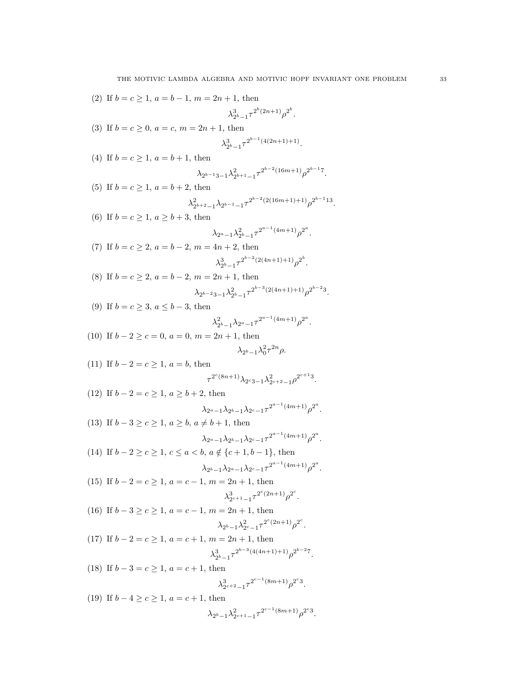(2) If 
$$
b = c \ge 1
$$
,  $a = b - 1$ ,  $m = 2n + 1$ , then  
\n $\lambda_{2^{b-1}}^{3}T^{2^{b}(2n+1)}\rho^{2^{b}}$ .  
\n(3) If  $b = c \ge 0$ ,  $a = c$ ,  $m = 2n + 1$ , then  
\n $\lambda_{2^{b-1}}^{3}T^{2^{b-1}(4(2n+1)+1)}$ .  
\n(4) If  $b = c \ge 1$ ,  $a = b + 1$ , then  
\n $\lambda_{2^{b-1}3}^{2_{b+1}-1}T^{2^{b-2}(16m+1)}\rho^{2^{b-1}7}$ .  
\n(5) If  $b = c \ge 1$ ,  $a = b + 2$ , then  
\n $\lambda_{2^{b+2}-1}^{2_{b+2}-1}T^{2^{b-2}(2(16m+1)+1)}\rho^{2^{b-1}13}$ .  
\n(6) If  $b = c \ge 1$ ,  $a \ge b + 3$ , then  
\n $\lambda_{2^{a-1}}\lambda_{2^{b-1}}^{2^{a-1}}T^{2^{a-1}(4m+1)}\rho^{2^{a}}$ .  
\n(7) If  $b = c \ge 2$ ,  $a = b - 2$ ,  $m = 4n + 2$ , then  
\n $\lambda_{2^{b-1}}^{3}T^{2^{b-2}(2(4n+1)+1)}\rho^{2^{b}}$ .  
\n(8) If  $b = c \ge 3$ ,  $a \le b - 3$ , then  
\n $\lambda_{2^{b-2}3}^{3}T^{2^{b-2}(2(4n+1)+1)}\rho^{2^{b-2}3}$ .  
\n(9) If  $b = c \ge 3$ ,  $a \le b - 3$ , then  
\n $\lambda_{2^{b-1}}^{2^{b}-1}\lambda_{2^{b-1}}^{2^{a-1}}T^{2^{a-1}(4m+1)}\rho^{2^{a}}$ .  
\n(10) If  $b - 2 \ge c = 0$ ,  $a = 0$ ,  $m = 2n + 1$ , then  
\n $\lambda_{2^{b-1}}\lambda_{2^{b-1}}^{2^{a-1}}T^{2^{a-1}(4m+1)}$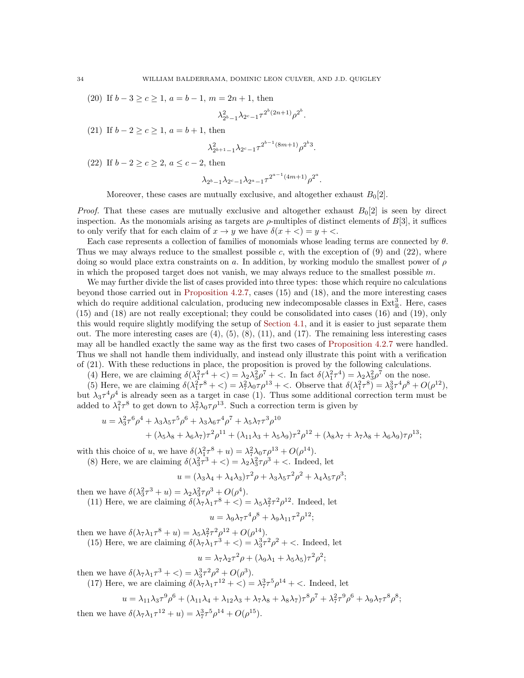(20) If  $b-3 \ge c \ge 1$ ,  $a = b-1$ ,  $m = 2n + 1$ , then

$$
\lambda_{2^b-1}^2 \lambda_{2^c-1} \tau^{2^b(2n+1)} \rho^{2^b}.
$$

(21) If  $b - 2 \ge c \ge 1$ ,  $a = b + 1$ , then

$$
\lambda_{2^{b+1}-1}^2 \lambda_{2^c-1} \tau^{2^{b-1}(8m+1)} \rho^{2^b 3}.
$$

(22) If  $b - 2 > c > 2$ ,  $a < c - 2$ , then

$$
\lambda_{2^b-1}\lambda_{2^c-1}\lambda_{2^a-1}\tau^{2^{a-1}(4m+1)}\rho^{2^a}.
$$

Moreover, these cases are mutually exclusive, and altogether exhaust  $B_0[2]$ .

*Proof.* That these cases are mutually exclusive and altogether exhaust  $B_0[2]$  is seen by direct inspection. As the monomials arising as targets are  $\rho$ -multiples of distinct elements of  $B[3]$ , it suffices to only verify that for each claim of  $x \to y$  we have  $\delta(x + \langle) = y + \langle \cdot \rangle$ .

Each case represents a collection of families of monomials whose leading terms are connected by  $\theta$ . Thus we may always reduce to the smallest possible c, with the exception of  $(9)$  and  $(22)$ , where doing so would place extra constraints on a. In addition, by working modulo the smallest power of  $\rho$ in which the proposed target does not vanish, we may always reduce to the smallest possible  $m$ .

We may further divide the list of cases provided into three types: those which require no calculations beyond those carried out in [Proposition 4.2.7,](#page-30-1) cases (15) and (18), and the more interesting cases which do require additional calculation, producing new indecomposable classes in  $Ext^3_{\mathbb{R}}$ . Here, cases (15) and (18) are not really exceptional; they could be consolidated into cases (16) and (19), only this would require slightly modifying the setup of [Section 4.1,](#page-26-2) and it is easier to just separate them out. The more interesting cases are  $(4)$ ,  $(5)$ ,  $(8)$ ,  $(11)$ , and  $(17)$ . The remaining less interesting cases may all be handled exactly the same way as the first two cases of [Proposition 4.2.7](#page-30-1) were handled. Thus we shall not handle them individually, and instead only illustrate this point with a verification of (21). With these reductions in place, the proposition is proved by the following calculations.

(4) Here, we are claiming  $\delta(\lambda_1^2 \tau^4 + \langle \rangle) = \lambda_2 \lambda_3^2 \rho^7 + \langle \rangle$ . In fact  $\delta(\lambda_1^2 \tau^4) = \lambda_2 \lambda_3^2 \rho^7$  on the nose.

(5) Here, we are claiming  $\delta(\lambda_1^2 \tau^8 + \langle) = \lambda_7^2 \lambda_0 \tau \rho^{13} + \langle$ . Observe that  $\delta(\lambda_1^2 \tau^8) = \lambda_3^3 \tau^4 \rho^8 + O(\rho^{12}),$ but  $\lambda_3 \tau^4 \rho^4$  is already seen as a target in case (1). Thus some additional correction term must be added to  $\lambda_1^2 \tau^8$  to get down to  $\lambda_7^2 \lambda_0 \tau \rho^{13}$ . Such a correction term is given by

$$
u = \lambda_3^2 \tau^6 \rho^4 + \lambda_3 \lambda_5 \tau^5 \rho^6 + \lambda_3 \lambda_6 \tau^4 \rho^7 + \lambda_5 \lambda_7 \tau^3 \rho^{10}
$$
  
+ 
$$
(\lambda_5 \lambda_8 + \lambda_6 \lambda_7) \tau^2 \rho^{11} + (\lambda_{11} \lambda_3 + \lambda_5 \lambda_9) \tau^2 \rho^{12} + (\lambda_8 \lambda_7 + \lambda_7 \lambda_8 + \lambda_6 \lambda_9) \tau \rho^{13};
$$

with this choice of u, we have  $\delta(\lambda_1^2 \tau^8 + u) = \lambda_7^2 \lambda_0 \tau \rho^{13} + O(\rho^{14}).$ 

(8) Here, we are claiming 
$$
\delta(\lambda_3^2 \tau^3 + \langle \cdot \rangle = \lambda_2 \lambda_3^2 \tau \rho^3 + \langle \cdot \rangle
$$
. Indeed, let

$$
u = (\lambda_3 \lambda_4 + \lambda_4 \lambda_3) \tau^2 \rho + \lambda_3 \lambda_5 \tau^2 \rho^2 + \lambda_4 \lambda_5 \tau \rho^3;
$$

then we have  $\delta(\lambda_3^2 \tau^3 + u) = \lambda_2 \lambda_3^2 \tau \rho^3 + O(\rho^4)$ .

(11) Here, we are claiming  $\delta(\lambda_7 \lambda_1 \tau^8 + \langle ) = \lambda_5 \lambda_7^2 \tau^2 \rho^{12}$ . Indeed, let

$$
u = \lambda_9 \lambda_7 \tau^4 \rho^8 + \lambda_9 \lambda_{11} \tau^2 \rho^{12};
$$

then we have  $\delta(\lambda_7 \lambda_1 \tau^8 + u) = \lambda_5 \lambda_7^2 \tau^2 \rho^{12} + O(\rho^{14}).$ 

(15) Here, we are claiming  $\delta(\lambda_7 \lambda_1 \tau^3 + \langle ) = \lambda_3^3 \tau^2 \rho^2 + \langle . \rangle$  Indeed, let

$$
u = \lambda_7 \lambda_2 \tau^2 \rho + (\lambda_9 \lambda_1 + \lambda_5 \lambda_5) \tau^2 \rho^2;
$$

then we have  $\delta(\lambda_7 \lambda_1 \tau^3 + \langle ) = \lambda_3^3 \tau^2 \rho^2 + O(\rho^3)$ .

(17) Here, we are claiming  $\delta(\lambda_7 \lambda_1 \tau^{12} + \langle ) = \lambda_7^3 \tau^5 \rho^{14} + \langle . \rangle$  Indeed, let

$$
u = \lambda_{11}\lambda_3\tau^9\rho^6 + (\lambda_{11}\lambda_4 + \lambda_{12}\lambda_3 + \lambda_7\lambda_8 + \lambda_8\lambda_7)\tau^8\rho^7 + \lambda_7^2\tau^9\rho^6 + \lambda_9\lambda_7\tau^8\rho^8;
$$

then we have  $\delta(\lambda_7 \lambda_1 \tau^{12} + u) = \lambda_7^3 \tau^5 \rho^{14} + O(\rho^{15}).$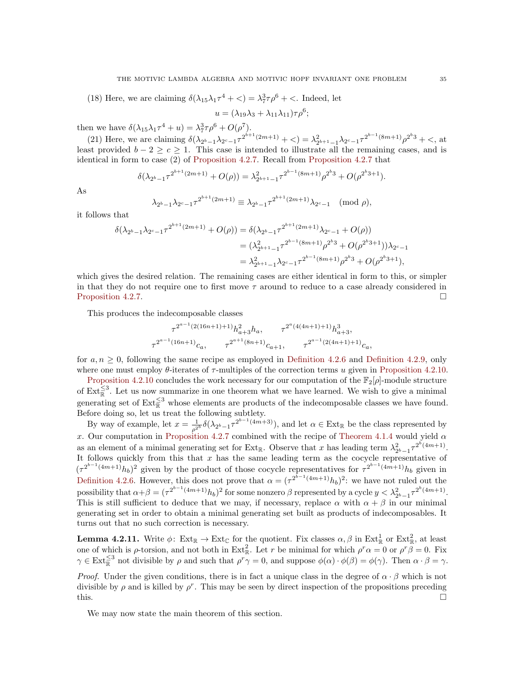(18) Here, we are claiming  $\delta(\lambda_{15}\lambda_1\tau^4 + \langle\ \rangle = \lambda_7^3\tau\rho^6 + \langle\ \rangle$ . Indeed, let

$$
u = (\lambda_{19}\lambda_3 + \lambda_{11}\lambda_{11})\tau\rho^6;
$$

then we have  $\delta(\lambda_{15}\lambda_1\tau^4 + u) = \lambda_7^3\tau\rho^6 + O(\rho^7)$ .

(21) Here, we are claiming  $\delta(\lambda_{2^b-1}\lambda_{2^c-1}\tau^{2^{b+1}(2m+1)} + <) = \lambda_{2^{b+1}-1}^2\lambda_{2^c-1}\tau^{2^{b-1}(8m+1)}\rho^{2^b} + <,$  at least provided  $b - 2 \geq c \geq 1$ . This case is intended to illustrate all the remaining cases, and is identical in form to case (2) of [Proposition 4.2.7.](#page-30-1) Recall from [Proposition 4.2.7](#page-30-1) that

$$
\delta(\lambda_{2^{b}-1}\tau^{2^{b+1}(2m+1)} + O(\rho)) = \lambda_{2^{b+1}-1}^2 \tau^{2^{b-1}(8m+1)}\rho^{2^b} + O(\rho^{2^b}3+1).
$$

As

$$
\lambda_{2^{b}-1}\lambda_{2^{c}-1}\tau^{2^{b+1}(2m+1)} \equiv \lambda_{2^{b}-1}\tau^{2^{b+1}(2m+1)}\lambda_{2^{c}-1} \pmod{p},
$$

it follows that

$$
\delta(\lambda_{2^{b}-1}\lambda_{2^{c}-1}\tau^{2^{b+1}(2m+1)} + O(\rho)) = \delta(\lambda_{2^{b}-1}\tau^{2^{b+1}(2m+1)}\lambda_{2^{c}-1} + O(\rho))
$$
  

$$
= (\lambda_{2^{b+1}-1}^{2}\tau^{2^{b-1}(8m+1)}\rho^{2^{b}3} + O(\rho^{2^{b}3+1}))\lambda_{2^{c}-1}
$$
  

$$
= \lambda_{2^{b+1}-1}^{2}\lambda_{2^{c}-1}\tau^{2^{b-1}(8m+1)}\rho^{2^{b}3} + O(\rho^{2^{b}3+1}),
$$

which gives the desired relation. The remaining cases are either identical in form to this, or simpler in that they do not require one to first move  $\tau$  around to reduce to a case already considered in [Proposition 4.2.7.](#page-30-1)

This produces the indecomposable classes

$$
\tau^{2^{a-1}(2(16n+1)+1)}h_{a+3}^2h_a, \qquad \tau^{2^a(4(4n+1)+1)}h_{a+3}^3,
$$
  

$$
\tau^{2^{a-1}(16n+1)}c_a, \qquad \tau^{2^{a+1}(8n+1)}c_{a+1}, \qquad \tau^{2^{a-1}(2(4n+1)+1)}c_a,
$$

for  $a, n \geq 0$ , following the same recipe as employed in [Definition 4.2.6](#page-30-2) and [Definition 4.2.9,](#page-31-0) only where one must employ  $\theta$ -iterates of  $\tau$ -multiples of the correction terms u given in [Proposition 4.2.10.](#page-31-1)

[Proposition 4.2.10](#page-31-1) concludes the work necessary for our computation of the  $\mathbb{F}_2[\rho]$ -module structure of  $\text{Ext}_{\mathbb{R}}^{\leq 3}$ . Let us now summarize in one theorem what we have learned. We wish to give a minimal generating set of  $\text{Ext}_{\mathbb{R}}^{\leq 3}$  whose elements are products of the indecomposable classes we have found. Before doing so, let us treat the following subtlety.

By way of example, let  $x = \frac{1}{\rho^{2^b}} \delta(\lambda_{2^b-1} \tau^{2^{b-1}(4m+3)})$ , and let  $\alpha \in \text{Ext}_{\mathbb{R}}$  be the class represented by x. Our computation in [Proposition 4.2.7](#page-30-1) combined with the recipe of [Theorem 4.1.4](#page-28-0) would yield  $\alpha$ as an element of a minimal generating set for Ext<sub>R</sub>. Observe that x has leading term  $\lambda_{2^b-1}^2 \tau^{2^b(4m+1)}$ . It follows quickly from this that x has the same leading term as the cocycle representative of  $(\tau^{2^{b-1}(4m+1)}h_b)^2$  given by the product of those cocycle representatives for  $\tau^{2^{b-1}(4m+1)}h_b$  given in [Definition 4.2.6.](#page-30-2) However, this does not prove that  $\alpha = (\tau^{2^{b-1}(4m+1)}h_b)^2$ : we have not ruled out the possibility that  $\alpha + \beta = (\tau^{2^{b-1}(4m+1)}h_b)^2$  for some nonzero  $\beta$  represented by a cycle  $y < \lambda_{2^b-1}^2 \tau^{2^b(4m+1)}$ . This is still sufficient to deduce that we may, if necessary, replace  $\alpha$  with  $\alpha + \beta$  in our minimal generating set in order to obtain a minimal generating set built as products of indecomposables. It turns out that no such correction is necessary.

<span id="page-34-1"></span>**Lemma 4.2.11.** Write  $\phi: Ext_{\mathbb{R}} \to Ext_{\mathbb{C}}$  for the quotient. Fix classes  $\alpha, \beta$  in  $Ext_{\mathbb{R}}^1$  or  $Ext_{\mathbb{R}}^2$ , at least one of which is  $\rho$ -torsion, and not both in Ext<sub>R</sub>. Let r be minimal for which  $\rho^r \alpha = 0$  or  $\rho^r \beta = 0$ . Fix  $\gamma \in \text{Ext}_{\mathbb{R}}^{\leq 3}$  not divisible by  $\rho$  and such that  $\rho^r \gamma = 0$ , and suppose  $\phi(\alpha) \cdot \phi(\beta) = \phi(\gamma)$ . Then  $\alpha \cdot \beta = \gamma$ .

*Proof.* Under the given conditions, there is in fact a unique class in the degree of  $\alpha \cdot \beta$  which is not divisible by  $\rho$  and is killed by  $\rho^r$ . This may be seen by direct inspection of the propositions preceding this.  $\Box$ 

<span id="page-34-0"></span>We may now state the main theorem of this section.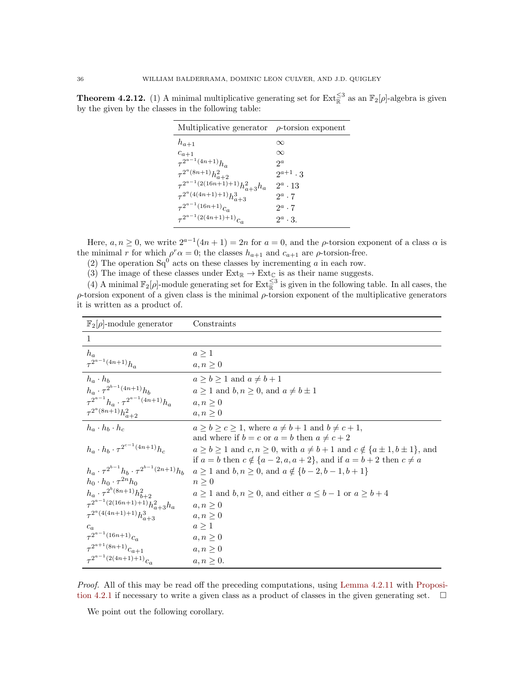**Theorem 4.2.12.** (1) A minimal multiplicative generating set for  $\text{Ext}_{\mathbb{R}}^{\leq 3}$  as an  $\mathbb{F}_2[\rho]$ -algebra is given by the given by the classes in the following table:

| Multiplicative generator                 | $\rho$ -torsion exponent |
|------------------------------------------|--------------------------|
| $h_{a+1}$                                | $\infty$                 |
| $c_{a+1}$                                | $\infty$                 |
| $\tau^{2^{a-1}(4n+1)}h_a$                | $2^a$                    |
| $\tau^{2^a(8n+1)}h_{a+2}^2$              | $2^{a+1} \cdot 3$        |
| $\tau^{2^{a-1}(2(16n+1)+1)}h_{a+3}^2h_a$ | $2^a \cdot 13$           |
| $\tau^{2^a(4(4n+1)+1)}h_{a+3}^3$         | $2^a \cdot 7$            |
| $\tau^{2^{a-1}(16n+1)}c_a$               | $2^a \cdot 7$            |
| $\tau^{2^{a-1}(2(4n+1)+1)}c_a$           | $2^a \cdot 3$ .          |

Here,  $a, n \ge 0$ , we write  $2^{a-1}(4n+1) = 2n$  for  $a = 0$ , and the  $\rho$ -torsion exponent of a class  $\alpha$  is the minimal r for which  $\rho^r \alpha = 0$ ; the classes  $h_{a+1}$  and  $c_{a+1}$  are  $\rho$ -torsion-free.

(2) The operation  $Sq^0$  acts on these classes by incrementing a in each row.

(3) The image of these classes under  $Ext_{\mathbb{R}} \to Ext_{\mathbb{C}}$  is as their name suggests.

(4) A minimal  $\mathbb{F}_2[\rho]$ -module generating set for  $\text{Ext}_{\mathbb{R}}^{\leq 3}$  is given in the following table. In all cases, the  $\rho$ -torsion exponent of a given class is the minimal  $\rho$ -torsion exponent of the multiplicative generators it is written as a product of.

| $\mathbb{F}_2[\rho]$ -module generator                        | Constraints                                                                                                                                                                    |
|---------------------------------------------------------------|--------------------------------------------------------------------------------------------------------------------------------------------------------------------------------|
| 1                                                             |                                                                                                                                                                                |
| $h_a$                                                         | a > 1                                                                                                                                                                          |
| $\tau^{2^{a-1}(4n+1)}h_a$                                     | $a, n \geq 0$                                                                                                                                                                  |
| $h_a \cdot h_b$                                               | $a \ge b \ge 1$ and $a \ne b+1$                                                                                                                                                |
| $h_a \cdot \tau^{2^{b-1}(4n+1)} h_b$                          | $a \geq 1$ and $b, n \geq 0$ , and $a \neq b \pm 1$                                                                                                                            |
| $\tau^{2^{a-1}} h_a \cdot \tau^{2^{a-1}(4n+1)} h_a$           | $a, n \geq 0$                                                                                                                                                                  |
| $\tau^{2^a(8n+1)}h_{a+2}^2$                                   | $a, n \geq 0$                                                                                                                                                                  |
| $h_a \cdot h_b \cdot h_c$                                     | $a > b > c > 1$ , where $a \neq b+1$ and $b \neq c+1$ .<br>and where if $b = c$ or $a = b$ then $a \neq c + 2$                                                                 |
| $h_a \cdot h_b \cdot \tau^{2^{c-1}(4n+1)} h_c$                | $a \ge b \ge 1$ and $c, n \ge 0$ , with $a \ne b+1$ and $c \notin \{a \pm 1, b \pm 1\}$ , and<br>if $a = b$ then $c \notin \{a-2, a, a+2\}$ , and if $a = b+2$ then $c \neq a$ |
| $h_a \cdot \tau^{2^{b-1}} h_b \cdot \tau^{2^{b-1}(2n+1)} h_b$ | $a \ge 1$ and $b, n \ge 0$ , and $a \notin \{b-2, b-1, b+1\}$                                                                                                                  |
| $h_0 \cdot h_0 \cdot \tau^{2n} h_0$                           | $n\geq 0$                                                                                                                                                                      |
| $h_a \cdot \tau^{2^b(8n+1)} h_{b+2}^2$                        | $a \ge 1$ and $b, n \ge 0$ , and either $a \le b - 1$ or $a \ge b + 4$                                                                                                         |
| $\tau^{2^{a-1}(2(16n+1)+1)} h_{a+3}^2 h_a$                    | $a, n \geq 0$                                                                                                                                                                  |
| $\tau^{2^a(4(4n+1)+1)}h_{a+3}^3$                              | $a, n \geq 0$                                                                                                                                                                  |
| $c_a$                                                         | a > 1                                                                                                                                                                          |
| $\tau^{2^{a-1}(16n+1)}c_a$                                    | $a, n \geq 0$                                                                                                                                                                  |
| $\tau^{2^{a+1}(8n+1)}c_{a+1}$                                 | $a, n \geq 0$                                                                                                                                                                  |
| $\tau^{2^{a-1}(2(4n+1)+1)}c_a$                                | $a, n \geq 0.$                                                                                                                                                                 |

Proof. All of this may be read off the preceding computations, using [Lemma 4.2.11](#page-34-1) with [Proposi](#page-29-0)[tion 4.2.1](#page-29-0) if necessary to write a given class as a product of classes in the given generating set.  $\square$ 

We point out the following corollary.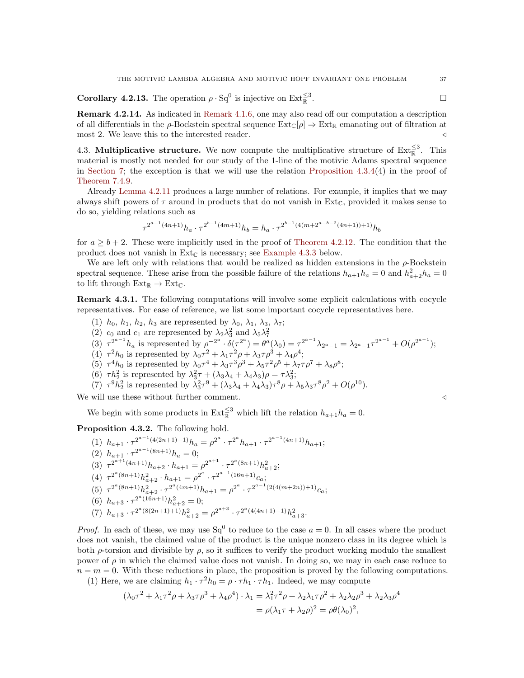**Corollary 4.2.13.** The operation  $\rho \cdot Sq^0$  is injective on  $Ext_{\mathbb{R}}^{\leq 3}$ .

Remark 4.2.14. As indicated in [Remark 4.1.6,](#page-29-1) one may also read off our computation a description of all differentials in the  $\rho$ -Bockstein spectral sequence  $\text{Ext}_{\mathbb{C}}[\rho] \Rightarrow \text{Ext}_{\mathbb{R}}$  emanating out of filtration at most 2. We leave this to the interested reader.

<span id="page-36-0"></span>4.3. Multiplicative structure. We now compute the multiplicative structure of  $\text{Ext}_{\mathbb{R}}^{\leq 3}$ . This material is mostly not needed for our study of the 1-line of the motivic Adams spectral sequence in [Section 7;](#page-45-0) the exception is that we will use the relation [Proposition 4.3.4\(](#page-37-0)4) in the proof of [Theorem 7.4.9.](#page-53-0)

Already [Lemma 4.2.11](#page-34-1) produces a large number of relations. For example, it implies that we may always shift powers of  $\tau$  around in products that do not vanish in  $Ext_{\mathbb{C}}$ , provided it makes sense to do so, yielding relations such as

$$
\tau^{2^{a-1}(4n+1)}h_a \cdot \tau^{2^{b-1}(4m+1)}h_b = h_a \cdot \tau^{2^{b-1}(4(m+2^{a-b-2}(4n+1))+1)}h_b
$$

for  $a \geq b + 2$ . These were implicitly used in the proof of [Theorem 4.2.12.](#page-34-0) The condition that the product does not vanish in  $Ext_{\mathbb{C}}$  is necessary; see [Example 4.3.3](#page-37-1) below.

We are left only with relations that would be realized as hidden extensions in the  $\rho$ -Bockstein spectral sequence. These arise from the possible failure of the relations  $h_{a+1}h_a = 0$  and  $h_{a+2}^2h_a = 0$ to lift through  $Ext_{\mathbb{R}} \to Ext_{\mathbb{C}}$ .

Remark 4.3.1. The following computations will involve some explicit calculations with cocycle representatives. For ease of reference, we list some important cocycle representatives here.

- (1)  $h_0$ ,  $h_1$ ,  $h_2$ ,  $h_3$  are represented by  $\lambda_0$ ,  $\lambda_1$ ,  $\lambda_3$ ,  $\lambda_7$ ;
- (2)  $c_0$  and  $c_1$  are represented by  $\lambda_2 \lambda_3^2$  and  $\lambda_5 \lambda_7^2$

(3) 
$$
\tau^{2^{a-1}} h_a
$$
 is represented by  $\rho^{-2^a} \cdot \delta(\tau^{2^a}) = \theta^a(\lambda_0) = \tau^{2^{a-1}} \lambda_{2^a-1} = \lambda_{2^a-1} \tau^{2^{a-1}} + O(\rho^{2^{a-1}});$ 

(4)  $\tau^2 h_0$  is represented by  $\lambda_0 \tau^2 + \lambda_1 \tau^2 \rho + \lambda_3 \tau \rho^3 + \lambda_4 \rho^4$ ;

- (5)  $\tau^4 h_0$  is represented by  $\lambda_0 \tau^4 + \lambda_3 \tau^3 \rho^3 + \lambda_5 \tau^2 \rho^5 + \lambda_7 \tau \rho^7 + \lambda_8 \rho^8$ ;
- (6)  $\tau h_2^2$  is represented by  $\lambda_3^2 \tau + (\lambda_3 \lambda_4 + \lambda_4 \lambda_3) \rho = \tau \lambda_3^2$ ;
- (7)  $\tau^9 h_2^2$  is represented by  $\lambda_3^2 \tau^9 + (\lambda_3 \lambda_4 + \lambda_4 \lambda_3) \tau^8 \rho + \lambda_5 \lambda_3 \tau^8 \rho^2 + O(\rho^{10}).$

We will use these without further comment.  $\triangleleft$ 

We begin with some products in  $\text{Ext}_{\mathbb{R}}^{\leq 3}$  which lift the relation  $h_{a+1}h_a = 0$ .

<span id="page-36-1"></span>Proposition 4.3.2. The following hold.

(1)  $h_{a+1} \cdot \tau^{2^{a-1}(4(2n+1)+1)} h_a = \rho^{2^a} \cdot \tau^{2^a} h_{a+1} \cdot \tau^{2^{a-1}(4n+1)} h_{a+1};$ (2)  $h_{a+1} \cdot \tau^{2^{a-1}(8n+1)} h_a = 0;$ (3)  $\tau^{2^{a+1}(4n+1)}h_{a+2} \cdot h_{a+1} = \rho^{2^{a+1}} \cdot \tau^{2^{a}(8n+1)}h_{a+2}^2;$ (4)  $\tau^{2^a(8n+1)}h_{a+2}^2 \cdot h_{a+1} = \rho^{2^a} \cdot \tau^{2^{a-1}(16n+1)}c_a;$ (5)  $\tau^{2^a(8n+1)}h_{a+2}^2 \cdot \tau^{2^a(4m+1)}h_{a+1} = \rho^{2^a} \cdot \tau^{2^{a-1}(2(4(m+2n))+1)}c_a;$ (6)  $h_{a+3} \cdot \tau^{2^a(16n+1)} h_{a+2}^2 = 0;$ (7)  $h_{a+3} \cdot \tau^{2^a (8(2n+1)+1)} h_{a+2}^2 = \rho^{2^{a+3}} \cdot \tau^{2^a (4(4n+1)+1)} h_{a+3}^2.$ 

*Proof.* In each of these, we may use  $Sq^0$  to reduce to the case  $a = 0$ . In all cases where the product does not vanish, the claimed value of the product is the unique nonzero class in its degree which is both  $\rho$ -torsion and divisible by  $\rho$ , so it suffices to verify the product working modulo the smallest power of  $\rho$  in which the claimed value does not vanish. In doing so, we may in each case reduce to  $n = m = 0$ . With these reductions in place, the proposition is proved by the following computations.

(1) Here, we are claiming  $h_1 \cdot \tau^2 h_0 = \rho \cdot \tau h_1 \cdot \tau h_1$ . Indeed, we may compute

$$
(\lambda_0 \tau^2 + \lambda_1 \tau^2 \rho + \lambda_3 \tau \rho^3 + \lambda_4 \rho^4) \cdot \lambda_1 = \lambda_1^2 \tau^2 \rho + \lambda_2 \lambda_1 \tau \rho^2 + \lambda_2 \lambda_2 \rho^3 + \lambda_2 \lambda_3 \rho^4
$$
  
=  $\rho (\lambda_1 \tau + \lambda_2 \rho)^2 = \rho \theta (\lambda_0)^2$ ,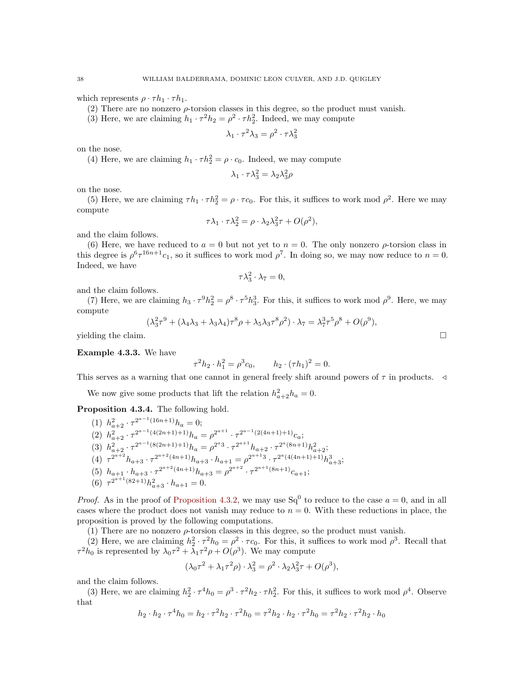which represents  $\rho \cdot \tau h_1 \cdot \tau h_1$ .

(2) There are no nonzero  $\rho$ -torsion classes in this degree, so the product must vanish.

(3) Here, we are claiming  $h_1 \cdot \tau^2 h_2 = \rho^2 \cdot \tau h_2^2$ . Indeed, we may compute

$$
\lambda_1 \cdot \tau^2 \lambda_3 = \rho^2 \cdot \tau \lambda_3^2
$$

on the nose.

(4) Here, we are claiming  $h_1 \cdot \tau h_2^2 = \rho \cdot c_0$ . Indeed, we may compute

$$
\lambda_1 \cdot \tau \lambda_3^2 = \lambda_2 \lambda_3^2 \rho
$$

on the nose.

(5) Here, we are claiming  $\tau h_1 \cdot \tau h_2^2 = \rho \cdot \tau c_0$ . For this, it suffices to work mod  $\rho^2$ . Here we may compute

$$
\tau \lambda_1 \cdot \tau \lambda_2^2 = \rho \cdot \lambda_2 \lambda_3^2 \tau + O(\rho^2),
$$

and the claim follows.

(6) Here, we have reduced to  $a = 0$  but not yet to  $n = 0$ . The only nonzero  $\rho$ -torsion class in this degree is  $\rho^6 \tau^{16n+1} c_1$ , so it suffices to work mod  $\rho^7$ . In doing so, we may now reduce to  $n = 0$ . Indeed, we have

$$
\tau \lambda_3^2 \cdot \lambda_7 = 0,
$$

and the claim follows.

(7) Here, we are claiming  $h_3 \cdot \tau^9 h_2^2 = \rho^8 \cdot \tau^5 h_3^3$ . For this, it suffices to work mod  $\rho^9$ . Here, we may compute

$$
(\lambda_3^2 \tau^9 + (\lambda_4 \lambda_3 + \lambda_3 \lambda_4) \tau^8 \rho + \lambda_5 \lambda_3 \tau^8 \rho^2) \cdot \lambda_7 = \lambda_7^3 \tau^5 \rho^8 + O(\rho^9),
$$

yielding the claim.  $\Box$ 

<span id="page-37-1"></span>Example 4.3.3. We have

$$
\tau^2 h_2 \cdot h_1^2 = \rho^3 c_0, \qquad h_2 \cdot (\tau h_1)^2 = 0.
$$

This serves as a warning that one cannot in general freely shift around powers of  $\tau$  in products.  $\triangleleft$ 

We now give some products that lift the relation  $h_{a+2}^2 h_a = 0$ .

<span id="page-37-0"></span>Proposition 4.3.4. The following hold.

(1) 
$$
h_{a+2}^2 \cdot \tau^{2^{a-1}(16n+1)} h_a = 0;
$$
  
\n(2)  $h_{a+2}^2 \cdot \tau^{2^{a-1}(4(2n+1)+1)} h_a = \rho^{2^{a+1}} \cdot \tau^{2^{a-1}(2(4n+1)+1)} c_a;$   
\n(3)  $h_{a+2}^2 \cdot \tau^{2^{a-1}(8(2n+1)+1)} h_a = \rho^{2^a 3} \cdot \tau^{2^{a+1}} h_{a+2} \cdot \tau^{2^a(8n+1)} h_{a+2}^2;$   
\n(4)  $\tau^{2^{a+2}} h_{a+3} \cdot \tau^{2^{a+2}(4n+1)} h_{a+3} \cdot h_{a+1} = \rho^{2^{a+1} 3} \cdot \tau^{2^a(4(4n+1)+1)} h_{a+3}^3;$   
\n(5)  $h_{a+1} \cdot h_{a+3} \cdot \tau^{2^{a+2}(4n+1)} h_{a+3} = \rho^{2^{a+2}} \cdot \tau^{2^{a+1}(8n+1)} c_{a+1};$   
\n(6)  $\tau^{2^{a+1}(82+1)} h_{a+3}^2 \cdot h_{a+1} = 0.$ 

*Proof.* As in the proof of [Proposition 4.3.2,](#page-36-1) we may use Sq<sup>0</sup> to reduce to the case  $a = 0$ , and in all cases where the product does not vanish may reduce to  $n = 0$ . With these reductions in place, the proposition is proved by the following computations.

(1) There are no nonzero  $\rho$ -torsion classes in this degree, so the product must vanish.

(2) Here, we are claiming  $h_2^2 \cdot \tau^2 h_0 = \rho^2 \cdot \tau c_0$ . For this, it suffices to work mod  $\rho^3$ . Recall that  $\tau^2 h_0$  is represented by  $\lambda_0 \tau^2 + \lambda_1 \tau^2 \rho + O(\rho^3)$ . We may compute

$$
(\lambda_0 \tau^2 + \lambda_1 \tau^2 \rho) \cdot \lambda_3^2 = \rho^2 \cdot \lambda_2 \lambda_3^2 \tau + O(\rho^3),
$$

and the claim follows.

(3) Here, we are claiming  $h_2^2 \cdot \tau^4 h_0 = \rho^3 \cdot \tau^2 h_2 \cdot \tau h_2^2$ . For this, it suffices to work mod  $\rho^4$ . Observe that

$$
h_2 \cdot h_2 \cdot \tau^4 h_0 = h_2 \cdot \tau^2 h_2 \cdot \tau^2 h_0 = \tau^2 h_2 \cdot h_2 \cdot \tau^2 h_0 = \tau^2 h_2 \cdot \tau^2 h_2 \cdot h_0
$$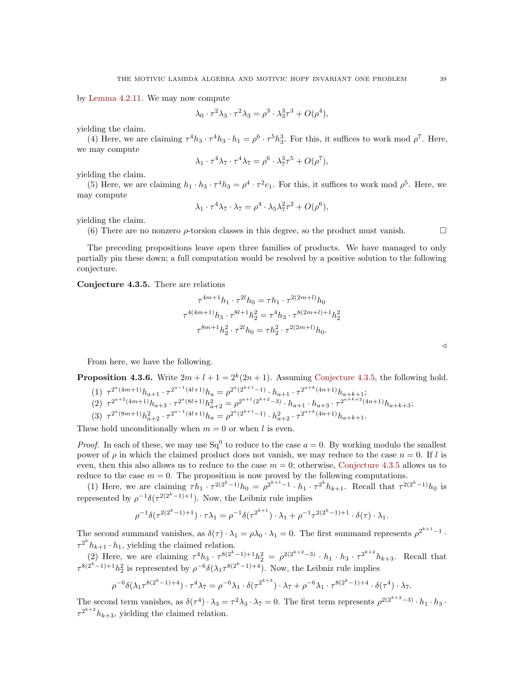by [Lemma 4.2.11.](#page-34-1) We may now compute

$$
\lambda_0 \cdot \tau^2 \lambda_3 \cdot \tau^2 \lambda_3 = \rho^3 \cdot \lambda_3^3 \tau^3 + O(\rho^4),
$$

yielding the claim.

(4) Here, we are claiming  $\tau^4 h_3 \cdot \tau^4 h_3 \cdot h_1 = \rho^6 \cdot \tau^5 h_3^3$ . For this, it suffices to work mod  $\rho^7$ . Here, we may compute

$$
\lambda_1 \cdot \tau^4 \lambda_7 \cdot \tau^4 \lambda_7 = \rho^6 \cdot \lambda_7^3 \tau^5 + O(\rho^7),
$$

yielding the claim.

(5) Here, we are claiming  $h_1 \cdot h_3 \cdot \tau^4 h_3 = \rho^4 \cdot \tau^2 c_1$ . For this, it suffices to work mod  $\rho^5$ . Here, we may compute

$$
\lambda_1 \cdot \tau^4 \lambda_7 \cdot \lambda_7 = \rho^4 \cdot \lambda_5 \lambda_7^2 \tau^2 + O(\rho^6),
$$

yielding the claim.

(6) There are no nonzero  $\rho$ -torsion classes in this degree, so the product must vanish.

The preceding propositions leave open three families of products. We have managed to only partially pin these down; a full computation would be resolved by a positive solution to the following conjecture.

<span id="page-38-0"></span>Conjecture 4.3.5. There are relations

$$
\tau^{4m+1}h_1 \cdot \tau^{2l}h_0 = \tau h_1 \cdot \tau^{2(2m+l)}h_0
$$
  

$$
\tau^{4(4m+1)}h_3 \cdot \tau^{8l+1}h_2^2 = \tau^4 h_3 \cdot \tau^{8(2m+l)+1}h_2^2
$$
  

$$
\tau^{8m+1}h_2^2 \cdot \tau^{2l}h_0 = \tau h_2^2 \cdot \tau^{2(2m+l)}h_0.
$$

From here, we have the following.

<span id="page-38-1"></span>**Proposition 4.3.6.** Write 
$$
2m + l + 1 = 2^k(2n + 1)
$$
. Assuming Conjecture 4.3.5, the following hold.

- (1)  $\tau^{2^a(4m+1)}h_{a+1} \cdot \tau^{2^{a-1}(4l+1)}h_a = \rho^{2^a(2^{k+1}-1)} \cdot h_{a+1} \cdot \tau^{2^{a+k}(4n+1)}h_{a+k+1};$ (2)  $\tau^{2^{a+2}(4m+1)}h_{a+3} \cdot \tau^{2^{a}(8l+1)}h_{a+2}^{2} = \rho^{2^{a+1}(2^{k+2}-3)} \cdot h_{a+1} \cdot h_{a+3} \cdot \tau^{2^{a+k+2}(4n+1)}h_{a+k+3};$
- (3)  $\tau^{2^a(8m+1)}h_{a+2}^2 \cdot \tau^{2^{a-1}(4l+1)}h_a = \rho^{2^a(2^{k+1}-1)} \cdot h_{a+2}^2 \cdot \tau^{2^{a+k}(4n+1)}h_{a+k+1}.$

These hold unconditionally when  $m = 0$  or when l is even.

*Proof.* In each of these, we may use  $Sq^0$  to reduce to the case  $a = 0$ . By working modulo the smallest power of  $\rho$  in which the claimed product does not vanish, we may reduce to the case  $n = 0$ . If l is even, then this also allows us to reduce to the case  $m = 0$ ; otherwise, [Conjecture 4.3.5](#page-38-0) allows us to reduce to the case  $m = 0$ . The proposition is now proved by the following computations.

(1) Here, we are claiming  $\tau h_1 \cdot \tau^{2(2^k-1)} h_0 = \rho^{2^{k+1}-1} \cdot h_1 \cdot \tau^{2^k} h_{k+1}$ . Recall that  $\tau^{2(2^k-1)} h_0$  is represented by  $\rho^{-1}\delta(\tau^{2(2^k-1)+1})$ . Now, the Leibniz rule implies

$$
\rho^{-1}\delta(\tau^{2(2^k-1)+1}) \cdot \tau \lambda_1 = \rho^{-1}\delta(\tau^{2^{k+1}}) \cdot \lambda_1 + \rho^{-1}\tau^{2(2^k-1)+1} \cdot \delta(\tau) \cdot \lambda_1.
$$

The second summand vanishes, as  $\delta(\tau) \cdot \lambda_1 = \rho \lambda_0 \cdot \lambda_1 = 0$ . The first summand represents  $\rho^{2^{k+1}-1}$ .  $\tau^{2^k} h_{k+1} \cdot h_1$ , yielding the claimed relation.

(2) Here, we are claiming  $\tau^4 h_3 \cdot \tau^{8(2^k-1)+1} h_2^2 = \rho^{2(2^{k+2}-3)} \cdot h_1 \cdot h_3 \cdot \tau^{2^{k+2}} h_{k+3}$ . Recall that  $\tau^{8(2^k-1)+1}h_2^2$  is represented by  $\rho^{-6}\delta(\lambda_1\tau^{8(2^k-1)+4})$ . Now, the Leibniz rule implies

$$
\rho^{-6}\delta(\lambda_1\tau^{8(2^k-1)+4}) \cdot \tau^4 \lambda_7 = \rho^{-6}\lambda_1 \cdot \delta(\tau^{2^{k+3}}) \cdot \lambda_7 + \rho^{-6}\lambda_1 \cdot \tau^{8(2^k-1)+4} \cdot \delta(\tau^4) \cdot \lambda_7.
$$

The second term vanishes, as  $\delta(\tau^4) \cdot \lambda_3 = \tau^2 \lambda_3 \cdot \lambda_7 = 0$ . The first term represents  $\rho^{2(2^{k+2}-3)} \cdot h_1 \cdot h_3$ .  $\tau^{2^{k+2}} h_{k+3}$ , yielding the claimed relation.

 $\triangleleft$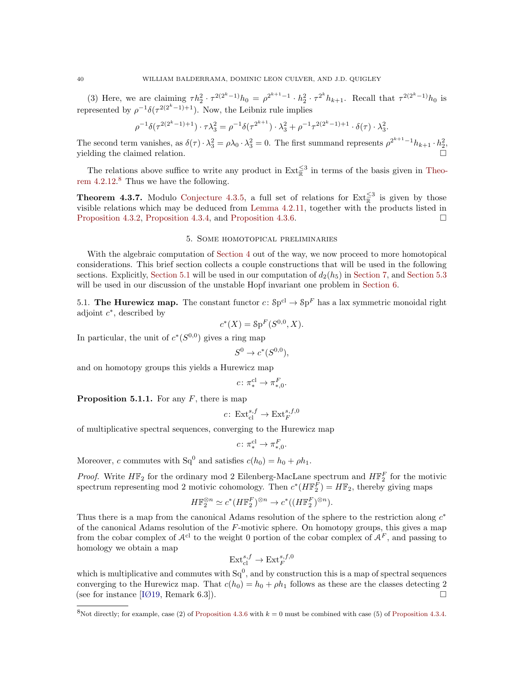(3) Here, we are claiming  $\tau h_2^2 \cdot \tau^{2(2^k-1)} h_0 = \rho^{2^{k+1}-1} \cdot h_2^2 \cdot \tau^{2^k} h_{k+1}$ . Recall that  $\tau^{2(2^k-1)} h_0$  is represented by  $\rho^{-1}\delta(\tau^{2(2^k-1)+1})$ . Now, the Leibniz rule implies

$$
\rho^{-1}\delta(\tau^{2(2^k-1)+1}) \cdot \tau \lambda_3^2 = \rho^{-1}\delta(\tau^{2^{k+1}}) \cdot \lambda_3^2 + \rho^{-1}\tau^{2(2^k-1)+1} \cdot \delta(\tau) \cdot \lambda_3^2.
$$

The second term vanishes, as  $\delta(\tau) \cdot \lambda_3^2 = \rho \lambda_0 \cdot \lambda_3^2 = 0$ . The first summand represents  $\rho^{2^{k+1}-1} h_{k+1} \cdot h_2^2$ , yielding the claimed relation.

The relations above suffice to write any product in  $\text{Ext}_{\mathbb{R}}^{\leq 3}$  in terms of the basis given in [Theo](#page-34-0)rem  $4.2.12$ .<sup>[8](#page-39-3)</sup> Thus we have the following.

<span id="page-39-1"></span>**Theorem 4.3.7.** Modulo [Conjecture 4.3.5,](#page-38-0) a full set of relations for  $\text{Ext}_{\mathbb{R}}^{\leq 3}$  is given by those visible relations which may be deduced from [Lemma 4.2.11,](#page-34-1) together with the products listed in [Proposition 4.3.2,](#page-36-1) [Proposition 4.3.4,](#page-37-0) and [Proposition 4.3.6.](#page-38-1)

#### 5. Some homotopical preliminaries

<span id="page-39-0"></span>With the algebraic computation of [Section 4](#page-26-0) out of the way, we now proceed to more homotopical considerations. This brief section collects a couple constructions that will be used in the following sections. Explicitly, [Section 5.1](#page-39-4) will be used in our computation of  $d_2(h_5)$  in [Section 7,](#page-45-0) and [Section 5.3](#page-40-2) will be used in our discussion of the unstable Hopf invariant one problem in [Section 6.](#page-42-0)

<span id="page-39-4"></span>5.1. The Hurewicz map. The constant functor  $c: Sp^{cl} \to Sp^{F}$  has a lax symmetric monoidal right adjoint  $c^*$ , described by

$$
c^*(X) = \mathcal{S}p^F(S^{0,0}, X).
$$

In particular, the unit of  $c^*(S^{0,0})$  gives a ring map

$$
S^0 \to c^*(S^{0,0}),
$$

and on homotopy groups this yields a Hurewicz map

$$
c\colon \pi^{\mathrm{cl}}_* \to \pi^F_{*,0}.
$$

<span id="page-39-2"></span>**Proposition 5.1.1.** For any  $F$ , there is map

$$
c\colon \operatorname{Ext}_{\operatorname{cl}}^{s,f}\to \operatorname{Ext}_F^{s,f,0}
$$

of multiplicative spectral sequences, converging to the Hurewicz map

$$
c\colon \pi^{\mathrm{cl}}_* \to \pi^F_{*,0}.
$$

Moreover, c commutes with  $Sq^0$  and satisfies  $c(h_0) = h_0 + \rho h_1$ .

*Proof.* Write  $H\mathbb{F}_2$  for the ordinary mod 2 Eilenberg-MacLane spectrum and  $H\mathbb{F}_2^F$  for the motivic spectrum representing mod 2 motivic cohomology. Then  $c^*(H\mathbb{F}_2^F) = H\mathbb{F}_2$ , thereby giving maps

$$
H\mathbb{F}_2^{\otimes n} \simeq c^*(H\mathbb{F}_2^F)^{\otimes n} \to c^*((H\mathbb{F}_2^F)^{\otimes n}).
$$

Thus there is a map from the canonical Adams resolution of the sphere to the restriction along  $c^*$ of the canonical Adams resolution of the  $F$ -motivic sphere. On homotopy groups, this gives a map from the cobar complex of  $A^{cl}$  to the weight 0 portion of the cobar complex of  $A^F$ , and passing to homology we obtain a map

$$
\mathrm{Ext}^{s,f}_{\mathrm{cl}} \to \mathrm{Ext}^{s,f,0}_F
$$

which is multiplicative and commutes with  $Sq^0$ , and by construction this is a map of spectral sequences converging to the Hurewicz map. That  $c(h_0) = h_0 + \rho h_1$  follows as these are the classes detecting 2 (see for instance [\[IØ19,](#page-61-6) Remark 6.3]).

<span id="page-39-3"></span><sup>&</sup>lt;sup>8</sup>Not directly; for example, case (2) of [Proposition 4.3.6](#page-38-1) with  $k = 0$  must be combined with case (5) of [Proposition 4.3.4.](#page-37-0)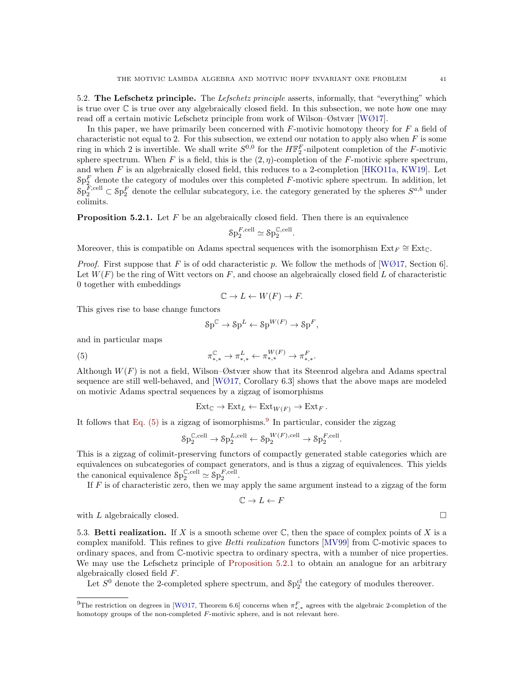<span id="page-40-1"></span>5.2. The Lefschetz principle. The Lefschetz principle asserts, informally, that "everything" which is true over  $\mathbb C$  is true over any algebraically closed field. In this subsection, we note how one may read off a certain motivic Lefschetz principle from work of Wilson–Østvær [\[WØ17\]](#page-62-3).

In this paper, we have primarily been concerned with  $F$ -motivic homotopy theory for  $F$  a field of characteristic not equal to 2. For this subsection, we extend our notation to apply also when  $F$  is some ring in which 2 is invertible. We shall write  $S^{0,0}$  for the  $H\mathbb{F}_2^F$ -nilpotent completion of the F-motivic sphere spectrum. When F is a field, this is the  $(2, \eta)$ -completion of the F-motivic sphere spectrum, and when  $F$  is an algebraically closed field, this reduces to a 2-completion [\[HKO11a,](#page-61-28) [KW19\]](#page-61-29). Let  $\delta p_2^F$  denote the category of modules over this completed F-motivic sphere spectrum. In addition, let  $\delta p_2^{F,cell} \subset \delta p_2^F$  denote the cellular subcategory, i.e. the category generated by the spheres  $S^{a,b}$  under colimits.

<span id="page-40-0"></span>**Proposition 5.2.1.** Let  $F$  be an algebraically closed field. Then there is an equivalence

$$
\mathcal{S}\mathrm{p}^{F,\mathrm{cell}}_2\simeq \mathcal{S}\mathrm{p}^{\mathbb{C},\mathrm{cell}}_2.
$$

Moreover, this is compatible on Adams spectral sequences with the isomorphism  $Ext_F \cong Ext_{\mathbb{C}}$ .

*Proof.* First suppose that F is of odd characteristic p. We follow the methods of [\[WØ17,](#page-62-3) Section 6]. Let  $W(F)$  be the ring of Witt vectors on F, and choose an algebraically closed field L of characteristic 0 together with embeddings

$$
\mathbb{C} \to L \leftarrow W(F) \to F.
$$

This gives rise to base change functors

<span id="page-40-3"></span>
$$
\mathrm{Sp}^{\mathbb{C}} \to \mathrm{Sp}^L \leftarrow \mathrm{Sp}^{W(F)} \to \mathrm{Sp}^F,
$$

and in particular maps

(5) 
$$
\pi_{*,*}^{\mathbb{C}} \to \pi_{*,*}^{L} \leftarrow \pi_{*,*}^{W(F)} \to \pi_{*,*}^{F}.
$$

Although  $W(F)$  is not a field, Wilson–Østvær show that its Steenrod algebra and Adams spectral sequence are still well-behaved, and  $[WØ17, Corollary 6.3]$  $[WØ17, Corollary 6.3]$  shows that the above maps are modeled on motivic Adams spectral sequences by a zigzag of isomorphisms

$$
Ext_{\mathbb{C}} \to Ext_{L} \leftarrow Ext_{W(F)} \to Ext_{F}.
$$

It follows that Eq.  $(5)$  is a zigzag of isomorphisms.<sup>[9](#page-40-4)</sup> In particular, consider the zigzag

$$
\mathrm{Sp}_2^{\mathbb{C},\mathrm{cell}} \rightarrow \mathrm{Sp}_2^{L,\mathrm{cell}} \leftarrow \mathrm{Sp}_2^{W(F),\mathrm{cell}} \rightarrow \mathrm{Sp}_2^{F,\mathrm{cell}}.
$$

This is a zigzag of colimit-preserving functors of compactly generated stable categories which are equivalences on subcategories of compact generators, and is thus a zigzag of equivalences. This yields the canonical equivalence  $\mathcal{S}p_2^{\mathbb{C},\text{cell}} \simeq \mathcal{S}p_2^{F,\text{cell}}.$ 

If  $F$  is of characteristic zero, then we may apply the same argument instead to a zigzag of the form

$$
\mathbb{C} \to L \leftarrow F
$$

with L algebraically closed.  $\square$ 

<span id="page-40-2"></span>5.3. Betti realization. If X is a smooth scheme over  $\mathbb{C}$ , then the space of complex points of X is a complex manifold. This refines to give *Betti realization* functors [\[MV99\]](#page-61-0) from C-motivic spaces to ordinary spaces, and from C-motivic spectra to ordinary spectra, with a number of nice properties. We may use the Lefschetz principle of [Proposition 5.2.1](#page-40-0) to obtain an analogue for an arbitrary algebraically closed field F.

Let  $S^0$  denote the 2-completed sphere spectrum, and  $\delta p_2^{\text{cl}}$  the category of modules thereover.

<span id="page-40-5"></span><span id="page-40-4"></span><sup>&</sup>lt;sup>9</sup>The restriction on degrees in [\[WØ17,](#page-62-3) Theorem 6.6] concerns when  $\pi_{*,*}^F$  agrees with the algebraic 2-completion of the homotopy groups of the non-completed F-motivic sphere, and is not relevant here.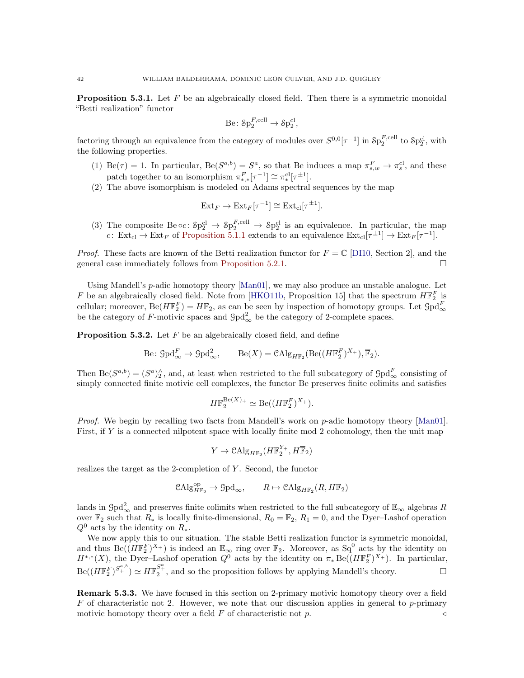**Proposition 5.3.1.** Let  $F$  be an algebraically closed field. Then there is a symmetric monoidal "Betti realization" functor

$$
\mathrm{Be}\colon \mathrm{Sp}_2^{F,\mathrm{cell}}\to \mathrm{Sp}_2^{\mathrm{cl}},
$$

factoring through an equivalence from the category of modules over  $S^{0,0}[\tau^{-1}]$  in  $\mathcal{S}p_2^{\Gamma,\text{cell}}$  to  $\mathcal{S}p_2^{\text{cl}}$ , with the following properties.

- (1) Be( $\tau$ ) = 1. In particular, Be( $S^{a,b}$ ) =  $S^a$ , so that Be induces a map  $\pi_{s,w}^F \to \pi_s^{\text{cl}}$ , and these patch together to an isomorphism  $\pi_{*,*}^F[\tau^{-1}] \cong \pi_*^{\text{cl}}[\tau^{\pm 1}].$
- (2) The above isomorphism is modeled on Adams spectral sequences by the map

$$
Ext_F \to Ext_F[\tau^{-1}] \cong Ext_{\text{cl}}[\tau^{\pm 1}].
$$

(3) The composite  $Be \circ c$ :  $\delta p_2^{cl} \rightarrow \delta p_2^{F,cell} \rightarrow \delta p_2^{cl}$  is an equivalence. In particular, the map c:  $\text{Ext}_{\text{cl}} \to \text{Ext}_{F}$  of [Proposition 5.1.1](#page-39-2) extends to an equivalence  $\text{Ext}_{\text{cl}}[\tau^{\pm 1}] \to \text{Ext}_{F}[\tau^{-1}]$ .

*Proof.* These facts are known of the Betti realization functor for  $F = \mathbb{C}$  [\[DI10,](#page-60-8) Section 2], and the general case immediately follows from [Proposition 5.2.1.](#page-40-0)

Using Mandell's p-adic homotopy theory [\[Man01\]](#page-61-17), we may also produce an unstable analogue. Let F be an algebraically closed field. Note from [\[HKO11b,](#page-61-30) Proposition 15] that the spectrum  $H\mathbb{F}_2^F$  is cellular; moreover, Be( $H\mathbb{F}_{2}^{F}$ ) =  $H\mathbb{F}_{2}$ , as can be seen by inspection of homotopy groups. Let  $\mathcal{G}\text{pd}_{\infty}^{F}$ <br>be the category of F-motivic spaces and  $\mathcal{G}\text{pd}_{\infty}^{2}$  be the category of 2-complete spac

<span id="page-41-0"></span>**Proposition 5.3.2.** Let  $F$  be an algebraically closed field, and define

Be: 
$$
\mathcal{G} \text{pd}_{\infty}^F \to \mathcal{G} \text{pd}_{\infty}^2
$$
,  $\text{Be}(X) = \text{CAlg}_{H\mathbb{F}_2}(\text{Be}((H\mathbb{F}_2^F)^{X_+}), \overline{\mathbb{F}}_2)$ .

Then  $\text{Be}(S^{a,b}) = (S^a)_2^{\wedge}$ , and, at least when restricted to the full subcategory of  $\text{Spd}_{\infty}^F$  consisting of simply connected finite motivic cell complexes, the functor Be preserves finite colimits and satisfies

$$
H\mathbb{F}_2^{\mathrm{Be}(X)_+} \simeq \mathrm{Be}((H\mathbb{F}_2^F)^{X_+}).
$$

Proof. We begin by recalling two facts from Mandell's work on p-adic homotopy theory [\[Man01\]](#page-61-17). First, if Y is a connected nilpotent space with locally finite mod 2 cohomology, then the unit map

$$
Y \to \mathcal{C}\mathrm{Alg}_{H\mathbb{F}_2}(H\mathbb{F}_2^{Y_+}, H\overline{\mathbb{F}}_2)
$$

realizes the target as the 2-completion of Y . Second, the functor

$$
\mathop{\mathrm{CAlg}}\nolimits_{H\mathbb{F}_2}^{\mathop{\mathrm{op}}\nolimits} \to \mathop{\mathrm{Gpd}}\nolimits_\infty, \qquad R \mapsto \mathop{\mathrm{CAlg}}\nolimits_{H\mathbb{F}_2} (R, H\overline{\mathbb{F}}_2)
$$

lands in  $\text{Gpd}_{\infty}^2$  and preserves finite colimits when restricted to the full subcategory of  $\mathbb{E}_{\infty}$  algebras R over  $\mathbb{F}_2$  such that  $R_*$  is locally finite-dimensional,  $R_0 = \mathbb{F}_2$ ,  $R_1 = 0$ , and the Dyer–Lashof operation  $Q^0$  acts by the identity on  $R_*$ .

We now apply this to our situation. The stable Betti realization functor is symmetric monoidal, and thus  $\text{Be}((H\mathbb{F}_2^F)^{X_+})$  is indeed an  $\mathbb{E}_{\infty}$  ring over  $\mathbb{F}_2$ . Moreover, as  $\text{Sq}^0$  acts by the identity on  $H^{*,*}(X)$ , the Dyer-Lashof operation  $Q^0$  acts by the identity on  $\pi_* \text{Be}((H\mathbb{F}_2^F)^{X_+})$ . In particular,  $\text{Be}((H\mathbb{F}_2^F)^{S^{a,b}_+}) \simeq H\mathbb{F}_2^{S^a_+}$ , and so the proposition follows by applying Mandell's theory.

**Remark 5.3.3.** We have focused in this section on 2-primary motivic homotopy theory over a field  $F$  of characteristic not 2. However, we note that our discussion applies in general to p-primary motivic homotopy theory over a field  $F$  of characteristic not p.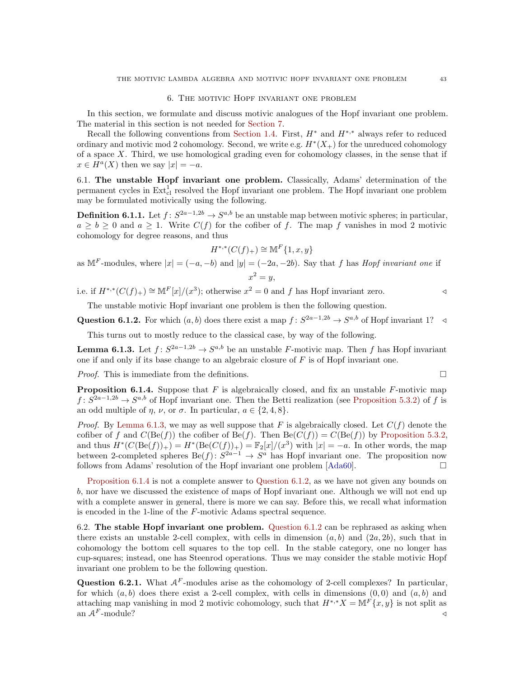#### 6. The motivic Hopf invariant one problem

<span id="page-42-0"></span>In this section, we formulate and discuss motivic analogues of the Hopf invariant one problem. The material in this section is not needed for [Section 7.](#page-45-0)

Recall the following conventions from [Section 1.4.](#page-9-1) First,  $H^*$  and  $H^{*,*}$  always refer to reduced ordinary and motivic mod 2 cohomology. Second, we write e.g.  $H^*(X_+)$  for the unreduced cohomology of a space X. Third, we use homological grading even for cohomology classes, in the sense that if  $x \in H^a(X)$  then we say  $|x| = -a$ .

6.1. The unstable Hopf invariant one problem. Classically, Adams' determination of the permanent cycles in  $\text{Ext}_{\text{cl}}^1$  resolved the Hopf invariant one problem. The Hopf invariant one problem may be formulated motivically using the following.

**Definition 6.1.1.** Let  $f: S^{2a-1,2b} \to S^{a,b}$  be an unstable map between motivic spheres; in particular,  $a \ge b \ge 0$  and  $a \ge 1$ . Write  $C(f)$  for the cofiber of f. The map f vanishes in mod 2 motivic cohomology for degree reasons, and thus

$$
H^{*,*}(C(f)_+) \cong \mathbb{M}^F\{1, x, y\}
$$

as M<sup>F</sup>-modules, where  $|x| = (-a, -b)$  and  $|y| = (-2a, -2b)$ . Say that f has Hopf invariant one if  $x^2 = y$ ,

i.e. if  $H^{*,*}(C(f)_+) \cong \mathbb{M}^F[x]/(x^3)$ ; otherwise  $x^2 = 0$  and f has Hopf invariant zero. △

The unstable motivic Hopf invariant one problem is then the following question.

<span id="page-42-4"></span>Question 6.1.2. For which  $(a, b)$  does there exist a map  $f: S^{2a-1,2b} \to S^{a,b}$  of Hopf invariant 1?  $\triangleleft$ 

This turns out to mostly reduce to the classical case, by way of the following.

<span id="page-42-2"></span>**Lemma 6.1.3.** Let  $f: S^{2a-1,2b} \to S^{a,b}$  be an unstable F-motivic map. Then f has Hopf invariant one if and only if its base change to an algebraic closure of  $F$  is of Hopf invariant one.

*Proof.* This is immediate from the definitions.  $\square$ 

<span id="page-42-3"></span>**Proposition 6.1.4.** Suppose that  $F$  is algebraically closed, and fix an unstable  $F$ -motivic map  $f: S^{2a-1,2b} \to S^{a,b}$  of Hopf invariant one. Then the Betti realization (see [Proposition 5.3.2\)](#page-41-0) of f is an odd multiple of  $\eta$ ,  $\nu$ , or  $\sigma$ . In particular,  $a \in \{2, 4, 8\}$ .

*Proof.* By [Lemma 6.1.3,](#page-42-2) we may as well suppose that F is algebraically closed. Let  $C(f)$  denote the cofiber of f and  $C(\text{Be}(f))$  the cofiber of  $\text{Be}(f)$ . Then  $\text{Be}(C(f)) = C(\text{Be}(f))$  by [Proposition 5.3.2,](#page-41-0) and thus  $H^*(C(\text{Be}(f))_+) = H^*(\text{Be}(C(f))_+) = \mathbb{F}_2[x]/(x^3)$  with  $|x| = -a$ . In other words, the map between 2-completed spheres  $\text{Be}(f): S^{2a-1} \to S^a$  has Hopf invariant one. The proposition now follows from Adams' resolution of the Hopf invariant one problem [\[Ada60\]](#page-59-2).

[Proposition 6.1.4](#page-42-3) is not a complete answer to [Question 6.1.2,](#page-42-4) as we have not given any bounds on b, nor have we discussed the existence of maps of Hopf invariant one. Although we will not end up with a complete answer in general, there is more we can say. Before this, we recall what information is encoded in the 1-line of the F-motivic Adams spectral sequence.

<span id="page-42-1"></span>6.2. The stable Hopf invariant one problem. [Question 6.1.2](#page-42-4) can be rephrased as asking when there exists an unstable 2-cell complex, with cells in dimension  $(a, b)$  and  $(2a, 2b)$ , such that in cohomology the bottom cell squares to the top cell. In the stable category, one no longer has cup-squares; instead, one has Steenrod operations. Thus we may consider the stable motivic Hopf invariant one problem to be the following question.

<span id="page-42-5"></span>Question 6.2.1. What  $A^F$ -modules arise as the cohomology of 2-cell complexes? In particular, for which  $(a, b)$  does there exist a 2-cell complex, with cells in dimensions  $(0, 0)$  and  $(a, b)$  and attaching map vanishing in mod 2 motivic cohomology, such that  $H^{*,*}X = \mathbb{M}^F\{x,y\}$  is not split as an  $\mathcal{A}^F$ -module?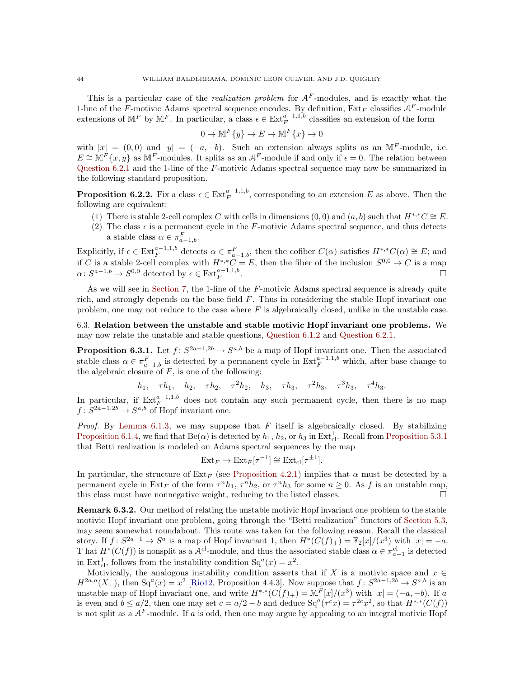This is a particular case of the *realization problem* for  $A<sup>F</sup>$ -modules, and is exactly what the 1-line of the F-motivic Adams spectral sequence encodes. By definition,  $Ext_F$  classifies  $A^F$ -module extensions of  $\mathbb{M}^F$  by  $\mathbb{M}^F$ . In particular, a class  $\epsilon \in \text{Ext}_F^{a-1,1,b}$  classifies an extension of the form

$$
0 \to \mathbb{M}^F\{y\} \to E \to \mathbb{M}^F\{x\} \to 0
$$

with  $|x| = (0,0)$  and  $|y| = (-a,-b)$ . Such an extension always splits as an MF-module, i.e.  $E \cong \mathbb{M}^F\{x, y\}$  as  $\mathbb{M}^F$ -modules. It splits as an  $\mathcal{A}^F$ -module if and only if  $\epsilon = 0$ . The relation between [Question 6.2.1](#page-42-5) and the 1-line of the F-motivic Adams spectral sequence may now be summarized in the following standard proposition.

**Proposition 6.2.2.** Fix a class  $\epsilon \in \text{Ext}_{F}^{a-1,1,b}$ , corresponding to an extension E as above. Then the following are equivalent:

- (1) There is stable 2-cell complex C with cells in dimensions  $(0,0)$  and  $(a, b)$  such that  $H^{*,*}C \cong E$ .
- (2) The class  $\epsilon$  is a permanent cycle in the F-motivic Adams spectral sequence, and thus detects a stable class  $\alpha \in \pi_{a-1,b}^F$ .

Explicitly, if  $\epsilon \in \text{Ext}_{F}^{a-1,1,b}$  detects  $\alpha \in \pi_{a-1,b}^{F}$ , then the cofiber  $C(\alpha)$  satisfies  $H^{*,*}C(\alpha) \cong E$ ; and if C is a stable 2-cell complex with  $H^{*,*}C = E$ , then the fiber of the inclusion  $S^{0,0} \to C$  is a map  $\alpha \colon S^{a-1,b} \to S^{0,0}$  detected by  $\epsilon \in \text{Ext}_{F}^{a-1,1,b}$ .

As we will see in [Section 7,](#page-45-0) the 1-line of the F-motivic Adams spectral sequence is already quite rich, and strongly depends on the base field  $F$ . Thus in considering the stable Hopf invariant one problem, one may not reduce to the case where  $F$  is algebraically closed, unlike in the unstable case.

## 6.3. Relation between the unstable and stable motivic Hopf invariant one problems. We may now relate the unstable and stable questions, [Question 6.1.2](#page-42-4) and [Question 6.2.1.](#page-42-5)

<span id="page-43-1"></span>**Proposition 6.3.1.** Let  $f: S^{2a-1,2b} \to S^{a,b}$  be a map of Hopf invariant one. Then the associated stable class  $\alpha \in \pi_{a-1,b}^F$  is detected by a permanent cycle in  $\text{Ext}_F^{a-1,1,b}$  which, after base change to the algebraic closure of  $F$ , is one of the following:

h<sub>1</sub>,  $\tau h_1$ ,  $h_2$ ,  $\tau h_2$ ,  $\tau^2 h_2$ ,  $h_3$ ,  $\tau h_3$ ,  $\tau^2 h_3$ ,  $\tau^3 h_3$ ,  $\tau^4 h_3$ .

In particular, if  $\text{Ext}_{F}^{a-1,1,b}$  does not contain any such permanent cycle, then there is no map  $f: S^{2a-1,2b} \to S^{a,b}$  of Hopf invariant one.

*Proof.* By [Lemma 6.1.3,](#page-42-2) we may suppose that  $F$  itself is algebraically closed. By stabilizing [Proposition 6.1.4,](#page-42-3) we find that  $Be(\alpha)$  is detected by  $h_1, h_2$ , or  $h_3$  in  $Ext^1_{cl}$ . Recall from [Proposition 5.3.1](#page-40-5) that Betti realization is modeled on Adams spectral sequences by the map

$$
Ext_F \to Ext_F[\tau^{-1}] \cong Ext_{\text{cl}}[\tau^{\pm 1}].
$$

In particular, the structure of  $Ext_F$  (see [Proposition 4.2.1\)](#page-29-0) implies that  $\alpha$  must be detected by a permanent cycle in  $\text{Ext}_F$  of the form  $\tau^n h_1$ ,  $\tau^n h_2$ , or  $\tau^n h_3$  for some  $n \geq 0$ . As f is an unstable map, this class must have nonnegative weight, reducing to the listed classes.  $\Box$ 

<span id="page-43-0"></span>Remark 6.3.2. Our method of relating the unstable motivic Hopf invariant one problem to the stable motivic Hopf invariant one problem, going through the "Betti realization" functors of [Section 5.3,](#page-40-2) may seem somewhat roundabout. This route was taken for the following reason. Recall the classical story. If  $f: S^{2a-1} \to S^a$  is a map of Hopf invariant 1, then  $H^*(C(f)_+) = \mathbb{F}_2[x]/(x^3)$  with  $|x| = -a$ . T hat  $H^*(C(f))$  is nonsplit as a  $\mathcal{A}^{cl}$ -module, and thus the associated stable class  $\alpha \in \pi_{a-1}^{cl}$  is detected in Ext<sub>cl</sub>, follows from the instability condition  $Sq^{a}(x) = x^{2}$ .

Motivically, the analogous instability condition asserts that if X is a motivic space and  $x \in$  $H^{2a,a}(X_+)$ , then  $Sq^a(x) = x^2$  [\[Rio12,](#page-61-24) Proposition 4.4.3]. Now suppose that  $f: S^{2a-1,2b} \to S^{a,b}$  is an unstable map of Hopf invariant one, and write  $H^{*,*}(C(f)_+) = \mathbb{M}^F[x]/(x^3)$  with  $|x| = (-a, -b)$ . If a is even and  $b \le a/2$ , then one may set  $c = a/2 - b$  and deduce  $Sq^a(\tau^c x) = \tau^{2c} x^2$ , so that  $H^{*,*}(C(f))$ is not split as a  $A<sup>F</sup>$ -module. If a is odd, then one may argue by appealing to an integral motivic Hopf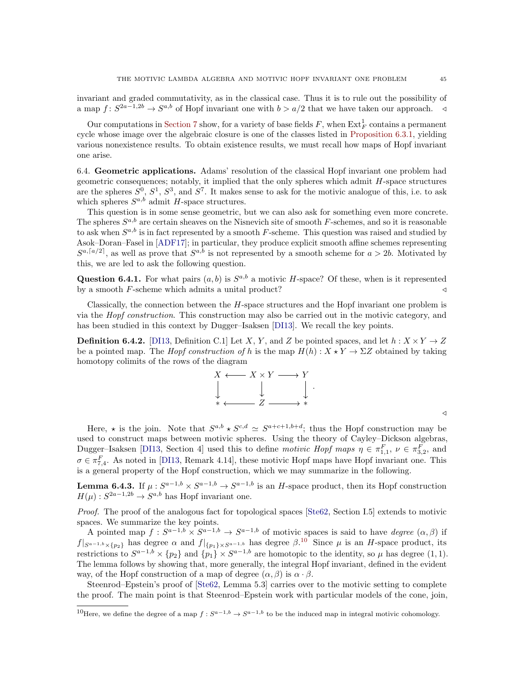invariant and graded commutativity, as in the classical case. Thus it is to rule out the possibility of a map  $f: S^{2a-1,2b} \to S^{a,b}$  of Hopf invariant one with  $b > a/2$  that we have taken our approach.  $\triangleleft$ 

Our computations in [Section 7](#page-45-0) show, for a variety of base fields  $F$ , when  $\text{Ext}_{F}^{1}$  contains a permanent cycle whose image over the algebraic closure is one of the classes listed in [Proposition 6.3.1,](#page-43-1) yielding various nonexistence results. To obtain existence results, we must recall how maps of Hopf invariant one arise.

<span id="page-44-2"></span>6.4. Geometric applications. Adams' resolution of the classical Hopf invariant one problem had geometric consequences; notably, it implied that the only spheres which admit H-space structures are the spheres  $S^0$ ,  $S^1$ ,  $S^3$ , and  $S^7$ . It makes sense to ask for the motivic analogue of this, i.e. to ask which spheres  $S^{a,b}$  admit H-space structures.

This question is in some sense geometric, but we can also ask for something even more concrete. The spheres  $S^{a,b}$  are certain sheaves on the Nisnevich site of smooth F-schemes, and so it is reasonable to ask when  $S^{a,b}$  is in fact represented by a smooth F-scheme. This question was raised and studied by Asok–Doran–Fasel in [\[ADF17\]](#page-60-22); in particular, they produce explicit smooth affine schemes representing  $S^{a,\lceil a/2 \rceil}$ , as well as prove that  $S^{a,b}$  is not represented by a smooth scheme for  $a > 2b$ . Motivated by this, we are led to ask the following question.

**Question 6.4.1.** For what pairs  $(a, b)$  is  $S^{a,b}$  a motivic H-space? Of these, when is it represented by a smooth  $F$ -scheme which admits a unital product?  $\triangleleft$ 

Classically, the connection between the  $H$ -space structures and the Hopf invariant one problem is via the Hopf construction. This construction may also be carried out in the motivic category, and has been studied in this context by Dugger–Isaksen [\[DI13\]](#page-60-14). We recall the key points.

**Definition 6.4.2.** [\[DI13,](#page-60-14) Definition C.1] Let X, Y, and Z be pointed spaces, and let  $h: X \times Y \rightarrow Z$ be a pointed map. The *Hopf construction of h* is the map  $H(h) : X \star Y \to \Sigma Z$  obtained by taking homotopy colimits of the rows of the diagram



Here,  $\star$  is the join. Note that  $S^{a,b} \star S^{c,d} \simeq S^{a+c+1,b+d}$ ; thus the Hopf construction may be used to construct maps between motivic spheres. Using the theory of Cayley–Dickson algebras, Dugger–Isaksen [\[DI13,](#page-60-14) Section 4] used this to define motivic Hopf maps  $\eta \in \pi_{1,1}^F$ ,  $\nu \in \pi_{3,2}^F$ , and  $\sigma \in \pi_{7,4}^F$ . As noted in [\[DI13,](#page-60-14) Remark 4.14], these motivic Hopf maps have Hopf invariant one. This is a general property of the Hopf construction, which we may summarize in the following.

<span id="page-44-0"></span>**Lemma 6.4.3.** If  $\mu: S^{a-1,b} \times S^{a-1,b} \to S^{a-1,b}$  is an *H*-space product, then its Hopf construction  $H(\mu): S^{2a-1,2b} \to S^{a,b}$  has Hopf invariant one.

Proof. The proof of the analogous fact for topological spaces [\[Ste62,](#page-61-31) Section I.5] extends to motivic spaces. We summarize the key points.

A pointed map  $f: S^{a-1,b} \times S^{a-1,b} \to S^{a-1,b}$  of motivic spaces is said to have *degree*  $(\alpha, \beta)$  if  $f|_{S^{a-1,b}\times\{p_2\}}$  has degree  $\alpha$  and  $f|_{\{p_1\}\times S^{a-1,b}}$  has degree  $\beta$ .<sup>[10](#page-44-1)</sup> Since  $\mu$  is an H-space product, its restrictions to  $S^{a-1,b} \times \{p_2\}$  and  $\{p_1\} \times S^{a-1,b}$  are homotopic to the identity, so  $\mu$  has degree  $(1,1)$ . The lemma follows by showing that, more generally, the integral Hopf invariant, defined in the evident way, of the Hopf construction of a map of degree  $(\alpha, \beta)$  is  $\alpha \cdot \beta$ .

Steenrod–Epstein's proof of [\[Ste62,](#page-61-31) Lemma 5.3] carries over to the motivic setting to complete the proof. The main point is that Steenrod–Epstein work with particular models of the cone, join,

 $\triangleleft$ 

<span id="page-44-1"></span><sup>&</sup>lt;sup>10</sup>Here, we define the degree of a map  $f: S^{a-1,b} \to S^{a-1,b}$  to be the induced map in integral motivic cohomology.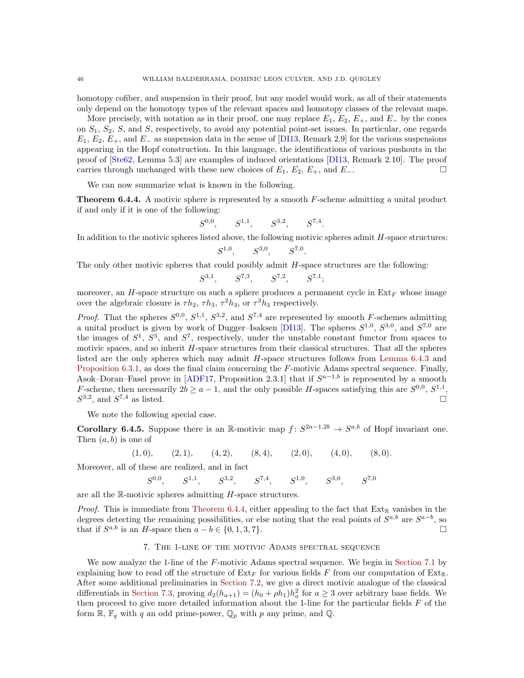homotopy cofiber, and suspension in their proof, but any model would work, as all of their statements only depend on the homotopy types of the relevant spaces and homotopy classes of the relevant maps.

More precisely, with notation as in their proof, one may replace  $E_1, E_2, E_+$ , and  $E_$  by the cones on  $S_1$ ,  $S_2$ ,  $S$ , and  $S$ , respectively, to avoid any potential point-set issues. In particular, one regards  $E_1, E_2, E_+$ , and  $E_-\$ as suspension data in the sense of [\[DI13,](#page-60-14) Remark 2.9] for the various suspensions appearing in the Hopf construction. In this language, the identifications of various pushouts in the proof of [\[Ste62,](#page-61-31) Lemma 5.3] are examples of induced orientations [\[DI13,](#page-60-14) Remark 2.10]. The proof carries through unchanged with these new choices of  $E_1, E_2, E_+$ , and  $E_-$ .

We can now summarize what is known in the following.

S

<span id="page-45-1"></span>**Theorem 6.4.4.** A motivic sphere is represented by a smooth  $F$ -scheme admitting a unital product if and only if it is one of the following:

$$
S^{1,1}, \qquad S^{3,2}, \qquad S^{7,4}.
$$

In addition to the motivic spheres listed above, the following motivic spheres admit  $H$ -space structures:

$$
S^{1,0}, \qquad S^{3,0}, \qquad S^{7,0}.
$$

The only other motivic spheres that could posibly admit H-space structures are the following:

$$
S^{3,1}
$$
,  $S^{7,3}$ ,  $S^{7,2}$ ,  $S^{7,1}$ ;

moreover, an H-space structure on such a sphere produces a permanent cycle in  $Ext_F$  whose image over the algebraic closure is  $\tau h_2$ ,  $\tau h_3$ ,  $\tau^2 h_3$ , or  $\tau^3 h_3$  respectively.

*Proof.* That the spheres  $S^{0,0}, S^{1,1}, S^{3,2}$ , and  $S^{7,4}$  are represented by smooth F-schemes admitting a unital product is given by work of Dugger–Isaksen [\[DI13\]](#page-60-14). The spheres  $S^{1,0}$ ,  $S^{3,0}$ , and  $S^{7,0}$  are the images of  $S^1$ ,  $S^3$ , and  $S^7$ , respectively, under the unstable constant functor from spaces to motivic spaces, and so inherit H-space structures from their classical structures. That all the spheres listed are the only spheres which may admit H-space structures follows from [Lemma 6.4.3](#page-44-0) and [Proposition 6.3.1,](#page-43-1) as does the final claim concerning the F-motivic Adams spectral sequence. Finally, Asok–Doran–Fasel prove in [\[ADF17,](#page-60-22) Proposition 2.3.1] that if  $S^{a-1,b}$  is represented by a smooth F-scheme, then necessarily  $2b \ge a - 1$ , and the only possible H-spaces satisfying this are  $S^{0,0}$ ,  $S^{1,1}$ ,  $S^{3,2}$ , and  $S^{7,4}$  as listed.

We note the following special case.

**Corollary 6.4.5.** Suppose there is an R-motivic map  $f: S^{2a-1,2b} \to S^{a,b}$  of Hopf invariant one. Then  $(a, b)$  is one of

 $(1, 0),$   $(2, 1),$   $(4, 2),$   $(8, 4),$   $(2, 0),$   $(4, 0),$   $(8, 0).$ 

Moreover, all of these are realized, and in fact

$$
S^{0,0}
$$
,  $S^{1,1}$ ,  $S^{3,2}$ ,  $S^{7,4}$ ,  $S^{1,0}$ ,  $S^{3,0}$ ,  $S^{7,0}$ 

are all the R-motivic spheres admitting H-space structures.

*Proof.* This is immediate from [Theorem 6.4.4,](#page-45-1) either appealing to the fact that  $Ext_{\mathbb{R}}$  vanishes in the degrees detecting the remaining possibilities, or else noting that the real points of  $S^{a,b}$  are  $S^{a-b}$ , so that if  $S^{a,b}$  is an H-space then  $a - b \in \{0, 1, 3, 7\}$ .

#### 7. The 1-line of the motivic Adams spectral sequence

<span id="page-45-0"></span>We now analyze the 1-line of the F-motivic Adams spectral sequence. We begin in [Section 7.1](#page-46-0) by explaining how to read off the structure of  $Ext_F$  for various fields F from our computation of  $Ext_{\mathbb{R}}$ . After some additional preliminaries in [Section 7.2,](#page-47-1) we give a direct motivic analogue of the classical differentials in [Section 7.3,](#page-47-2) proving  $d_2(h_{a+1}) = (h_0 + \rho h_1)h_a^2$  for  $a \ge 3$  over arbitrary base fields. We then proceed to give more detailed information about the 1-line for the particular fields  $F$  of the form  $\mathbb{R}, \mathbb{F}_q$  with q an odd prime-power,  $\mathbb{Q}_p$  with p any prime, and  $\mathbb{Q}$ .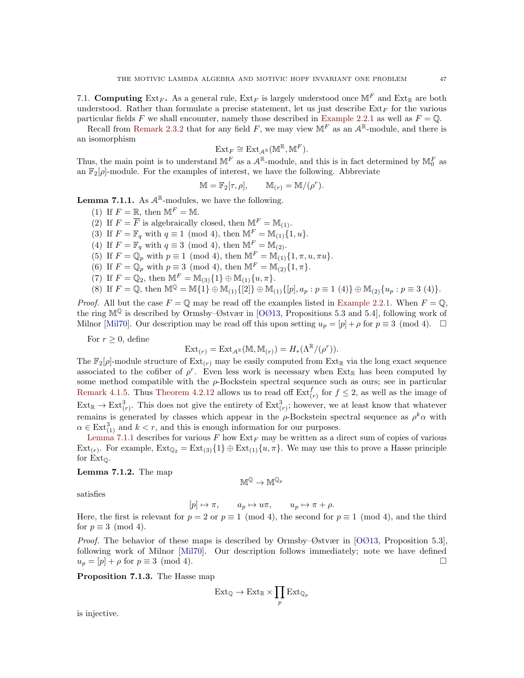<span id="page-46-0"></span>7.1. Computing Ext<sub>F</sub>. As a general rule, Ext<sub>F</sub> is largely understood once  $\mathbb{M}^F$  and Ext<sub>R</sub> are both understood. Rather than formulate a precise statement, let us just describe  $Ext_F$  for the various particular fields F we shall encounter, namely those described in [Example 2.2.1](#page-14-2) as well as  $F = \mathbb{Q}$ .

Recall from [Remark 2.3.2](#page-17-3) that for any field F, we may view  $\mathbb{M}^F$  as an  $\mathcal{A}^{\mathbb{R}}$ -module, and there is an isomorphism

$$
\mathrm{Ext}_F\cong \mathrm{Ext}_{\mathcal{A}^{\mathbb{R}}}(\mathbb{M}^{\mathbb{R}},\mathbb{M}^F).
$$

Thus, the main point is to understand  $\mathbb{M}^F$  as a  $\mathcal{A}^{\mathbb{R}}$ -module, and this is in fact determined by  $\mathbb{M}_0^F$  as an  $\mathbb{F}_2[\rho]$ -module. For the examples of interest, we have the following. Abbreviate

$$
\mathbb{M} = \mathbb{F}_2[\tau, \rho], \qquad \mathbb{M}_{(r)} = \mathbb{M}/(\rho^r).
$$

<span id="page-46-2"></span>**Lemma 7.1.1.** As  $A^{\mathbb{R}}$ -modules, we have the following.

- (1) If  $F = \mathbb{R}$ , then  $\mathbb{M}^F = \mathbb{M}$ .
- (2) If  $F = \overline{F}$  is algebraically closed, then  $\mathbb{M}^F = \mathbb{M}_{(1)}$ .
- (3) If  $F = \mathbb{F}_q$  with  $q \equiv 1 \pmod{4}$ , then  $\mathbb{M}^F = \mathbb{M}_{(1)}\{1, u\}.$
- (4) If  $F = \mathbb{F}_q$  with  $q \equiv 3 \pmod{4}$ , then  $\mathbb{M}^F = \mathbb{M}_{(2)}$ .
- (5) If  $F = \mathbb{Q}_p$  with  $p \equiv 1 \pmod{4}$ , then  $\mathbb{M}^F = \mathbb{M}_{(1)}\{1, \pi, u, \pi u\}.$
- (6) If  $F = \mathbb{Q}_p$  with  $p \equiv 3 \pmod{4}$ , then  $\mathbb{M}^F = \mathbb{M}_{(2)}(1, \pi)$ .
- (7) If  $F = \mathbb{Q}_2$ , then  $\mathbb{M}^F = \mathbb{M}_{(3)}\{1\} \oplus \mathbb{M}_{(1)}\{u, \pi\}.$
- (8) If  $F = \mathbb{Q}$ , then  $\mathbb{M}^{\mathbb{Q}} = \mathbb{M}{1} \oplus \mathbb{M}_{(1)}{2} \oplus \mathbb{M}_{(1)}{p|, a_p : p \equiv 1 \ (4)} \oplus \mathbb{M}_{(2)}{u_p : p \equiv 3 \ (4)}.$

*Proof.* All but the case  $F = \mathbb{O}$  may be read off the examples listed in [Example 2.2.1.](#page-14-2) When  $F = \mathbb{O}$ , the ring  $\mathbb{M}^{\mathbb{Q}}$  is described by Ormsby–Østvær in [\[OØ13,](#page-61-18) Propositions 5.3 and 5.4], following work of Milnor [\[Mil70\]](#page-61-32). Our description may be read off this upon setting  $u_p = [p] + \rho$  for  $p \equiv 3 \pmod{4}$ .

For  $r \geq 0$ , define

$$
\operatorname{Ext}_{(r)} = \operatorname{Ext}_{\mathcal{A}^{\mathbb{R}}}(\mathbb{M}, \mathbb{M}_{(r)}) = H_*(\Lambda^{\mathbb{R}}/(\rho^r)).
$$

The  $\mathbb{F}_2[\rho]$ -module structure of  $\text{Ext}_{(r)}$  may be easily computed from  $\text{Ext}_{\mathbb{R}}$  via the long exact sequence associated to the cofiber of  $\rho^r$ . Even less work is necessary when Ext<sub>R</sub> has been computed by some method compatible with the  $\rho$ -Bockstein spectral sequence such as ours; see in particular [Remark 4.1.5.](#page-29-2) Thus [Theorem 4.2.12](#page-34-0) allows us to read off  $\text{Ext}_{(r)}^f$  for  $f \leq 2$ , as well as the image of  $\text{Ext}_{\mathbb{R}}^3 \to \text{Ext}_{(r)}^3$ . This does not give the entirety of  $\text{Ext}_{(r)}^3$ ; however, we at least know that whatever remains is generated by classes which appear in the  $\rho$ -Bockstein spectral sequence as  $\rho^k \alpha$  with  $\alpha \in \text{Ext}_{(1)}^3$  and  $k < r$ , and this is enough information for our purposes.

[Lemma 7.1.1](#page-46-2) describes for various  $F$  how  $Ext_F$  may be written as a direct sum of copies of various  $\text{Ext}_{(r)}$ . For example,  $\text{Ext}_{\mathbb{Q}_2} = \text{Ext}_{(3)}\{1\} \oplus \text{Ext}_{(1)}\{u,\pi\}$ . We may use this to prove a Hasse principle for  $Ext_{\mathbb{O}}$ .

#### <span id="page-46-3"></span>Lemma 7.1.2. The map

 $\mathbb{M}^{\mathbb{Q}} \to \mathbb{M}^{\mathbb{Q}_p}$ 

satisfies

$$
[p] \mapsto \pi, \qquad a_p \mapsto u\pi, \qquad u_p \mapsto \pi + \rho.
$$

Here, the first is relevant for  $p = 2$  or  $p \equiv 1 \pmod{4}$ , the second for  $p \equiv 1 \pmod{4}$ , and the third for  $p \equiv 3 \pmod{4}$ .

Proof. The behavior of these maps is described by Ormsby–Østvær in [\[OØ13,](#page-61-18) Proposition 5.3], following work of Milnor [\[Mil70\]](#page-61-32). Our description follows immediately; note we have defined  $u_p = [p] + \rho$  for  $p \equiv 3 \pmod{4}$ .

<span id="page-46-1"></span>Proposition 7.1.3. The Hasse map

$$
\operatorname{Ext}_{\mathbb{Q}} \to \operatorname{Ext}_{\mathbb{R}} \times \prod_{p} \operatorname{Ext}_{\mathbb{Q}_p}
$$

is injective.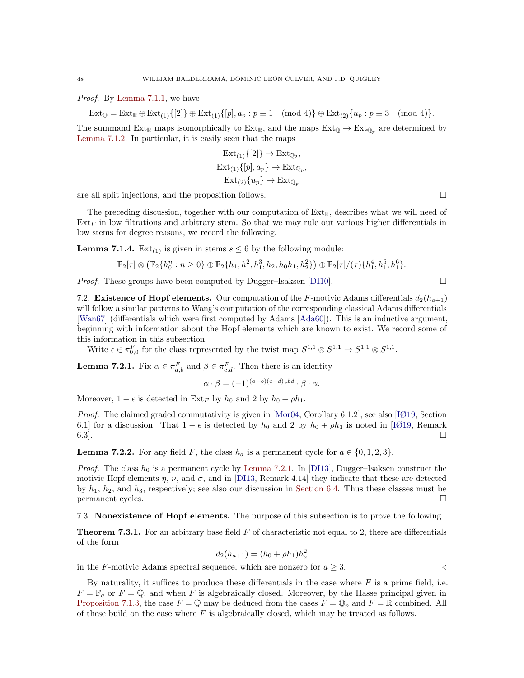Proof. By [Lemma 7.1.1,](#page-46-2) we have

$$
Ext_{\mathbb{Q}} = Ext_{\mathbb{R}} \oplus Ext_{(1)}\{[2]\} \oplus Ext_{(1)}\{[p], a_p : p \equiv 1 \pmod{4}\} \oplus Ext_{(2)}\{u_p : p \equiv 3 \pmod{4}\}.
$$

The summand  $Ext_{\mathbb{R}}$  maps isomorphically to  $Ext_{\mathbb{R}}$ , and the maps  $Ext_{\mathbb{Q}} \to Ext_{\mathbb{Q}_p}$  are determined by [Lemma 7.1.2.](#page-46-3) In particular, it is easily seen that the maps

$$
\operatorname{Ext}_{(1)}\{[2]\} \to \operatorname{Ext}_{\mathbb{Q}_2},
$$
  
\n
$$
\operatorname{Ext}_{(1)}\{[p], a_p\} \to \operatorname{Ext}_{\mathbb{Q}_p},
$$
  
\n
$$
\operatorname{Ext}_{(2)}\{u_p\} \to \operatorname{Ext}_{\mathbb{Q}_p}
$$

are all split injections, and the proposition follows.

The preceding discussion, together with our computation of  $Ext_{\mathbb{R}}$ , describes what we will need of  $Ext_F$  in low filtrations and arbitrary stem. So that we may rule out various higher differentials in low stems for degree reasons, we record the following.

**Lemma 7.1.4.** Ext<sub>(1)</sub> is given in stems  $s \leq 6$  by the following module:

$$
\mathbb{F}_2[\tau] \otimes (\mathbb{F}_2\{h_0^n : n \geq 0\} \oplus \mathbb{F}_2\{h_1, h_1^2, h_1^3, h_2, h_0h_1, h_2^2\}) \oplus \mathbb{F}_2[\tau]/(\tau)\{h_1^4, h_1^5, h_1^6\}.
$$

*Proof.* These groups have been computed by Dugger–Isaksen [\[DI10\]](#page-60-8).  $\Box$ 

<span id="page-47-1"></span>7.2. Existence of Hopf elements. Our computation of the F-motivic Adams differentials  $d_2(h_{a+1})$ will follow a similar patterns to Wang's computation of the corresponding classical Adams differentials [\[Wan67\]](#page-62-5) (differentials which were first computed by Adams [\[Ada60\]](#page-59-2)). This is an inductive argument, beginning with information about the Hopf elements which are known to exist. We record some of this information in this subsection.

Write  $\epsilon \in \pi_{0,0}^F$  for the class represented by the twist map  $S^{1,1} \otimes S^{1,1} \to S^{1,1} \otimes S^{1,1}$ .

<span id="page-47-3"></span>**Lemma 7.2.1.** Fix  $\alpha \in \pi_{a,b}^F$  and  $\beta \in \pi_{c,d}^F$ . Then there is an identity

$$
\alpha \cdot \beta = (-1)^{(a-b)(c-d)} \epsilon^{bd} \cdot \beta \cdot \alpha.
$$

Moreover,  $1 - \epsilon$  is detected in Ext<sub>F</sub> by  $h_0$  and 2 by  $h_0 + \rho h_1$ .

*Proof.* The claimed graded commutativity is given in [\[Mor04,](#page-61-1) Corollary 6.1.2]; see also [\[IØ19,](#page-61-6) Section 6.1] for a discussion. That  $1 - \epsilon$  is detected by  $h_0$  and 2 by  $h_0 + \rho h_1$  is noted in [\[IØ19,](#page-61-6) Remark  $6.3$ ].

<span id="page-47-4"></span>**Lemma 7.2.2.** For any field F, the class  $h_a$  is a permanent cycle for  $a \in \{0, 1, 2, 3\}$ .

*Proof.* The class  $h_0$  is a permanent cycle by [Lemma 7.2.1.](#page-47-3) In [\[DI13\]](#page-60-14), Dugger–Isaksen construct the motivic Hopf elements  $\eta$ ,  $\nu$ , and  $\sigma$ , and in [\[DI13,](#page-60-14) Remark 4.14] they indicate that these are detected by  $h_1$ ,  $h_2$ , and  $h_3$ , respectively; see also our discussion in [Section 6.4.](#page-44-2) Thus these classes must be permanent cycles.

<span id="page-47-2"></span><span id="page-47-0"></span>7.3. Nonexistence of Hopf elements. The purpose of this subsection is to prove the following.

**Theorem 7.3.1.** For an arbitrary base field  $F$  of characteristic not equal to 2, there are differentials of the form

$$
d_2(h_{a+1}) = (h_0 + \rho h_1)h_a^2
$$

in the F-motivic Adams spectral sequence, which are nonzero for  $a \geq 3$ .

<span id="page-47-5"></span>By naturality, it suffices to produce these differentials in the case where  $F$  is a prime field, i.e.  $F = \mathbb{F}_q$  or  $F = \mathbb{Q}$ , and when F is algebraically closed. Moreover, by the Hasse principal given in [Proposition 7.1.3,](#page-46-1) the case  $F = \mathbb{Q}$  may be deduced from the cases  $F = \mathbb{Q}_p$  and  $F = \mathbb{R}$  combined. All of these build on the case where  $F$  is algebraically closed, which may be treated as follows.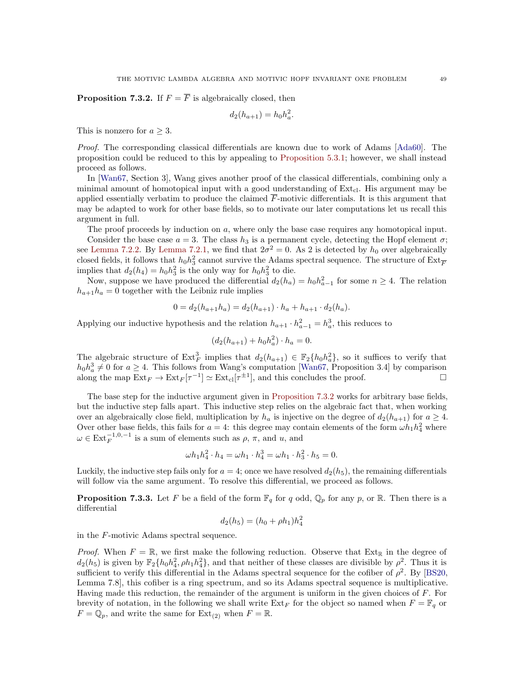**Proposition 7.3.2.** If  $F = \overline{F}$  is algebraically closed, then

$$
d_2(h_{a+1}) = h_0 h_a^2.
$$

This is nonzero for  $a \geq 3$ .

Proof. The corresponding classical differentials are known due to work of Adams [\[Ada60\]](#page-59-2). The proposition could be reduced to this by appealing to [Proposition 5.3.1;](#page-40-5) however, we shall instead proceed as follows.

In [\[Wan67,](#page-62-5) Section 3], Wang gives another proof of the classical differentials, combining only a minimal amount of homotopical input with a good understanding of  $Ext_{cl}$ . His argument may be applied essentially verbatim to produce the claimed  $\overline{F}$ -motivic differentials. It is this argument that may be adapted to work for other base fields, so to motivate our later computations let us recall this argument in full.

The proof proceeds by induction on a, where only the base case requires any homotopical input. Consider the base case  $a = 3$ . The class  $h_3$  is a permanent cycle, detecting the Hopf element  $\sigma$ ; see [Lemma 7.2.2.](#page-47-4) By [Lemma 7.2.1,](#page-47-3) we find that  $2\sigma^2 = 0$ . As 2 is detected by  $h_0$  over algebraically closed fields, it follows that  $h_0 h_3^2$  cannot survive the Adams spectral sequence. The structure of  $\text{Ext}_{\overline{F}}$ implies that  $d_2(h_4) = h_0 h_3^2$  is the only way for  $h_0 h_3^2$  to die.

Now, suppose we have produced the differential  $d_2(h_a) = h_0 h_{a-1}^2$  for some  $n \geq 4$ . The relation  $h_{a+1}h_a = 0$  together with the Leibniz rule implies

$$
0 = d_2(h_{a+1}h_a) = d_2(h_{a+1}) \cdot h_a + h_{a+1} \cdot d_2(h_a).
$$

Applying our inductive hypothesis and the relation  $h_{a+1} \cdot h_{a-1}^2 = h_a^3$ , this reduces to

$$
(d_2(h_{a+1}) + h_0 h_a^2) \cdot h_a = 0.
$$

The algebraic structure of  $\text{Ext}_{F}^{3}$  implies that  $d_2(h_{a+1}) \in \mathbb{F}_{2}\{h_0 h_a^2\}$ , so it suffices to verify that  $h_0 h_a^3 \neq 0$  for  $a \geq 4$ . This follows from Wang's computation [\[Wan67,](#page-62-5) Proposition 3.4] by comparison along the map  $\text{Ext}_F \to \text{Ext}_F[\tau^{-1}] \simeq \text{Ext}_{\text{cl}}[\tau^{\pm 1}]$ , and this concludes the proof.

The base step for the inductive argument given in [Proposition 7.3.2](#page-47-5) works for arbitrary base fields, but the inductive step falls apart. This inductive step relies on the algebraic fact that, when working over an algebraically close field, multiplication by  $h_a$  is injective on the degree of  $d_2(h_{a+1})$  for  $a \geq 4$ . Over other base fields, this fails for  $a = 4$ : this degree may contain elements of the form  $\omega h_1 h_4^2$  where  $\omega \in \text{Ext}_{F}^{-1,0,-1}$  is a sum of elements such as  $\rho, \pi$ , and  $u$ , and

$$
\omega h_1 h_4^2 \cdot h_4 = \omega h_1 \cdot h_4^3 = \omega h_1 \cdot h_3^2 \cdot h_5 = 0.
$$

Luckily, the inductive step fails only for  $a = 4$ ; once we have resolved  $d_2(h_5)$ , the remaining differentials will follow via the same argument. To resolve this differential, we proceed as follows.

<span id="page-48-0"></span>**Proposition 7.3.3.** Let F be a field of the form  $\mathbb{F}_q$  for q odd,  $\mathbb{Q}_p$  for any p, or R. Then there is a differential

$$
d_2(h_5) = (h_0 + \rho h_1)h_4^2
$$

in the F-motivic Adams spectral sequence.

*Proof.* When  $F = \mathbb{R}$ , we first make the following reduction. Observe that  $Ext_{\mathbb{R}}$  in the degree of  $d_2(h_5)$  is given by  $\mathbb{F}_2\{h_0h_4^2, \rho h_1h_4^2\}$ , and that neither of these classes are divisible by  $\rho^2$ . Thus it is sufficient to verify this differential in the Adams spectral sequence for the cofiber of  $\rho^2$ . By [\[BS20,](#page-60-23) Lemma 7.8], this cofiber is a ring spectrum, and so its Adams spectral sequence is multiplicative. Having made this reduction, the remainder of the argument is uniform in the given choices of  $F$ . For brevity of notation, in the following we shall write  $Ext_F$  for the object so named when  $F = \mathbb{F}_q$  or  $F = \mathbb{Q}_p$ , and write the same for  $Ext_{(2)}$  when  $F = \mathbb{R}$ .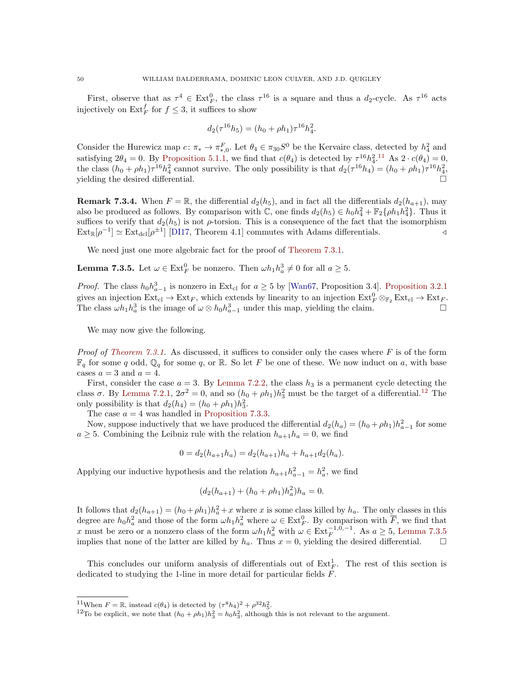First, observe that as  $\tau^4 \in \text{Ext}_{F}^0$ , the class  $\tau^{16}$  is a square and thus a  $d_2$ -cycle. As  $\tau^{16}$  acts injectively on  $\mathrm{Ext}^f_F$  for  $f \leq 3$ , it suffices to show

$$
d_2(\tau^{16}h_5) = (h_0 + \rho h_1)\tau^{16}h_4^2.
$$

Consider the Hurewicz map  $c: \pi_* \to \pi_{*,0}^F$ . Let  $\theta_4 \in \pi_{30}S^0$  be the Kervaire class, detected by  $h_4^2$  and satisfying  $2\theta_4 = 0$ . By [Proposition 5.1.1,](#page-39-2) we find that  $c(\theta_4)$  is detected by  $\tau^{16}h_4^2$ .<sup>[11](#page-49-0)</sup> As  $2 \cdot c(\theta_4) = 0$ , the class  $(h_0 + \rho h_1) \tau^{16} h_4^2$  cannot survive. The only possibility is that  $d_2(\tau^{16} h_4) = (h_0 + \rho h_1) \tau^{16} h_4^2$ , yielding the desired differential.

**Remark 7.3.4.** When  $F = \mathbb{R}$ , the differential  $d_2(h_5)$ , and in fact all the differentials  $d_2(h_{a+1})$ , may also be produced as follows. By comparison with  $\mathbb{C}$ , one finds  $d_2(h_5) \in h_0 h_4^2 + \mathbb{F}_2\{\rho h_1 h_4^2\}$ . Thus it suffices to verify that  $d_2(h_5)$  is not  $\rho$ -torsion. This is a consequence of the fact that the isomorphism  $\text{Ext}_{\mathbb{R}}[\rho^{-1}] \simeq \text{Ext}_{\text{dcl}}[\rho^{\pm 1}]$  [\[DI17,](#page-60-4) Theorem 4.1] commutes with Adams differentials.

We need just one more algebraic fact for the proof of [Theorem 7.3.1.](#page-47-0)

<span id="page-49-2"></span>**Lemma 7.3.5.** Let  $\omega \in \text{Ext}_{F}^{0}$  be nonzero. Then  $\omega h_1 h_a^3 \neq 0$  for all  $a \geq 5$ .

*Proof.* The class  $h_0 h_{a-1}^3$  is nonzero in Ext<sub>cl</sub> for  $a \geq 5$  by [\[Wan67,](#page-62-5) Proposition 3.4]. [Proposition 3.2.1](#page-25-1) gives an injection  $\text{Ext}_{\text{cl}} \to \text{Ext}_F$ , which extends by linearity to an injection  $\text{Ext}_F^0 \otimes_{\mathbb{F}_2} \text{Ext}_{\text{cl}} \to \text{Ext}_F$ . The class  $\omega h_1 h_a^3$  is the image of  $\omega \otimes h_0 h_{a-1}^3$  under this map, yielding the claim.

We may now give the following.

*Proof of [Theorem 7.3.1.](#page-47-0)* As discussed, it suffices to consider only the cases where  $F$  is of the form  $\mathbb{F}_q$  for some q odd,  $\mathbb{Q}_q$  for some q, or  $\mathbb{R}$ . So let F be one of these. We now induct on a, with base cases  $a = 3$  and  $a = 4$ .

First, consider the case  $a = 3$ . By [Lemma 7.2.2,](#page-47-4) the class  $h_3$  is a permanent cycle detecting the class  $\sigma$ . By [Lemma 7.2.1,](#page-47-3)  $2\sigma^2 = 0$ , and so  $(h_0 + \rho h_1)h_3^2$  must be the target of a differential.<sup>[12](#page-49-1)</sup> The only possibility is that  $d_2(h_4) = (h_0 + \rho h_1)h_3^2$ .

The case  $a = 4$  was handled in [Proposition 7.3.3.](#page-48-0)

Now, suppose inductively that we have produced the differential  $d_2(h_a) = (h_0 + \rho h_1)h_{a-1}^2$  for some  $a \geq 5$ . Combining the Leibniz rule with the relation  $h_{a+1}h_a = 0$ , we find

$$
0 = d_2(h_{a+1}h_a) = d_2(h_{a+1})h_a + h_{a+1}d_2(h_a).
$$

Applying our inductive hypothesis and the relation  $h_{a+1}h_{a-1}^2 = h_a^2$ , we find

$$
(d_2(h_{a+1}) + (h_0 + \rho h_1)h_a^2)h_a = 0.
$$

It follows that  $d_2(h_{a+1}) = (h_0 + \rho h_1)h_a^2 + x$  where x is some class killed by  $h_a$ . The only classes in this degree are  $h_0h_a^2$  and those of the form  $\omega h_1h_a^2$  where  $\omega \in \text{Ext}_F^0$ . By comparison with  $\overline{F}$ , we find that x must be zero or a nonzero class of the form  $\omega h_1 h_a^2$  with  $\omega \in \text{Ext}_F^{-1,0,-1}$ . As  $a \ge 5$ , [Lemma 7.3.5](#page-49-2) implies that none of the latter are killed by  $h_a$ . Thus  $x = 0$ , yielding the desired differential.

This concludes our uniform analysis of differentials out of  $Ext_F^1$ . The rest of this section is dedicated to studying the 1-line in more detail for particular fields F.

<span id="page-49-0"></span><sup>&</sup>lt;sup>11</sup>When  $F = \mathbb{R}$ , instead  $c(\theta_4)$  is detected by  $(\tau^8 h_4)^2 + \rho^{32} h_5^2$ .

<span id="page-49-1"></span><sup>&</sup>lt;sup>12</sup>To be explicit, we note that  $(h_0 + \rho h_1)h_3^2 = h_0 h_3^2$ , although this is not relevant to the argument.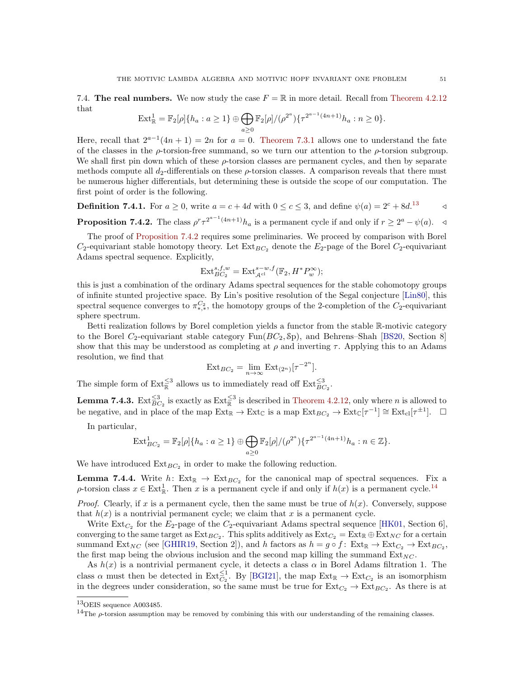7.4. The real numbers. We now study the case  $F = \mathbb{R}$  in more detail. Recall from [Theorem 4.2.12](#page-34-0) that

$$
\operatorname{Ext}^1_{\mathbb{R}} = \mathbb{F}_2[\rho] \{ h_a : a \ge 1 \} \oplus \bigoplus_{a \ge 0} \mathbb{F}_2[\rho] / (\rho^{2^a}) \{ \tau^{2^{a-1}(4n+1)} h_a : n \ge 0 \}.
$$

Here, recall that  $2^{a-1}(4n+1) = 2n$  for  $a = 0$ . [Theorem 7.3.1](#page-47-0) allows one to understand the fate of the classes in the  $\rho$ -torsion-free summand, so we turn our attention to the  $\rho$ -torsion subgroup. We shall first pin down which of these  $\rho$ -torsion classes are permanent cycles, and then by separate methods compute all  $d_2$ -differentials on these  $\rho$ -torsion classes. A comparison reveals that there must be numerous higher differentials, but determining these is outside the scope of our computation. The first point of order is the following.

**Definition 7.4.1.** For  $a \ge 0$ , write  $a = c + 4d$  with  $0 \le c \le 3$ , and define  $\psi(a) = 2^c + 8d$ .<sup>[13](#page-50-2)</sup>

<span id="page-50-3"></span>**Proposition 7.4.2.** The class  $\rho^r \tau^{2^{a-1}(4n+1)} h_a$  is a permanent cycle if and only if  $r \geq 2^a - \psi(a)$ .

The proof of [Proposition 7.4.2](#page-50-3) requires some preliminaries. We proceed by comparison with Borel  $C_2$ -equivariant stable homotopy theory. Let  $Ext_{BC_2}$  denote the  $E_2$ -page of the Borel  $C_2$ -equivariant Adams spectral sequence. Explicitly,

$$
\operatorname{Ext}_{BC_2}^{s,f,w} = \operatorname{Ext}_{\mathcal{A}^{\text{cl}}}^{s-w,f}(\mathbb{F}_2, H^* P_w^{\infty});
$$

this is just a combination of the ordinary Adams spectral sequences for the stable cohomotopy groups of infinite stunted projective space. By Lin's positive resolution of the Segal conjecture [\[Lin80\]](#page-61-33), this spectral sequence converges to  $\pi^{C_2}_{*,*}$ , the homotopy groups of the 2-completion of the  $C_2$ -equivariant sphere spectrum.

Betti realization follows by Borel completion yields a functor from the stable R-motivic category to the Borel  $C_2$ -equivariant stable category Fun( $BC_2$ , Sp), and Behrens–Shah [\[BS20,](#page-60-23) Section 8] show that this may be understood as completing at  $\rho$  and inverting  $\tau$ . Applying this to an Adams resolution, we find that

$$
Ext_{BC_2} = \lim_{n \to \infty} Ext_{(2^n)}[\tau^{-2^n}].
$$

The simple form of  $\text{Ext}_{\mathbb{R}}^{\leq 3}$  allows us to immediately read off  $\text{Ext}_{BC_2}^{\leq 3}$ .

<span id="page-50-0"></span>**Lemma 7.4.3.** Ext $\frac{\leq 3}{BC_2}$  is exactly as Ext $\frac{\leq 3}{BC}$  is described in [Theorem 4.2.12,](#page-34-0) only where *n* is allowed to be negative, and in place of the map  $\text{Ext}_{\mathbb{R}} \to \text{Ext}_{\mathbb{C}}$  is a map  $\text{Ext}_{BC_2} \to \text{Ext}_{\mathbb{C}}[\tau^{-1}] \cong \text{Ext}_{\text{cl}}[\tau^{\pm 1}]$ .  $\square$ 

In particular,

$$
\text{Ext}_{BC_2}^1 = \mathbb{F}_2[\rho]\{h_a : a \ge 1\} \oplus \bigoplus_{a \ge 0} \mathbb{F}_2[\rho]/(\rho^{2^a})\{\tau^{2^{a-1}(4n+1)}h_a : n \in \mathbb{Z}\}.
$$

We have introduced  $Ext_{BC_2}$  in order to make the following reduction.

<span id="page-50-1"></span>**Lemma 7.4.4.** Write  $h: Ext_{\mathbb{R}} \to Ext_{BC_2}$  for the canonical map of spectral sequences. Fix a  $\rho$ -torsion class  $x \in \text{Ext}^1_{\mathbb{R}}$ . Then x is a permanent cycle if and only if  $h(x)$  is a permanent cycle.<sup>[14](#page-50-4)</sup>

*Proof.* Clearly, if x is a permanent cycle, then the same must be true of  $h(x)$ . Conversely, suppose that  $h(x)$  is a nontrivial permanent cycle; we claim that x is a permanent cycle.

Write  $\text{Ext}_{C_2}$  for the  $E_2$ -page of the  $C_2$ -equivariant Adams spectral sequence [\[HK01,](#page-61-26) Section 6], converging to the same target as  $Ext_{BC_2}$ . This splits additively as  $Ext_{C_2} = Ext_{\mathbb{R}} \oplus Ext_{NC}$  for a certain summand  $\text{Ext}_{NC}$  (see [\[GHIR19,](#page-60-28) Section 2]), and h factors as  $h = g \circ f: \text{Ext}_{R} \to \text{Ext}_{C_2} \to \text{Ext}_{BC_2}$ , the first map being the obvious inclusion and the second map killing the summand  $Ext_{NC}$ .

As  $h(x)$  is a nontrivial permanent cycle, it detects a class  $\alpha$  in Borel Adams filtration 1. The class  $\alpha$  must then be detected in Ext $_{C_2}^{\leq 1}$ . By [\[BGI21\]](#page-60-6), the map Ext<sub>R</sub>  $\rightarrow$  Ext<sub>C<sub>2</sub></sub> is an isomorphism in the degrees under consideration, so the same must be true for  $Ext_{C_2} \to Ext_{BC_2}$ . As there is at

<span id="page-50-2"></span><sup>13</sup>OEIS sequence A003485.

<span id="page-50-4"></span><sup>&</sup>lt;sup>14</sup>The  $\rho$ -torsion assumption may be removed by combining this with our understanding of the remaining classes.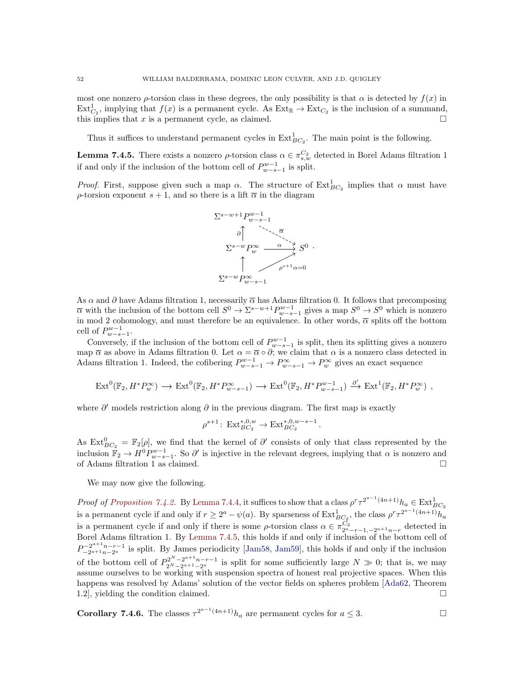most one nonzero  $\rho$ -torsion class in these degrees, the only possibility is that  $\alpha$  is detected by  $f(x)$  in  $\text{Ext}_{C_2}^1$ , implying that  $f(x)$  is a permanent cycle. As  $\text{Ext}_{\mathbb{R}} \to \text{Ext}_{C_2}$  is the inclusion of a summand, this implies that  $x$  is a permanent cycle, as claimed.

Thus it suffices to understand permanent cycles in  $\text{Ext}_{BC_2}^1$ . The main point is the following.

<span id="page-51-0"></span>**Lemma 7.4.5.** There exists a nonzero  $\rho$ -torsion class  $\alpha \in \pi_{s,w}^{C_2}$  detected in Borel Adams filtration 1 if and only if the inclusion of the bottom cell of  $P_{w-s-1}^{w-1}$  is split.

*Proof.* First, suppose given such a map  $\alpha$ . The structure of  $Ext_{BC_2}^1$  implies that  $\alpha$  must have  $ρ$ -torsion exponent  $s + 1$ , and so there is a lift  $\overline{\alpha}$  in the diagram



As  $\alpha$  and  $\partial$  have Adams filtration 1, necessarily  $\overline{\alpha}$  has Adams filtration 0. It follows that precomposing  $\overline{\alpha}$  with the inclusion of the bottom cell  $S^0 \to \Sigma^{s-w+1} P_{w-s-1}^{w-1}$  gives a map  $S^0 \to S^0$  which is nonzero in mod 2 cohomology, and must therefore be an equivalence. In other words,  $\bar{\alpha}$  splits off the bottom cell of  $P_{w-s-1}^{w-1}$ .

Conversely, if the inclusion of the bottom cell of  $P_{w-s-1}^{w-1}$  is split, then its splitting gives a nonzero map  $\overline{\alpha}$  as above in Adams filtration 0. Let  $\alpha = \overline{\alpha} \circ \partial$ ; we claim that  $\alpha$  is a nonzero class detected in Adams filtration 1. Indeed, the cofibering  $P_{w-s-1}^{w-1} \to P_{w-s-1}^{\infty} \to P_w^{\infty}$  gives an exact sequence

$$
\operatorname{Ext}^0(\mathbb{F}_2, H^*P_w^{\infty}) \longrightarrow \operatorname{Ext}^0(\mathbb{F}_2, H^*P_{w-s-1}^{\infty}) \longrightarrow \operatorname{Ext}^0(\mathbb{F}_2, H^*P_{w-s-1}^{w-1}) \xrightarrow{\partial'} \operatorname{Ext}^1(\mathbb{F}_2, H^*P_w^{\infty}) ,
$$

where  $\partial'$  models restriction along  $\partial$  in the previous diagram. The first map is exactly

$$
\rho^{s+1} \colon \operatorname{Ext}^{*,0,w}_{BC_2} \to \operatorname{Ext}^{*,0,w-s-1}_{BC_2}.
$$

As  $Ext_{BC_2}^0 = \mathbb{F}_2[\rho]$ , we find that the kernel of  $\partial'$  consists of only that class represented by the inclusion  $\mathbb{F}_2 \to H^0 P_{w-s-1}^{w-1}$ . So  $\partial'$  is injective in the relevant degrees, implying that  $\alpha$  is nonzero and of Adams filtration 1 as claimed.

We may now give the following.

Proof of [Proposition 7.4.2.](#page-50-3) By [Lemma 7.4.4,](#page-50-1) it suffices to show that a class  $\rho^r \tau^{2^{a-1}(4n+1)} h_a \in \text{Ext}_{BC_2}^1$ is a permanent cycle if and only if  $r \geq 2^a - \psi(a)$ . By sparseness of  $\text{Ext}_{BC_2}^1$ , the class  $\rho^r \tau^{2^{a-1}(4n+1)} h_a$ is a permanent cycle if and only if there is some  $\rho$ -torsion class  $\alpha \in \pi_{2^a-r-1,-2^{a+1}n-r}^{C_2}$  detected in Borel Adams filtration 1. By [Lemma 7.4.5,](#page-51-0) this holds if and only if inclusion of the bottom cell of  $P_{-2^{a+1}n-r-1}^{-2^{a+1}n-r-1}$  is split. By James periodicity [\[Jam58,](#page-61-34) [Jam59\]](#page-61-35), this holds if and only if the inclusion of the bottom cell of  $P_{2^N-2^{a+1}n-r-1}^{2^N-2^{a+1}n-r-1}$  is split for some sufficiently large  $N \gg 0$ ; that is, we may assume ourselves to be working with suspension spectra of honest real projective spaces. When this happens was resolved by Adams' solution of the vector fields on spheres problem [\[Ada62,](#page-59-3) Theorem 1.2, yielding the condition claimed.

<span id="page-51-1"></span>**Corollary 7.4.6.** The classes 
$$
\tau^{2^{a-1}(4n+1)}h_a
$$
 are permanent cycles for  $a \le 3$ .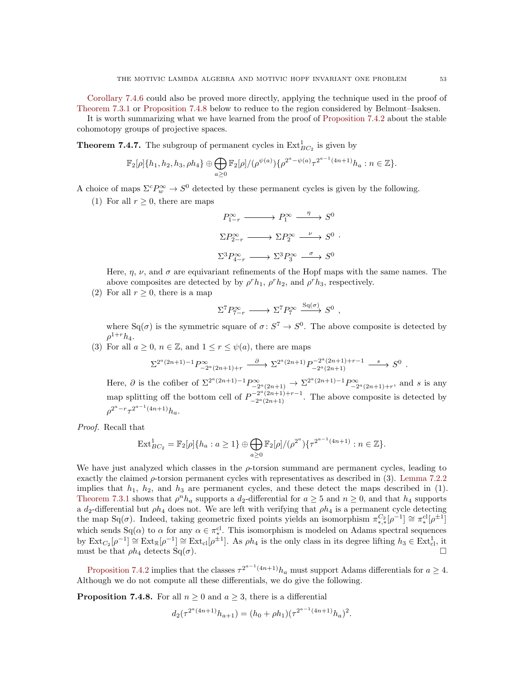[Corollary 7.4.6](#page-51-1) could also be proved more directly, applying the technique used in the proof of [Theorem 7.3.1](#page-47-0) or [Proposition 7.4.8](#page-52-0) below to reduce to the region considered by Belmont–Isaksen.

It is worth summarizing what we have learned from the proof of [Proposition 7.4.2](#page-50-3) about the stable cohomotopy groups of projective spaces.

<span id="page-52-1"></span>**Theorem 7.4.7.** The subgroup of permanent cycles in  $\text{Ext}_{BC_2}^1$  is given by

$$
\mathbb{F}_2[\rho]\{h_1, h_2, h_3, \rho h_4\} \oplus \bigoplus_{a \geq 0} \mathbb{F}_2[\rho]/(\rho^{\psi(a)})\{\rho^{2^a - \psi(a)}\tau^{2^{a-1}(4n+1)}h_a : n \in \mathbb{Z}\}.
$$

A choice of maps  $\Sigma^c P_w^{\infty} \to S^0$  detected by these permanent cycles is given by the following.

(1) For all  $r > 0$ , there are maps

$$
P_{1-r}^{\infty} \longrightarrow P_1^{\infty} \xrightarrow{\eta} S^0
$$
  
\n
$$
\Sigma P_{2-r}^{\infty} \longrightarrow \Sigma P_2^{\infty} \xrightarrow{\nu} S^0
$$
  
\n
$$
\Sigma^3 P_{4-r}^{\infty} \longrightarrow \Sigma^3 P_3^{\infty} \xrightarrow{\sigma} S^0
$$

Here,  $\eta$ ,  $\nu$ , and  $\sigma$  are equivariant refinements of the Hopf maps with the same names. The above composites are detected by by  $\rho^r h_1$ ,  $\rho^r h_2$ , and  $\rho^r h_3$ , respectively.

(2) For all  $r \geq 0$ , there is a map

$$
\Sigma^7 P_{7-r}^{\infty} \longrightarrow \Sigma^7 P_7^{\infty} \xrightarrow{\mathrm{Sq}(\sigma)} S^0
$$

,

where  $Sq(\sigma)$  is the symmetric square of  $\sigma: S^7 \to S^0$ . The above composite is detected by  $\rho^{1+r}h_4.$ 

(3) For all  $a \geq 0$ ,  $n \in \mathbb{Z}$ , and  $1 \leq r \leq \psi(a)$ , there are maps

$$
\Sigma^{2^a(2n+1)-1}P_{-2^a(2n+1)+r}^{\infty} \xrightarrow{\partial} \Sigma^{2^a(2n+1)}P_{-2^a(2n+1)}^{-2^a(2n+1)+r-1} \xrightarrow{s} S^0.
$$

Here,  $\partial$  is the cofiber of  $\Sigma^{2^a(2n+1)-1}P_{-2^a(2n+1)}^{\infty} \to \Sigma^{2^a(2n+1)-1}P_{-2^a(2n+1)+r}^{\infty}$ , and s is any map splitting off the bottom cell of  $P^{-2^a(2n+1)+r-1}_{-2^a(2n+1)}$  $a^{-2}$   $(2n+1)+r-1$ . The above composite is detected by  $\rho^{2^a-r} \tau^{2^{a-1}(4n+1)} h_a.$ 

Proof. Recall that

$$
\text{Ext}_{BC_2}^1 = \mathbb{F}_2[\rho]\{h_a : a \ge 1\} \oplus \bigoplus_{a \ge 0} \mathbb{F}_2[\rho]/(\rho^{2^a})\{\tau^{2^{a-1}(4n+1)} : n \in \mathbb{Z}\}.
$$

We have just analyzed which classes in the  $\rho$ -torsion summand are permanent cycles, leading to exactly the claimed  $\rho$ -torsion permanent cycles with representatives as described in (3). [Lemma 7.2.2](#page-47-4) implies that  $h_1$ ,  $h_2$ , and  $h_3$  are permanent cycles, and these detect the maps described in (1). [Theorem 7.3.1](#page-47-0) shows that  $\rho^n h_a$  supports a  $d_2$ -differential for  $a \geq 5$  and  $n \geq 0$ , and that  $h_4$  supports a  $d_2$ -differential but  $\rho h_4$  does not. We are left with verifying that  $\rho h_4$  is a permanent cycle detecting the map Sq( $\sigma$ ). Indeed, taking geometric fixed points yields an isomorphism  $\pi_{*,*}^{C_2}[\rho^{-1}] \cong \pi_*^{cl}[\rho^{\pm 1}]$ which sends Sq( $\alpha$ ) to  $\alpha$  for any  $\alpha \in \pi_*^{\text{cl}}$ . This isomorphism is modeled on Adams spectral sequences by  $\text{Ext}_{C_2}[\rho^{-1}] \cong \text{Ext}_{\text{R}}[\rho^{-1}] \cong \text{Ext}_{\text{cl}}[\rho^{\pm 1}]$ . As  $\rho h_4$  is the only class in its degree lifting  $h_3 \in \text{Ext}_{\text{cl}}^1$ , it must be that  $\rho h_4$  detects Sq( $\sigma$ ).

[Proposition 7.4.2](#page-50-3) implies that the classes  $\tau^{2^{a-1}(4n+1)}h_a$  must support Adams differentials for  $a \ge 4$ . Although we do not compute all these differentials, we do give the following.

<span id="page-52-0"></span>**Proposition 7.4.8.** For all  $n \geq 0$  and  $a \geq 3$ , there is a differential

$$
d_2(\tau^{2^a(4n+1)}h_{a+1}) = (h_0 + \rho h_1)(\tau^{2^{a-1}(4n+1)}h_a)^2.
$$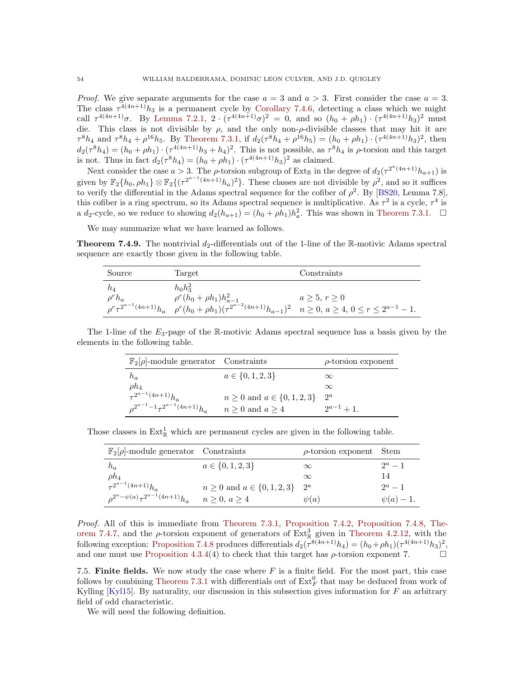*Proof.* We give separate arguments for the case  $a = 3$  and  $a > 3$ . First consider the case  $a = 3$ . The class  $\tau^{4(4n+1)}h_3$  is a permanent cycle by [Corollary 7.4.6,](#page-51-1) detecting a class which we might call  $\tau^{4(4n+1)}\sigma$ . By [Lemma 7.2.1,](#page-47-3)  $2 \cdot (\tau^{4(4n+1)}\sigma)^2 = 0$ , and so  $(h_0 + \rho h_1) \cdot (\tau^{4(4n+1)}h_3)^2$  must die. This class is not divisible by  $\rho$ , and the only non- $\rho$ -divisible classes that may hit it are  $\tau^8 h_4$  and  $\tau^8 h_4 + \rho^{16} h_5$ . By [Theorem 7.3.1,](#page-47-0) if  $d_2(\tau^8 h_4 + \rho^{16} h_5) = (h_0 + \rho h_1) \cdot (\tau^{4(4n+1)} h_3)^2$ , then  $d_2(\tau^8 h_4) = (h_0 + \rho h_1) \cdot (\tau^{4(4n+1)} h_3 + h_4)^2$ . This is not possible, as  $\tau^8 h_4$  is  $\rho$ -torsion and this target is not. Thus in fact  $d_2(\tau^8 h_4) = (h_0 + \rho h_1) \cdot (\tau^{4(4n+1)} h_3)^2$  as claimed.

Next consider the case  $a > 3$ . The *ρ*-torsion subgroup of Ext<sub>R</sub> in the degree of  $d_2(\tau^{2^a(4n+1)}h_{a+1})$  is given by  $\mathbb{F}_2\{h_0, \rho h_1\} \otimes \mathbb{F}_2\{(\tau^{2^{a-1}(4n+1)}h_a)^2\}$ . These classes are not divisible by  $\rho^2$ , and so it suffices to verify the differential in the Adams spectral sequence for the cofiber of  $\rho^2$ . By [\[BS20,](#page-60-23) Lemma 7.8], this cofiber is a ring spectrum, so its Adams spectral sequence is multiplicative. As  $\tau^2$  is a cycle,  $\tau^4$  is a d<sub>2</sub>-cycle, so we reduce to showing  $d_2(h_{a+1}) = (h_0 + \rho h_1)h_a^2$ . This was shown in [Theorem 7.3.1.](#page-47-0)  $\Box$ 

We may summarize what we have learned as follows.

<span id="page-53-0"></span>**Theorem 7.4.9.** The nontrivial  $d_2$ -differentials out of the 1-line of the R-motivic Adams spectral sequence are exactly those given in the following table.

| Source       | Target                                                                                                                                                | Constraints  |
|--------------|-------------------------------------------------------------------------------------------------------------------------------------------------------|--------------|
| $h_4$        | $h_0 h_3^2$                                                                                                                                           |              |
| $\rho^r h_a$ | $\rho^{r}(h_0 + \rho h_1)h_{a-1}^2$                                                                                                                   | a > 5, r > 0 |
|              | $\rho^r \tau^{2^{a-1}(4n+1)} h_a \quad \rho^r (h_0 + \rho h_1) (\tau^{2^{a-2}(4n+1)} h_{a-1})^2 \quad n \ge 0, \ a \ge 4, \ 0 \le r \le 2^{a-1} - 1.$ |              |

The 1-line of the  $E_3$ -page of the R-motivic Adams spectral sequence has a basis given by the elements in the following table.

| $\mathbb{F}_2[\rho]$ -module generator Constraints                                                                      |                                       | $\rho$ -torsion exponent |
|-------------------------------------------------------------------------------------------------------------------------|---------------------------------------|--------------------------|
| $h_a$                                                                                                                   | $a \in \{0, 1, 2, 3\}$                | $\infty$                 |
|                                                                                                                         |                                       | $\infty$                 |
| $\begin{aligned} & \rho h_4 \\ & \tau^{2^{a-1}(4n+1)} h_a \\ & \rho^{2^{a-1}-1} \tau^{2^{a-1}(4n+1)} h_a \end{aligned}$ | $n \geq 0$ and $a \in \{0, 1, 2, 3\}$ | $2^a$                    |
|                                                                                                                         | $n \geq 0$ and $a \geq 4$             | $2^{a-1}+1$ .            |

Those classes in  $Ext^1_{\mathbb{R}}$  which are permanent cycles are given in the following table.

| $\mathbb{F}_2[\rho]$ -module generator Constraints                                                                          |                                       | $\rho$ -torsion exponent Stem |              |
|-----------------------------------------------------------------------------------------------------------------------------|---------------------------------------|-------------------------------|--------------|
| $h_a$                                                                                                                       | $a \in \{0, 1, 2, 3\}$                | $\infty$                      | $2^a - 1$    |
|                                                                                                                             |                                       | $\infty$                      | 14           |
| $\begin{aligned} & \rho h_4 \\ & \tau^{2^{a-1}(4n+1)} h_a \\ & \rho^{2^{a}-\psi(a)} \tau^{2^{a-1}(4n+1)} h_a \end{aligned}$ | $n \geq 0$ and $a \in \{0, 1, 2, 3\}$ | $2^a$                         | $2^a - 1$    |
|                                                                                                                             | $n \geq 0, a \geq 4$                  | $\psi(a)$                     | $\psi(a)-1.$ |

Proof. All of this is immediate from [Theorem 7.3.1,](#page-47-0) [Proposition 7.4.2,](#page-50-3) [Proposition 7.4.8,](#page-52-0) [The](#page-52-1)[orem 7.4.7,](#page-52-1) and the  $\rho$ -torsion exponent of generators of  $Ext^3_{\mathbb{R}}$  given in [Theorem 4.2.12,](#page-34-0) with the following exception: [Proposition 7.4.8](#page-52-0) produces differentials  $d_2(\tau^{8(4n+1)}h_4) = (h_0 + \rho h_1)(\tau^{4(4n+1)}h_3)^2$ , and one must use [Proposition 4.3.4\(](#page-37-0)4) to check that this target has  $\rho$ -torsion exponent 7.

7.5. Finite fields. We now study the case where  $F$  is a finite field. For the most part, this case follows by combining [Theorem 7.3.1](#page-47-0) with differentials out of  $\text{Ext}_{F}^{0}$  that may be deduced from work of Kylling  $[Ky115]$ . By naturality, our discussion in this subsection gives information for  $F$  an arbitrary field of odd characteristic.

<span id="page-53-1"></span>We will need the following definition.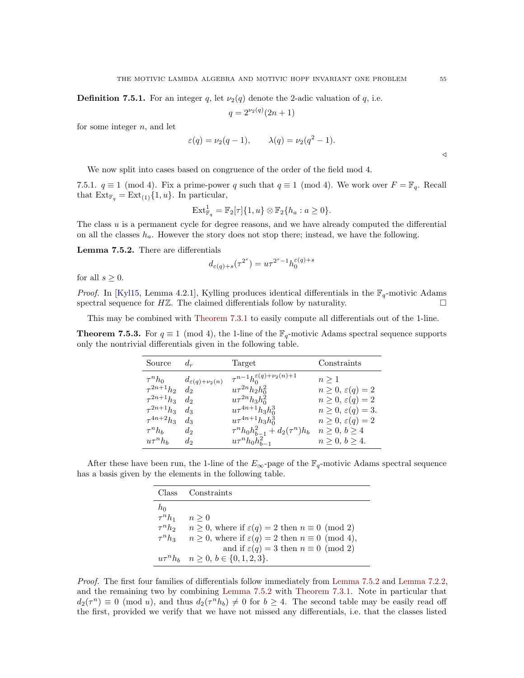**Definition 7.5.1.** For an integer q, let  $\nu_2(q)$  denote the 2-adic valuation of q, i.e.

$$
q = 2^{\nu_2(q)}(2n+1)
$$

for some integer  $n$ , and let

$$
\varepsilon(q) = \nu_2(q-1), \qquad \lambda(q) = \nu_2(q^2-1).
$$

We now split into cases based on congruence of the order of the field mod 4.

7.5.1.  $q \equiv 1 \pmod{4}$ . Fix a prime-power q such that  $q \equiv 1 \pmod{4}$ . We work over  $F = \mathbb{F}_q$ . Recall that  $\text{Ext}_{\mathbb{F}_q} = \text{Ext}_{(1)}\{1, u\}.$  In particular,

$$
\operatorname{Ext}^1_{\mathbb{F}_q} = \mathbb{F}_2[\tau]\{1, u\} \otimes \mathbb{F}_2\{h_a : a \geq 0\}.
$$

The class  $u$  is a permanent cycle for degree reasons, and we have already computed the differential on all the classes  $h_a$ . However the story does not stop there; instead, we have the following.

<span id="page-54-1"></span>Lemma 7.5.2. There are differentials

$$
d_{\varepsilon(q)+s}(\tau^{2^s}) = u\tau^{2^s-1}h_0^{\varepsilon(q)+s}
$$

for all  $s \geq 0$ .

*Proof.* In [\[Kyl15,](#page-61-19) Lemma 4.2.1], Kylling produces identical differentials in the  $\mathbb{F}_q$ -motivic Adams spectral sequence for  $H\mathbb{Z}$ . The claimed differentials follow by naturality.

This may be combined with [Theorem 7.3.1](#page-47-0) to easily compute all differentials out of the 1-line.

<span id="page-54-0"></span>**Theorem 7.5.3.** For  $q \equiv 1 \pmod{4}$ , the 1-line of the  $\mathbb{F}_q$ -motivic Adams spectral sequence supports only the nontrivial differentials given in the following table.

| Source            | $d_r$                         | Target                                       | Constraints                        |
|-------------------|-------------------------------|----------------------------------------------|------------------------------------|
| $\tau^{n}h_{0}$   | $d_{\varepsilon(q)+\nu_2(n)}$ | $\tau^{n-1} h_0^{\varepsilon(q)+\nu_2(n)+1}$ | $n \geq 1$                         |
| $\tau^{2n+1}h_2$  | $d_2$                         | $u\tau^{2n}h_2h_0^2$                         | $n \geq 0, \, \varepsilon(q) = 2$  |
| $\tau^{2n+1} h_3$ | $d_2$                         | $u\tau^{2n}h_3h_0^2$                         | $n \geq 0, \, \varepsilon(q) = 2$  |
| $\tau^{2n+1} h_3$ | $d_3$                         | $u\tau^{4n+1}h_3h_0^3$                       | $n \geq 0, \, \varepsilon(q) = 3.$ |
| $\tau^{4n+2}h_3$  | $d_3$                         | $u\tau^{4n+1}h_3h_0^3$                       | $n \geq 0, \, \varepsilon(q) = 2$  |
| $\tau^{n}h_{b}$   | $d_2$                         | $\tau^{n}h_0h_{b-1}^2 + d_2(\tau^{n})h_b$    | $n \geq 0, b \geq 4$               |
| $u\tau^nh_b$      | $d_2$                         | $u\tau^nh_0h_{b-1}^2$                        | $n \geq 0, b \geq 4.$              |

After these have been run, the 1-line of the  $E_{\infty}$ -page of the  $\mathbb{F}_q$ -motivic Adams spectral sequence has a basis given by the elements in the following table.

| Class        | Constraints                                                             |
|--------------|-------------------------------------------------------------------------|
| $h_0$        |                                                                         |
| $\tau^n h_1$ | $n \geq 0$                                                              |
| $\tau^n h_2$ | $n \geq 0$ , where if $\varepsilon(q) = 2$ then $n \equiv 0 \pmod{2}$   |
| $\tau^n h_3$ | $n \geq 0$ , where if $\varepsilon(q) = 2$ then $n \equiv 0 \pmod{4}$ , |
|              | and if $\varepsilon(q) = 3$ then $n \equiv 0 \pmod{2}$                  |
|              | $u\tau^{n}h_{b}$ $n \geq 0, b \in \{0, 1, 2, 3\}.$                      |

Proof. The first four families of differentials follow immediately from [Lemma 7.5.2](#page-54-1) and [Lemma 7.2.2,](#page-47-4) and the remaining two by combining [Lemma 7.5.2](#page-54-1) with [Theorem 7.3.1.](#page-47-0) Note in particular that  $d_2(\tau^n) \equiv 0 \pmod{u}$ , and thus  $d_2(\tau^n h_b) \neq 0$  for  $b \geq 4$ . The second table may be easily read off the first, provided we verify that we have not missed any differentials, i.e. that the classes listed

 $\triangleleft$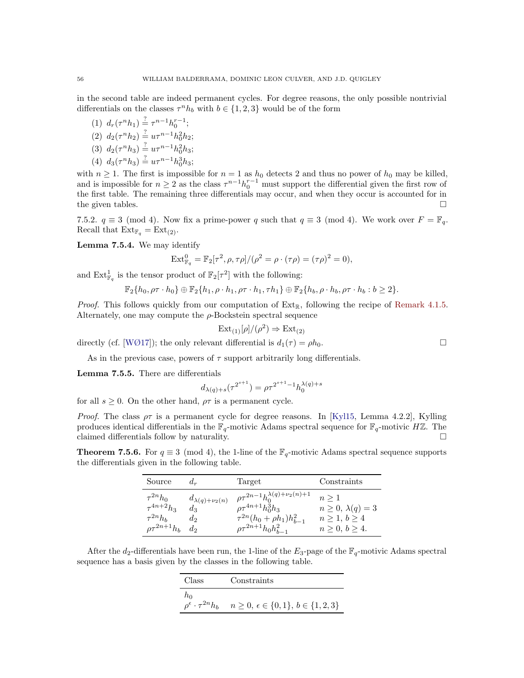in the second table are indeed permanent cycles. For degree reasons, the only possible nontrivial differentials on the classes  $\tau^{n}h_{b}$  with  $b \in \{1, 2, 3\}$  would be of the form

(1)  $d_r(\tau^n h_1) \stackrel{?}{=} \tau^{n-1} h_0^{r-1};$ (2)  $d_2(\tau^n h_2) \stackrel{?}{=} u\tau^{n-1}h_0^2h_2;$ (3)  $d_2(\tau^n h_3) \stackrel{?}{=} u\tau^{n-1}h_0^2h_3;$ (4)  $d_3(\tau^n h_3) \stackrel{?}{=} u\tau^{n-1}h_0^3h_3;$ 

with  $n \geq 1$ . The first is impossible for  $n = 1$  as  $h_0$  detects 2 and thus no power of  $h_0$  may be killed, and is impossible for  $n \geq 2$  as the class  $\tau^{n-1} h_0^{r-1}$  must support the differential given the first row of the first table. The remaining three differentials may occur, and when they occur is accounted for in the given tables.  $\Box$ 

7.5.2.  $q \equiv 3 \pmod{4}$ . Now fix a prime-power q such that  $q \equiv 3 \pmod{4}$ . We work over  $F = \mathbb{F}_q$ . Recall that  $\text{Ext}_{\mathbb{F}_q} = \text{Ext}_{(2)}$ .

<span id="page-55-2"></span>Lemma 7.5.4. We may identify

$$
Ext_{\mathbb{F}_q}^0 = \mathbb{F}_2[\tau^2, \rho, \tau \rho]/(\rho^2 = \rho \cdot (\tau \rho) = (\tau \rho)^2 = 0),
$$

and  $\mathrm{Ext}^1_{\mathbb{F}_q}$  is the tensor product of  $\mathbb{F}_2[\tau^2]$  with the following:

$$
\mathbb{F}_2\{h_0,\rho\tau\cdot h_0\}\oplus\mathbb{F}_2\{h_1,\rho\cdot h_1,\rho\tau\cdot h_1,\tau h_1\}\oplus\mathbb{F}_2\{h_b,\rho\cdot h_b,\rho\tau\cdot h_b:b\geq 2\}.
$$

*Proof.* This follows quickly from our computation of  $Ext_{\mathbb{R}}$ , following the recipe of [Remark 4.1.5.](#page-29-2) Alternately, one may compute the  $\rho$ -Bockstein spectral sequence

$$
Ext_{(1)}[\rho]/(\rho^2) \Rightarrow Ext_{(2)}
$$

directly (cf. [\[WØ17\]](#page-62-3)); the only relevant differential is  $d_1(\tau) = \rho h_0$ .

As in the previous case, powers of  $\tau$  support arbitrarily long differentials.

<span id="page-55-1"></span>Lemma 7.5.5. There are differentials

$$
d_{\lambda(q)+s}(\tau^{2^{s+1}}) = \rho \tau^{2^{s+1}-1} h_0^{\lambda(q)+s}
$$

for all  $s \geq 0$ . On the other hand,  $\rho \tau$  is a permanent cycle.

*Proof.* The class  $\rho\tau$  is a permanent cycle for degree reasons. In [\[Kyl15,](#page-61-19) Lemma 4.2.2], Kylling produces identical differentials in the  $\mathbb{F}_q$ -motivic Adams spectral sequence for  $\mathbb{F}_q$ -motivic HZ. The claimed differentials follow by naturality.  $\Box$ 

<span id="page-55-0"></span>**Theorem 7.5.6.** For  $q \equiv 3 \pmod{4}$ , the 1-line of the  $\mathbb{F}_q$ -motivic Adams spectral sequence supports the differentials given in the following table.

| Source                                               | $d_r$                                       | Target                                                                                                                 | Constraints                                                      |
|------------------------------------------------------|---------------------------------------------|------------------------------------------------------------------------------------------------------------------------|------------------------------------------------------------------|
| $\tau^{2n}h_0$<br>$\tau^{4n+2}h_3$<br>$\tau^{2n}h_b$ | $d_{\lambda(q)+\nu_2(n)}$<br>$d_3$<br>$d_2$ | $\rho \tau^{2n-1} h_0^{\lambda(q)+\nu_2(n)+1}$<br>$\rho \tau^{4n+1} h_0^3 h_3$<br>$\tau^{2n}(h_0 + \rho h_1)h_{b-1}^2$ | $n \geq 1$<br>$n \geq 0, \lambda(q) = 3$<br>$n \geq 1, b \geq 4$ |
| $\varrho\tau^{2n+1}h_b$                              | $d_2$                                       | $\rho \tau^{2n+1} h_0 h_{b-1}^2$                                                                                       | $n\geq 0, b\geq 4.$                                              |

After the d<sub>2</sub>-differentials have been run, the 1-line of the  $E_3$ -page of the  $\mathbb{F}_q$ -motivic Adams spectral sequence has a basis given by the classes in the following table.

| Class                                 | Constraints                                       |
|---------------------------------------|---------------------------------------------------|
| ħο                                    |                                                   |
| $\rho^{\epsilon} \cdot \tau^{2n} h_b$ | $n \geq 0, \epsilon \in \{0,1\}, b \in \{1,2,3\}$ |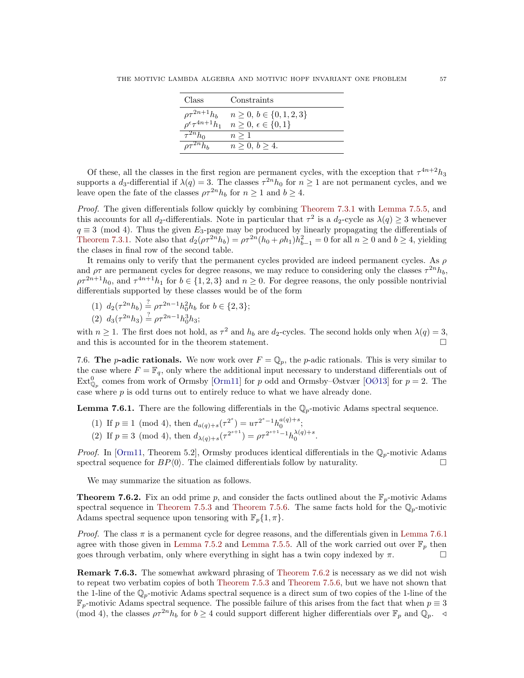| Class                                                   | Constraints                      |
|---------------------------------------------------------|----------------------------------|
| $\rho\tau^{2n+1}h_b$                                    | $n \geq 0, b \in \{0, 1, 2, 3\}$ |
| $\overline{\rho^{\epsilon}} \tau^{4n+1} \overline{h}_1$ | $n\geq 0, \epsilon \in \{0,1\}$  |
| $\overline{\tau^{2n}}h_0$                               | $n \geq 1$                       |
|                                                         | $n\geq 0, b\geq 4.$              |

Of these, all the classes in the first region are permanent cycles, with the exception that  $\tau^{4n+2}h_3$ supports a  $d_3$ -differential if  $\lambda(q) = 3$ . The classes  $\tau^{2n} h_0$  for  $n \geq 1$  are not permanent cycles, and we leave open the fate of the classes  $\rho \tau^{2n} h_b$  for  $n \geq 1$  and  $b \geq 4$ .

Proof. The given differentials follow quickly by combining [Theorem 7.3.1](#page-47-0) with [Lemma 7.5.5,](#page-55-1) and this accounts for all d<sub>2</sub>-differentials. Note in particular that  $\tau^2$  is a d<sub>2</sub>-cycle as  $\lambda(q) \geq 3$  whenever  $q \equiv 3 \pmod{4}$ . Thus the given  $E_3$ -page may be produced by linearly propagating the differentials of [Theorem 7.3.1.](#page-47-0) Note also that  $d_2(\rho \tau^{2n} h_b) = \rho \tau^{2n}(h_0 + \rho h_1)h_{b-1}^2 = 0$  for all  $n \ge 0$  and  $b \ge 4$ , yielding the clases in final row of the second table.

It remains only to verify that the permanent cycles provided are indeed permanent cycles. As  $\rho$ and  $\rho\tau$  are permanent cycles for degree reasons, we may reduce to considering only the classes  $\tau^{2n}h_b$ ,  $\rho\tau^{2n+1}h_0$ , and  $\tau^{4n+1}h_1$  for  $b \in \{1,2,3\}$  and  $n \geq 0$ . For degree reasons, the only possible nontrivial differentials supported by these classes would be of the form

(1) 
$$
d_2(\tau^{2n}h_b) \stackrel{?}{=} \rho \tau^{2n-1}h_0^2 h_b
$$
 for  $b \in \{2, 3\};$   
(2)  $d_3(\tau^{2n}h_3) \stackrel{?}{=} \rho \tau^{2n-1}h_0^3 h_3;$ 

with  $n \geq 1$ . The first does not hold, as  $\tau^2$  and  $h_b$  are  $d_2$ -cycles. The second holds only when  $\lambda(q) = 3$ , and this is accounted for in the theorem statement.  $\Box$ 

7.6. The p-adic rationals. We now work over  $F = \mathbb{Q}_p$ , the p-adic rationals. This is very similar to the case where  $F = \mathbb{F}_q$ , only where the additional input necessary to understand differentials out of  $\text{Ext}_{\mathbb{Q}_p}^0$  comes from work of Ormsby [\[Orm11\]](#page-61-20) for p odd and Ormsby–Østvær [\[OØ13\]](#page-61-18) for  $p=2$ . The case where  $p$  is odd turns out to entirely reduce to what we have already done.

<span id="page-56-1"></span>**Lemma 7.6.1.** There are the following differentials in the  $\mathbb{Q}_p$ -motivic Adams spectral sequence.

- (1) If  $p \equiv 1 \pmod{4}$ , then  $d_{a(q)+s}(\tau^{2^s}) = u\tau^{2^s-1}h_0^{a(q)+s}$ ;
- (2) If  $p \equiv 3 \pmod{4}$ , then  $d_{\lambda(q)+s}(\tau^{2^{s+1}}) = \rho \tau^{2^{s+1}-1} h_0^{\lambda(q)+s}$ .

*Proof.* In [\[Orm11,](#page-61-20) Theorem 5.2], Ormsby produces identical differentials in the  $\mathbb{Q}_p$ -motivic Adams spectral sequence for  $BP\langle 0 \rangle$ . The claimed differentials follow by naturality.

We may summarize the situation as follows.

<span id="page-56-0"></span>**Theorem 7.6.2.** Fix an odd prime p, and consider the facts outlined about the  $\mathbb{F}_p$ -motivic Adams spectral sequence in [Theorem 7.5.3](#page-54-0) and [Theorem 7.5.6.](#page-55-0) The same facts hold for the  $\mathbb{Q}_p$ -motivic Adams spectral sequence upon tensoring with  $\mathbb{F}_p\{1,\pi\}.$ 

*Proof.* The class  $\pi$  is a permanent cycle for degree reasons, and the differentials given in [Lemma 7.6.1](#page-56-1) agree with those given in [Lemma 7.5.2](#page-54-1) and [Lemma 7.5.5.](#page-55-1) All of the work carried out over  $\mathbb{F}_p$  then goes through verbatim, only where everything in sight has a twin copy indexed by  $\pi$ .

**Remark 7.6.3.** The somewhat awkward phrasing of [Theorem 7.6.2](#page-56-0) is necessary as we did not wish to repeat two verbatim copies of both [Theorem 7.5.3](#page-54-0) and [Theorem 7.5.6,](#page-55-0) but we have not shown that the 1-line of the  $\mathbb{Q}_p$ -motivic Adams spectral sequence is a direct sum of two copies of the 1-line of the  $\mathbb{F}_p$ -motivic Adams spectral sequence. The possible failure of this arises from the fact that when  $p \equiv 3$ (mod 4), the classes  $\rho \tau^{2n} h_b$  for  $b \ge 4$  could support different higher differentials over  $\mathbb{F}_p$  and  $\mathbb{Q}_p$ .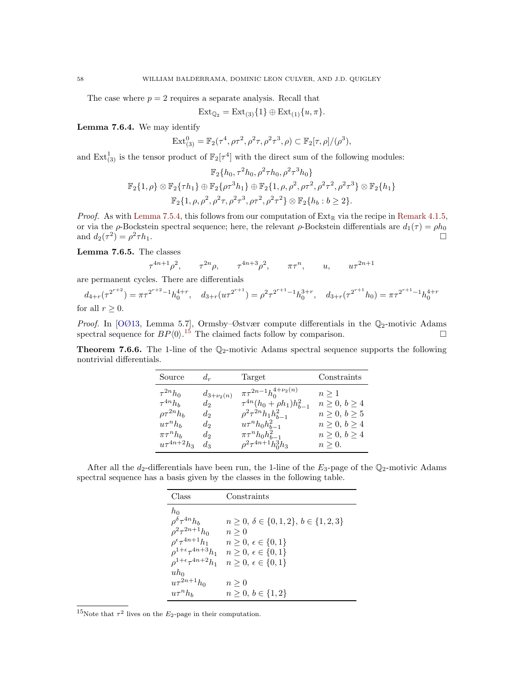The case where  $p = 2$  requires a separate analysis. Recall that

$$
Ext_{\mathbb{Q}_2} = Ext_{(3)}\{1\} \oplus Ext_{(1)}\{u,\pi\}.
$$

Lemma 7.6.4. We may identify

$$
Ext_{(3)}^0 = \mathbb{F}_2(\tau^4, \rho \tau^2, \rho^2 \tau, \rho^2 \tau^3, \rho) \subset \mathbb{F}_2[\tau, \rho]/(\rho^3),
$$

and  $\text{Ext}^1_{(3)}$  is the tensor product of  $\mathbb{F}_2[\tau^4]$  with the direct sum of the following modules:

$$
\mathbb{F}_{2}\lbrace h_{0}, \tau^{2}h_{0}, \rho^{2}\tau h_{0}, \rho^{2}\tau^{3}h_{0} \rbrace
$$
  

$$
\mathbb{F}_{2}\lbrace 1, \rho \rbrace \otimes \mathbb{F}_{2}\lbrace \tau h_{1} \rbrace \oplus \mathbb{F}_{2}\lbrace \rho\tau^{3}h_{1} \rbrace \oplus \mathbb{F}_{2}\lbrace 1, \rho, \rho^{2}, \rho\tau^{2}, \rho^{2}\tau^{2}, \rho^{2}\tau^{3} \rbrace \otimes \mathbb{F}_{2}\lbrace h_{1} \rbrace
$$
  

$$
\mathbb{F}_{2}\lbrace 1, \rho, \rho^{2}, \rho^{2}\tau, \rho^{2}\tau^{3}, \rho\tau^{2}, \rho^{2}\tau^{2} \rbrace \otimes \mathbb{F}_{2}\lbrace h_{b} : b \geq 2 \rbrace.
$$

*Proof.* As with [Lemma 7.5.4,](#page-55-2) this follows from our computation of  $Ext_{\mathbb{R}}$  via the recipe in [Remark 4.1.5,](#page-29-2) or via the  $\rho$ -Bockstein spectral sequence; here, the relevant  $\rho$ -Bockstein differentials are  $d_1(\tau) = \rho h_0$ and  $d_2(\tau^2) = \rho^2$  $\tau h_1$ .

<span id="page-57-2"></span>Lemma 7.6.5. The classes

$$
\tau^{4n+1}\rho^2, \qquad \tau^{2n}\rho, \qquad \tau^{4n+3}\rho^2, \qquad \pi\tau^n, \qquad u, \qquad u\tau^{2n+1}
$$

are permanent cycles. There are differentials

$$
d_{4+r}(\tau^{2^{r+2}}) = \pi \tau^{2^{r+2}-1} h_0^{4+r}, \quad d_{3+r}(u\tau^{2^{r+1}}) = \rho^2 \tau^{2^{r+1}-1} h_0^{3+r}, \quad d_{3+r}(\tau^{2^{r+1}} h_0) = \pi \tau^{2^{r+1}-1} h_0^{4+r}
$$
 for all  $r \ge 0$ .

Proof. In [\[OØ13,](#page-61-18) Lemma 5.7], Ormsby–Østvær compute differentials in the  $\mathbb{Q}_2$ -motivic Adams spectral sequence for  $BP\langle 0 \rangle$ .<sup>[15](#page-57-1)</sup> The claimed facts follow by comparison.

<span id="page-57-0"></span>**Theorem 7.6.6.** The 1-line of the  $\mathbb{Q}_2$ -motivic Adams spectral sequence supports the following nontrivial differentials.

| $d_r$            | Target                             | Constraints                                                                                       |
|------------------|------------------------------------|---------------------------------------------------------------------------------------------------|
| $d_{3+\nu_2(n)}$ | $\pi \tau^{2n-1} h_0^{4+\nu_2(n)}$ | $n \geq 1$                                                                                        |
| $d_2$            | $\rho^2 \tau^{2n} h_1 h_{h-1}^2$   | $n \geq 0, b \geq 4$<br>$n\geq 0, b\geq 5$                                                        |
| $d_2$            | $u\tau^nh_0h_{h-1}^2$              | $n \geq 0, b \geq 4$                                                                              |
| $d_2$            |                                    | $n \geq 0, b \geq 4$<br>$n \geq 0$ .                                                              |
|                  | $d_2$<br>$d_3$                     | $\tau^{4n}(h_0 + \rho h_1)h_{b-1}^2$<br>$\pi\tau^nh_0h_{b-1}^2$<br>$\rho^2 \tau^{4n+1} h_0^3 h_3$ |

After all the  $d_2$ -differentials have been run, the 1-line of the  $E_3$ -page of the  $\mathbb{Q}_2$ -motivic Adams spectral sequence has a basis given by the classes in the following table.

| Class                                                                                                                                                                               | Constraints                                                                                                                                                                  |
|-------------------------------------------------------------------------------------------------------------------------------------------------------------------------------------|------------------------------------------------------------------------------------------------------------------------------------------------------------------------------|
| $h_0$<br>$\rho^{\delta} \tau^{4n} h_b$<br>$\rho^2 \tau^{2n+1} h_0$<br>$\rho^{\epsilon} \tau^{4n+1} h_1$<br>$\rho^{1+\epsilon}\tau^{4n+3}h_1$<br>$\rho^{1+\epsilon} \tau^{4n+2} h_1$ | $n \geq 0, \delta \in \{0, 1, 2\}, b \in \{1, 2, 3\}$<br>$n \geq 0$<br>$n\geq 0, \,\epsilon\in\{0,1\}$<br>$n\geq 0, \epsilon \in \{0,1\}$<br>$n\geq 0, \epsilon \in \{0,1\}$ |
| $uh_0$<br>$u\tau^{2n+1}h_0$<br>$u\tau^nh_b$                                                                                                                                         | $n \geq 0$<br>$n \geq 0, b \in \{1, 2\}$                                                                                                                                     |

<span id="page-57-1"></span><sup>15</sup>Note that  $\tau^2$  lives on the  $E_2$ -page in their computation.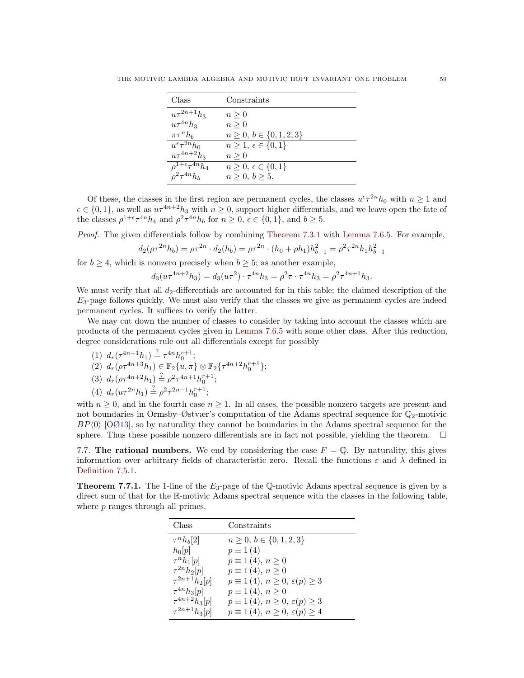| Class                           | Constraints                      |
|---------------------------------|----------------------------------|
| $u\tau^{2n+1}h_3$               | $n \geq 0$                       |
| $u\tau^{4n}h_3$                 | $n \geq 0$                       |
| $\pi\tau^{n}h_{h}$              | $n \geq 0, b \in \{0, 1, 2, 3\}$ |
| $u^{\epsilon} \tau^{2n} h_0$    | $n\geq 1, \epsilon \in \{0,1\}$  |
| $u\tau^{4n+2}h_3$               | $n \geq 0$                       |
| $\rho^{1+\epsilon}\tau^{4n}h_4$ | $n\geq 0, \,\epsilon\in\{0,1\}$  |
| $a^2 \tau^{4n} h_b$             | $n\geq 0, b\geq 5.$              |

Of these, the classes in the first region are permanent cycles, the classes  $u^{\epsilon} \tau^{2n} h_0$  with  $n \geq 1$  and  $\epsilon \in \{0, 1\}$ , as well as  $u\tau^{4n+2}h_3$  with  $n \geq 0$ , support higher differentials, and we leave open the fate of the classes  $\rho^{1+\epsilon} \tau^{4n} h_4$  and  $\rho^2 \tau^{4n} h_b$  for  $n \ge 0$ ,  $\epsilon \in \{0, 1\}$ , and  $b \ge 5$ .

Proof. The given differentials follow by combining [Theorem 7.3.1](#page-47-0) with [Lemma 7.6.5.](#page-57-2) For example,

$$
d_2(\rho \tau^{2n} h_b) = \rho \tau^{2n} \cdot d_2(h_b) = \rho \tau^{2n} \cdot (h_0 + \rho h_1) h_{b-1}^2 = \rho^2 \tau^{2n} h_1 h_{b-1}^2
$$

for  $b \geq 4$ , which is nonzero precisely when  $b \geq 5$ ; as another example,

$$
d_3(u\tau^{4n+2}h_3) = d_3(u\tau^2)\cdot \tau^{4n}h_3 = \rho^2\tau\cdot \tau^{4n}h_3 = \rho^2\tau^{4n+1}h_3.
$$

We must verify that all  $d_2$ -differentials are accounted for in this table; the claimed description of the  $E_3$ -page follows quickly. We must also verify that the classes we give as permanent cycles are indeed permanent cycles. It suffices to verify the latter.

We may cut down the number of classes to consider by taking into account the classes which are products of the permanent cycles given in [Lemma 7.6.5](#page-57-2) with some other class. After this reduction, degree considerations rule out all differentials except for possibly

(1)  $d_r(\tau^{4n+1}h_1) \stackrel{?}{=} \tau^{4n}h_0^{r+1};$ 

$$
(2) d_r(\rho \tau^{4n+3} h_1) \in \mathbb{F}_2\{u,\pi\} \otimes \mathbb{F}_2\{\tau^{4n+2} h_0^{r+1}\};
$$

$$
(3) d_r(\rho \tau^{4n+2} h_1) \stackrel{?}{=} \rho^2 \tau^{4n+1} h_0^{r+1};
$$

(4)  $d_r(u\tau^{2n}h_1) \stackrel{?}{=} \rho^2\tau^{2n-1}h_0^{r+1};$ 

with  $n \geq 0$ , and in the fourth case  $n \geq 1$ . In all cases, the possible nonzero targets are present and not boundaries in Ormsby–Østvær's computation of the Adams spectral sequence for  $\mathbb{Q}_2$ -motivic  $BP\langle 0 \rangle$  [\[OØ13\]](#page-61-18), so by naturality they cannot be boundaries in the Adams spectral sequence for the sphere. Thus these possible nonzero differentials are in fact not possible, yielding the theorem.  $\Box$ 

7.7. The rational numbers. We end by considering the case  $F = \mathbb{Q}$ . By naturality, this gives information over arbitrary fields of characteristic zero. Recall the functions  $\varepsilon$  and  $\lambda$  defined in [Definition 7.5.1.](#page-53-1)

<span id="page-58-0"></span>**Theorem 7.7.1.** The 1-line of the  $E_3$ -page of the Q-motivic Adams spectral sequence is given by a direct sum of that for the R-motivic Adams spectral sequence with the classes in the following table, where p ranges through all primes.

| Class                | Constraints                                      |
|----------------------|--------------------------------------------------|
| $\tau^{n}h_{b}[2]$   | $n \geq 0, b \in \{0, 1, 2, 3\}$                 |
| $h_0[p]$             | $p \equiv 1(4)$                                  |
| $\tau^{n}h_1[p]$     | $p \equiv 1(4), n \ge 0$                         |
| $\tau^{2n}h_2[p]$    | $p \equiv 1(4), n \ge 0$                         |
| $\tau^{2n+1} h_2[p]$ | $p \equiv 1(4), n \geq 0, \varepsilon(p) \geq 3$ |
| $\tau^{4n}h_3[p]$    | $p \equiv 1(4), n \ge 0$                         |
| $\tau^{4n+2} h_3[p]$ | $p \equiv 1(4), n \geq 0, \varepsilon(p) \geq 3$ |
| $\tau^{2n+1} h_3[p]$ | $p \equiv 1(4), n \ge 0, \varepsilon(p) \ge 4$   |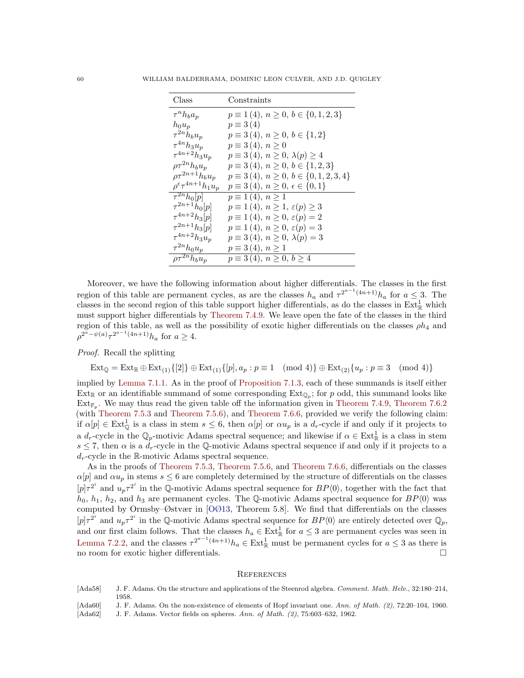| Class                                 | Constraints                                       |
|---------------------------------------|---------------------------------------------------|
| $\tau^n h_b a_p$                      | $p \equiv 1(4), n \ge 0, b \in \{0, 1, 2, 3\}$    |
| $h_0u_p$                              | $p \equiv 3(4)$                                   |
| $\tau^{2n}h_bu_p$                     | $p \equiv 3(4), n \ge 0, b \in \{1,2\}$           |
| $\tau^{4n}h_3u_p$                     | $p \equiv 3(4), n \ge 0$                          |
| $\tau^{4n+2}h_3u_p$                   | $p \equiv 3(4), n \geq 0, \lambda(p) \geq 4$      |
| $\rho \tau^{2n} h_b u_p$              | $p \equiv 3(4), n \ge 0, b \in \{1,2,3\}$         |
| $\rho\tau^{2n+1}h_bu_p$               | $p \equiv 3(4), n \ge 0, b \in \{0, 1, 2, 3, 4\}$ |
| $\rho^{\epsilon} \tau^{4n+1} h_1 u_p$ | $p \equiv 3(4), n \ge 0, \epsilon \in \{0,1\}$    |
| $\overline{\tau^{2n}h_0}[p]$          | $p \equiv 1(4), n \ge 1$                          |
| $\tau^{2n+1} h_0[p]$                  | $p \equiv 1(4), n \geq 1, \varepsilon(p) \geq 3$  |
| $\tau^{4n+2} h_3[p]$                  | $p \equiv 1(4), n \geq 0, \varepsilon(p) = 2$     |
| $\tau^{2n+1} h_3[p]$                  | $p \equiv 1(4), n \geq 0, \varepsilon(p) = 3$     |
| $\tau^{4n+2}h_3u_p$                   | $p \equiv 3(4), n \ge 0, \lambda(p) = 3$          |
| $\tau^{2n} h_0 u_p$                   | $p \equiv 3(4), n \ge 1$                          |
| $\overline{\rho\tau^{2n}}h_bu_p$      | $p \equiv 3(4), n \ge 0, b \ge 4$                 |

Moreover, we have the following information about higher differentials. The classes in the first region of this table are permanent cycles, as are the classes  $h_a$  and  $\tau^{2^{a-1}(4n+1)}h_a$  for  $a \leq 3$ . The classes in the second region of this table support higher differentials, as do the classes in  $\text{Ext}^1_{\mathbb{R}}$  which must support higher differentials by [Theorem 7.4.9.](#page-53-0) We leave open the fate of the classes in the third region of this table, as well as the possibility of exotic higher differentials on the classes  $\rho h_4$  and  $\rho^{2^{\bar{a}} - \psi(a)} \tau^{2^{a-1}(4n+1)} h_a$  for  $a \geq 4$ .

Proof. Recall the splitting

$$
\operatorname{Ext}_{\mathbb{Q}} = \operatorname{Ext}_{\mathbb{R}} \oplus \operatorname{Ext}_{(1)}\{[2]\} \oplus \operatorname{Ext}_{(1)}\{[p], a_p : p \equiv 1 \pmod{4}\} \oplus \operatorname{Ext}_{(2)}\{u_p : p \equiv 3 \pmod{4}\}
$$

implied by [Lemma 7.1.1.](#page-46-2) As in the proof of [Proposition 7.1.3,](#page-46-1) each of these summands is itself either  $Ext_{\mathbb{R}}$  or an identifiable summand of some corresponding  $Ext_{\mathbb{Q}_p}$ ; for p odd, this summand looks like  $\text{Ext}_{\mathbb{F}_p}$ . We may thus read the given table off the information given in [Theorem 7.4.9,](#page-53-0) [Theorem 7.6.2](#page-56-0) (with [Theorem 7.5.3](#page-54-0) and [Theorem 7.5.6\)](#page-55-0), and [Theorem 7.6.6,](#page-57-0) provided we verify the following claim: if  $\alpha[p] \in \text{Ext}_{\mathbb{Q}}^{1}$  is a class in stem  $s \leq 6$ , then  $\alpha[p]$  or  $\alpha u_{p}$  is a  $d_{r}$ -cycle if and only if it projects to a  $d_r$ -cycle in the  $\mathbb{Q}_p$ -motivic Adams spectral sequence; and likewise if  $\alpha \in \text{Ext}^1_{\mathbb{R}}$  is a class in stem  $s \leq 7$ , then  $\alpha$  is a  $d_r$ -cycle in the Q-motivic Adams spectral sequence if and only if it projects to a  $d_r$ -cycle in the R-motivic Adams spectral sequence.

As in the proofs of [Theorem 7.5.3,](#page-54-0) [Theorem 7.5.6,](#page-55-0) and [Theorem 7.6.6,](#page-57-0) differentials on the classes  $\alpha[p]$  and  $\alpha u_p$  in stems  $s \leq 6$  are completely determined by the structure of differentials on the classes  $[p] \tau^{2^i}$  and  $u_p \tau^{2^i}$  in the Q-motivic Adams spectral sequence for  $BP\langle 0 \rangle$ , together with the fact that  $h_0, h_1, h_2$ , and  $h_3$  are permanent cycles. The Q-motivic Adams spectral sequence for  $BP\langle 0 \rangle$  was computed by Ormsby–Østvær in [\[OØ13,](#page-61-18) Theorem 5.8]. We find that differentials on the classes  $[p] \tau^{2^i}$  and  $u_p \tau^{2^i}$  in the Q-motivic Adams spectral sequence for  $BP\langle 0 \rangle$  are entirely detected over  $\mathbb{Q}_p$ , and our first claim follows. That the classes  $h_a \in Ext^1_{\mathbb{R}}$  for  $a \leq 3$  are permanent cycles was seen in [Lemma 7.2.2,](#page-47-4) and the classes  $\tau^{2^{a-1}(4n+1)} h_a \in \text{Ext}^1_{\mathbb{R}}$  must be permanent cycles for  $a \leq 3$  as there is no room for exotic higher differentials.

#### <span id="page-59-0"></span>**REFERENCES**

- <span id="page-59-1"></span>[Ada58] J. F. Adams. On the structure and applications of the Steenrod algebra. Comment. Math. Helv., 32:180-214, 1958.
- <span id="page-59-2"></span>[Ada60] J. F. Adams. On the non-existence of elements of Hopf invariant one. Ann. of Math. (2), 72:20-104, 1960.
- <span id="page-59-3"></span>[Ada62] J. F. Adams. Vector fields on spheres. Ann. of Math. (2), 75:603–632, 1962.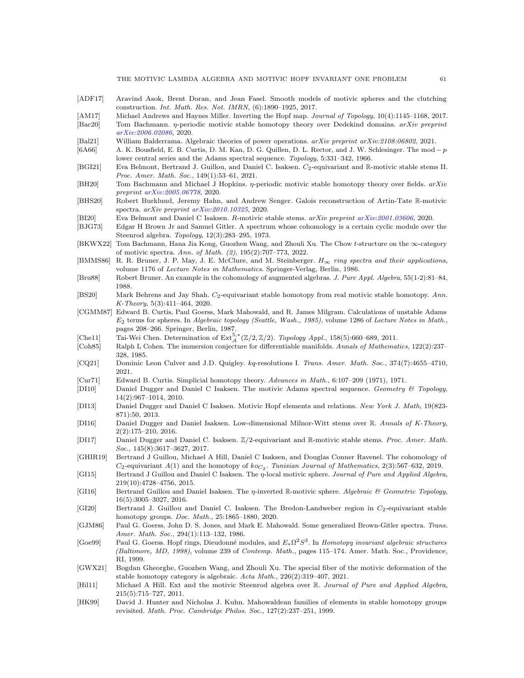- <span id="page-60-22"></span>[ADF17] Aravind Asok, Brent Doran, and Jean Fasel. Smooth models of motivic spheres and the clutching construction. Int. Math. Res. Not. IMRN, (6):1890–1925, 2017.
- <span id="page-60-11"></span>[AM17] Michael Andrews and Haynes Miller. Inverting the Hopf map. Journal of Topology, 10(4):1145–1168, 2017.
- <span id="page-60-9"></span>[Bac20] Tom Bachmann. *η*-periodic motivic stable homotopy theory over Dedekind domains. *arXiv preprint* [arXiv:2006.02086](http://arxiv.org/abs/2006.02086), 2020.
- <span id="page-60-27"></span>[Bal21] William Balderrama. Algebraic theories of power operations. arXiv preprint arXiv:2108:06802, 2021.
- <span id="page-60-15"></span>[6A66] A. K. Bousfield, E. B. Curtis, D. M. Kan, D. G. Quillen, D. L. Rector, and J. W. Schlesinger. The mod − p lower central series and the Adams spectral sequence. Topology, 5:331–342, 1966.
- <span id="page-60-6"></span>[BGI21] Eva Belmont, Bertrand J. Guillou, and Daniel C. Isaksen. C<sub>2</sub>-equivariant and R-motivic stable stems II. Proc. Amer. Math. Soc., 149(1):53–61, 2021.
- <span id="page-60-10"></span>[BH20] Tom Bachmann and Michael J Hopkins. *η*-periodic motivic stable homotopy theory over fields. arXiv preprint [arXiv:2005.06778](http://arxiv.org/abs/2005.06778), 2020.
- <span id="page-60-1"></span>[BHS20] Robert Burklund, Jeremy Hahn, and Andrew Senger. Galois reconstruction of Artin-Tate R-motivic spectra. arXiv preprint [arXiv:2010.10325](http://arxiv.org/abs/2010.10325), 2020.
- <span id="page-60-2"></span>[BI20] Eva Belmont and Daniel C Isaksen. R-motivic stable stems. arXiv preprint [arXiv:2001.03606](http://arxiv.org/abs/2001.03606), 2020.
- <span id="page-60-17"></span>[BJG73] Edgar H Brown Jr and Samuel Gitler. A spectrum whose cohomology is a certain cyclic module over the Steenrod algebra. Topology, 12(3):283–295, 1973.
- <span id="page-60-7"></span>[BKWX22] Tom Bachmann, Hana Jia Kong, Guozhen Wang, and Zhouli Xu. The Chow t-structure on the ∞-category of motivic spectra. Ann. of Math. (2), 195(2):707–773, 2022.
- <span id="page-60-30"></span>[BMMS86] R. R. Bruner, J. P. May, J. E. McClure, and M. Steinberger.  $H_{\infty}$  ring spectra and their applications, volume 1176 of Lecture Notes in Mathematics. Springer-Verlag, Berlin, 1986.
- <span id="page-60-29"></span>[Bru88] Robert Bruner. An example in the cohomology of augmented algebras. J. Pure Appl. Algebra, 55(1-2):81–84, 1988.
- <span id="page-60-23"></span>[BS20] Mark Behrens and Jay Shah. C<sub>2</sub>-equivariant stable homotopy from real motivic stable homotopy. Ann. K-Theory, 5(3):411–464, 2020.
- <span id="page-60-16"></span>[CGMM87] Edward B. Curtis, Paul Goerss, Mark Mahowald, and R. James Milgram. Calculations of unstable Adams  $E_2$  terms for spheres. In Algebraic topology (Seattle, Wash., 1985), volume 1286 of Lecture Notes in Math., pages 208–266. Springer, Berlin, 1987.
- <span id="page-60-21"></span>[Che11] Tai-Wei Chen. Determination of  $\text{Ext}_{\mathcal{A}}^{5,*}(\mathbb{Z}/2,\mathbb{Z}/2)$ . Topology Appl., 158(5):660–689, 2011.
- <span id="page-60-18"></span>[Coh85] Ralph L Cohen. The immersion conjecture for differentiable manifolds. Annals of Mathematics, 122(2):237– 328, 1985.
- <span id="page-60-25"></span>[CQ21] Dominic Leon Culver and J.D. Quigley. kq-resolutions I. Trans. Amer. Math. Soc., 374(7):4655–4710, 2021.
- <span id="page-60-26"></span>[Cur71] Edward B. Curtis. Simplicial homotopy theory. Advances in Math., 6:107–209 (1971), 1971.
- <span id="page-60-8"></span>[DI10] Daniel Dugger and Daniel C Isaksen. The motivic Adams spectral sequence. Geometry & Topology, 14(2):967–1014, 2010.
- <span id="page-60-14"></span>[DI13] Daniel Dugger and Daniel C Isaksen. Motivic Hopf elements and relations. New York J. Math, 19(823- 871):50, 2013.
- <span id="page-60-3"></span>[DI16] Daniel Dugger and Daniel Isaksen. Low-dimensional Milnor-Witt stems over R. Annals of K-Theory, 2(2):175–210, 2016.
- <span id="page-60-4"></span>[DI17] Daniel Dugger and Daniel C. Isaksen. Z/2-equivariant and R-motivic stable stems. Proc. Amer. Math. Soc., 145(8):3617–3627, 2017.
- <span id="page-60-28"></span>[GHIR19] Bertrand J Guillou, Michael A Hill, Daniel C Isaksen, and Douglas Conner Ravenel. The cohomology of  $C_2$ -equivariant  $A(1)$  and the homotopy of  $koc_2$ . Tunisian Journal of Mathematics, 2(3):567–632, 2019.
- <span id="page-60-12"></span>[GI15] Bertrand J Guillou and Daniel C Isaksen. The  $\eta$ -local motivic sphere. Journal of Pure and Applied Algebra, 219(10):4728–4756, 2015.
- <span id="page-60-13"></span>[GI16] Bertrand Guillou and Daniel Isaksen. The *η*-inverted R-motivic sphere. Algebraic & Geometric Topology, 16(5):3005–3027, 2016.
- <span id="page-60-5"></span>[GI20] Bertrand J. Guillou and Daniel C. Isaksen. The Bredon-Landweber region in C<sub>2</sub>-equivariant stable homotopy groups. Doc. Math., 25:1865–1880, 2020.
- <span id="page-60-24"></span>[GJM86] Paul G. Goerss, John D. S. Jones, and Mark E. Mahowald. Some generalized Brown-Gitler spectra. Trans. Amer. Math. Soc., 294(1):113–132, 1986.
- <span id="page-60-19"></span>[Goe99] Paul G. Goerss. Hopf rings, Dieudonné modules, and  $E_*\Omega^2 S^3$ . In Homotopy invariant algebraic structures (Baltimore, MD, 1998), volume 239 of Contemp. Math., pages 115–174. Amer. Math. Soc., Providence, RI, 1999.
- <span id="page-60-0"></span>[GWX21] Bogdan Gheorghe, Guozhen Wang, and Zhouli Xu. The special fiber of the motivic deformation of the stable homotopy category is algebraic. Acta Math., 226(2):319–407, 2021.
- <span id="page-60-31"></span>[Hil11] Michael A Hill. Ext and the motivic Steenrod algebra over R. Journal of Pure and Applied Algebra, 215(5):715–727, 2011.
- <span id="page-60-20"></span>[HK99] David J. Hunter and Nicholas J. Kuhn. Mahowaldean families of elements in stable homotopy groups revisited. Math. Proc. Cambridge Philos. Soc., 127(2):237–251, 1999.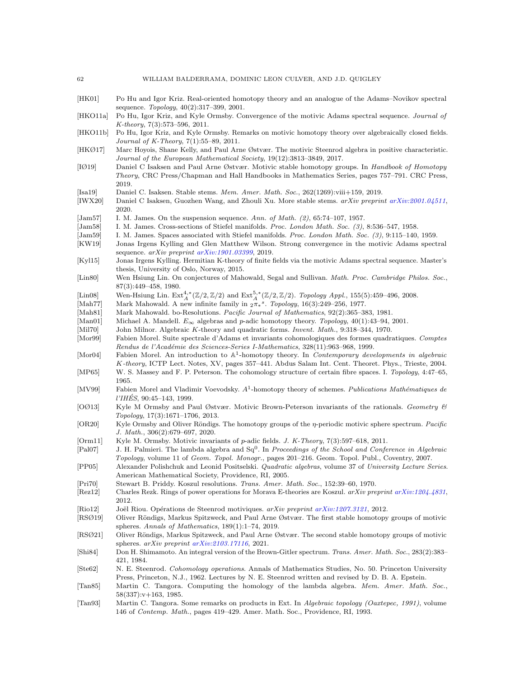<span id="page-61-26"></span>[HK01] Po Hu and Igor Kriz. Real-oriented homotopy theory and an analogue of the Adams–Novikov spectral sequence. Topology, 40(2):317–399, 2001.

<span id="page-61-28"></span>[HKO11a] Po Hu, Igor Kriz, and Kyle Ormsby. Convergence of the motivic Adams spectral sequence. Journal of K-theory, 7(3):573–596, 2011.

- <span id="page-61-30"></span>[HKO11b] Po Hu, Igor Kriz, and Kyle Ormsby. Remarks on motivic homotopy theory over algebraically closed fields. Journal of K-Theory, 7(1):55–89, 2011.
- <span id="page-61-9"></span>[HKØ17] Marc Hoyois, Shane Kelly, and Paul Arne Østvær. The motivic Steenrod algebra in positive characteristic. Journal of the European Mathematical Society, 19(12):3813–3849, 2017.
- <span id="page-61-6"></span>[IØ19] Daniel C Isaksen and Paul Arne Østvær. Motivic stable homotopy groups. In Handbook of Homotopy Theory, CRC Press/Chapman and Hall Handbooks in Mathematics Series, pages 757–791. CRC Press, 2019.
- <span id="page-61-4"></span>[Isa19] Daniel C. Isaksen. Stable stems. Mem. Amer. Math. Soc., 262(1269):viii+159, 2019.
- <span id="page-61-5"></span>[IWX20] Daniel C Isaksen, Guozhen Wang, and Zhouli Xu. More stable stems. arXiv preprint [arXiv:2001.04511](http://arxiv.org/abs/2001.04511), 2020.
- <span id="page-61-21"></span>[Jam57] I. M. James. On the suspension sequence. Ann. of Math. (2), 65:74-107, 1957.
- <span id="page-61-34"></span>[Jam58] I. M. James. Cross-sections of Stiefel manifolds. Proc. London Math. Soc. (3), 8:536–547, 1958.
- <span id="page-61-35"></span><span id="page-61-29"></span>[Jam59] I. M. James. Spaces associated with Stiefel manifolds. Proc. London Math. Soc. (3), 9:115–140, 1959. [KW19] Jonas Irgens Kylling and Glen Matthew Wilson. Strong convergence in the motivic Adams spectral sequence. arXiv preprint [arXiv:1901.03399](http://arxiv.org/abs/1901.03399), 2019.
- <span id="page-61-19"></span>[Kyl15] Jonas Irgens Kylling. Hermitian K-theory of finite fields via the motivic Adams spectral sequence. Master's thesis, University of Oslo, Norway, 2015.
- <span id="page-61-33"></span>[Lin80] Wen Hsiung Lin. On conjectures of Mahowald, Segal and Sullivan. Math. Proc. Cambridge Philos. Soc., 87(3):449–458, 1980.
- <span id="page-61-15"></span>[Lin08] Wen-Hsiung Lin.  $\text{Ext}_{A}^{4,*}(\mathbb{Z}/2,\mathbb{Z}/2)$  and  $\text{Ext}_{A}^{5,*}(\mathbb{Z}/2,\mathbb{Z}/2)$ . Topology Appl., 155(5):459–496, 2008.
- <span id="page-61-14"></span>[Mah77] Mark Mahowald. A new infinite family in  $2\pi*^s$ . Topology, 16(3):249–256, 1977.
- <span id="page-61-12"></span>[Mah81] Mark Mahowald. bo-Resolutions. Pacific Journal of Mathematics, 92(2):365-383, 1981.
- <span id="page-61-17"></span>[Man01] Michael A. Mandell.  $E_{\infty}$  algebras and p-adic homotopy theory. Topology, 40(1):43–94, 2001.
- <span id="page-61-32"></span>[Mil70] John Milnor. Algebraic K-theory and quadratic forms. Invent. Math., 9:318–344, 1970.
- <span id="page-61-7"></span>[Mor99] Fabien Morel. Suite spectrale d'Adams et invariants cohomologiques des formes quadratiques. Comptes Rendus de l'Académie des Sciences-Series I-Mathematics, 328(11):963-968, 1999.
- <span id="page-61-1"></span>[Mor04] Fabien Morel. An introduction to A<sup>1</sup>-homotopy theory. In Contemporary developments in algebraic K-theory, ICTP Lect. Notes, XV, pages 357–441. Abdus Salam Int. Cent. Theoret. Phys., Trieste, 2004.
- <span id="page-61-25"></span>[MP65] W. S. Massey and F. P. Peterson. The cohomology structure of certain fibre spaces. I. Topology, 4:47–65, 1965.
- <span id="page-61-0"></span>[MV99] Fabien Morel and Vladimir Voevodsky.  $A<sup>1</sup>$ -homotopy theory of schemes. Publications Mathématiques de  $I'IH\acute{E}S$ , 90:45–143, 1999.
- <span id="page-61-18"></span>[OØ13] Kyle M Ormsby and Paul Østvær. Motivic Brown-Peterson invariants of the rationals. Geometry & Topology, 17(3):1671–1706, 2013.
- <span id="page-61-8"></span>[OR20] Kyle Ormsby and Oliver Röndigs. The homotopy groups of the  $\eta$ -periodic motivic sphere spectrum. Pacific J. Math., 306(2):679–697, 2020.
- <span id="page-61-20"></span>[Orm11] Kyle M. Ormsby. Motivic invariants of p-adic fields. J. K-Theory, 7(3):597–618, 2011.
- <span id="page-61-27"></span>[Pal07] J. H. Palmieri. The lambda algebra and Sq<sup>0</sup>. In Proceedings of the School and Conference in Algebraic Topology, volume 11 of Geom. Topol. Monogr., pages 201–216. Geom. Topol. Publ., Coventry, 2007.
- <span id="page-61-22"></span>[PP05] Alexander Polishchuk and Leonid Positselski. Quadratic algebras, volume 37 of University Lecture Series. American Mathematical Society, Providence, RI, 2005.
- <span id="page-61-16"></span>[Pri70] Stewart B. Priddy. Koszul resolutions. Trans. Amer. Math. Soc., 152:39–60, 1970.
- <span id="page-61-23"></span>[Rez12] Charles Rezk. Rings of power operations for Morava E-theories are Koszul. arXiv preprint [arXiv:1204.4831](http://arxiv.org/abs/1204.4831), 2012.
- <span id="page-61-24"></span>[Rio12] Joël Riou. Opérations de Steenrod motiviques. arXiv preprint [arXiv:1207.3121](http://arxiv.org/abs/1207.3121), 2012.
- <span id="page-61-2"></span>[RSØ19] Oliver Röndigs, Markus Spitzweck, and Paul Arne Østvær. The first stable homotopy groups of motivic spheres. Annals of Mathematics, 189(1):1–74, 2019.
- <span id="page-61-3"></span>[RSØ21] Oliver Röndigs, Markus Spitzweck, and Paul Arne Østvær. The second stable homotopy groups of motivic spheres. arXiv preprint [arXiv:2103.17116](http://arxiv.org/abs/2103.17116), 2021.
- <span id="page-61-13"></span>[Shi84] Don H. Shimamoto. An integral version of the Brown-Gitler spectrum. Trans. Amer. Math. Soc., 283(2):383-421, 1984.
- <span id="page-61-31"></span>[Ste62] N. E. Steenrod. Cohomology operations. Annals of Mathematics Studies, No. 50. Princeton University Press, Princeton, N.J., 1962. Lectures by N. E. Steenrod written and revised by D. B. A. Epstein.
- <span id="page-61-10"></span>[Tan85] Martin C. Tangora. Computing the homology of the lambda algebra. Mem. Amer. Math. Soc., 58(337):v+163, 1985.
- <span id="page-61-11"></span>[Tan93] Martin C. Tangora. Some remarks on products in Ext. In Algebraic topology (Oaxtepec, 1991), volume 146 of Contemp. Math., pages 419–429. Amer. Math. Soc., Providence, RI, 1993.